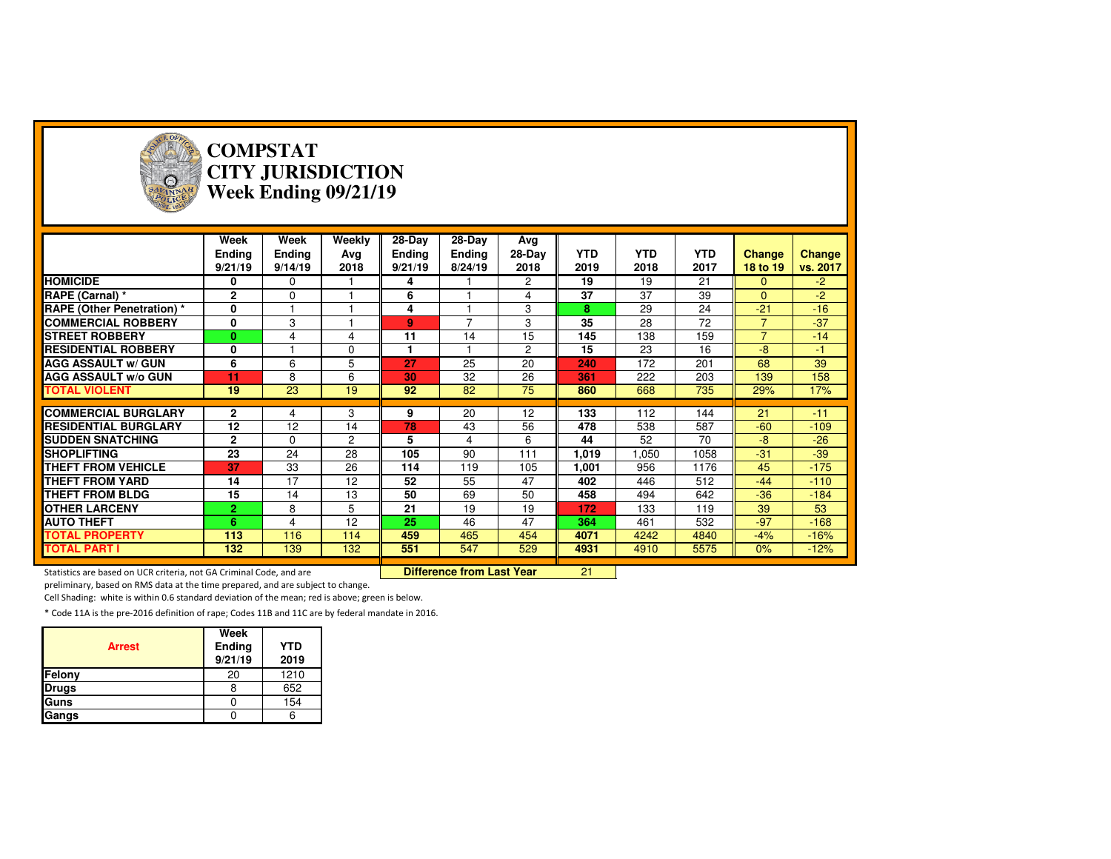

#### **COMPSTAT CITY JURISDICTIONWeek Ending 09/21/19**

|                                   | Week<br><b>Ending</b><br>9/21/19 | Week<br><b>Ending</b><br>9/14/19 | Weekly<br>Ava<br>2018 | 28-Day<br><b>Ending</b><br>9/21/19 | 28-Day<br><b>Ending</b><br>8/24/19 | Avg<br>28-Day<br>2018 | <b>YTD</b><br>2019 | <b>YTD</b><br>2018 | <b>YTD</b><br>2017 | <b>Change</b><br>18 to 19 | <b>Change</b><br>vs. 2017 |
|-----------------------------------|----------------------------------|----------------------------------|-----------------------|------------------------------------|------------------------------------|-----------------------|--------------------|--------------------|--------------------|---------------------------|---------------------------|
| <b>HOMICIDE</b>                   | 0                                | $\mathbf 0$                      |                       | 4                                  |                                    | $\overline{2}$        | 19                 | 19                 | 21                 | $\mathbf{0}$              | $-2$                      |
| RAPE (Carnal) *                   | $\mathbf{2}$                     | $\mathbf 0$                      |                       | 6                                  |                                    | 4                     | 37                 | 37                 | 39                 | $\Omega$                  | $-2$                      |
| <b>RAPE (Other Penetration)</b> * | 0                                |                                  |                       | 4                                  |                                    | 3                     | 8                  | 29                 | 24                 | $-21$                     | $-16$                     |
| <b>COMMERCIAL ROBBERY</b>         | 0                                | 3                                |                       | 9                                  | $\overline{\phantom{a}}$           | 3                     | 35                 | 28                 | 72                 | $\overline{7}$            | $-37$                     |
| <b>STREET ROBBERY</b>             | $\bf{0}$                         | 4                                | 4                     | 11                                 | 14                                 | 15                    | 145                | 138                | 159                | $\overline{7}$            | $-14$                     |
| <b>RESIDENTIAL ROBBERY</b>        | O                                |                                  | $\Omega$              |                                    |                                    | $\overline{2}$        | 15                 | 23                 | 16                 | $-8$                      | -1                        |
| <b>AGG ASSAULT w/ GUN</b>         | 6                                | 6                                | 5                     | 27                                 | 25                                 | 20                    | 240                | 172                | 201                | 68                        | 39                        |
| <b>AGG ASSAULT W/o GUN</b>        | 11                               | 8                                | 6                     | 30                                 | 32                                 | 26                    | 361                | 222                | 203                | 139                       | 158                       |
| <b>TOTAL VIOLENT</b>              | 19                               | 23                               | 19                    | 92                                 | 82                                 | 75                    | 860                | 668                | 735                | 29%                       | 17%                       |
|                                   |                                  |                                  |                       |                                    |                                    |                       |                    |                    |                    |                           |                           |
|                                   |                                  |                                  |                       |                                    |                                    |                       |                    |                    |                    |                           |                           |
| <b>COMMERCIAL BURGLARY</b>        | $\mathbf{2}$                     | 4                                | 3                     | 9                                  | 20                                 | 12                    | 133                | 112                | 144                | 21                        | $-11$                     |
| <b>RESIDENTIAL BURGLARY</b>       | 12                               | 12                               | 14                    | 78                                 | 43                                 | 56                    | 478                | 538                | 587                | $-60$                     | $-109$                    |
| <b>SUDDEN SNATCHING</b>           | $\mathbf{2}$                     | $\Omega$                         | $\overline{2}$        | 5                                  | 4                                  | 6                     | 44                 | 52                 | 70                 | $-8$                      | $-26$                     |
| <b>SHOPLIFTING</b>                | 23                               | 24                               | 28                    | 105                                | 90                                 | 111                   | 1,019              | 1,050              | 1058               | $-31$                     | $-39$                     |
| <b>THEFT FROM VEHICLE</b>         | 37                               | 33                               | 26                    | 114                                | 119                                | 105                   | 1,001              | 956                | 1176               | 45                        | $-175$                    |
| <b>THEFT FROM YARD</b>            | 14                               | 17                               | 12                    | 52                                 | 55                                 | 47                    | 402                | 446                | 512                | $-44$                     | $-110$                    |
| <b>THEFT FROM BLDG</b>            | 15                               | 14                               | 13                    | 50                                 | 69                                 | 50                    | 458                | 494                | 642                | $-36$                     | $-184$                    |
| <b>OTHER LARCENY</b>              | $\overline{2}$                   | 8                                | 5                     | 21                                 | 19                                 | 19                    | 172                | 133                | 119                | 39                        | 53                        |
| <b>AUTO THEFT</b>                 | 6.                               | 4                                | 12                    | 25                                 | 46                                 | 47                    | 364                | 461                | 532                | $-97$                     | $-168$                    |
| <b>TOTAL PROPERTY</b>             | 113                              | 116                              | 114                   | 459                                | 465                                | 454                   | 4071               | 4242               | 4840               | $-4%$                     | $-16%$                    |
| <b>TOTAL PART I</b>               | 132                              | 139                              | 132                   | 551                                | 547                                | 529                   | 4931               | 4910               | 5575               | 0%                        | $-12%$                    |
|                                   |                                  |                                  |                       |                                    | <b>Difference from Last Year</b>   |                       | 21                 |                    |                    |                           |                           |

preliminary, based on RMS data at the time prepared, and are subject to change.

Cell Shading: white is within 0.6 standard deviation of the mean; red is above; green is below.

| <b>Arrest</b> | Week<br>Ending<br>9/21/19 | <b>YTD</b><br>2019 |
|---------------|---------------------------|--------------------|
| Felony        | 20                        | 1210               |
| <b>Drugs</b>  |                           | 652                |
| Guns          |                           | 154                |
| Gangs         |                           |                    |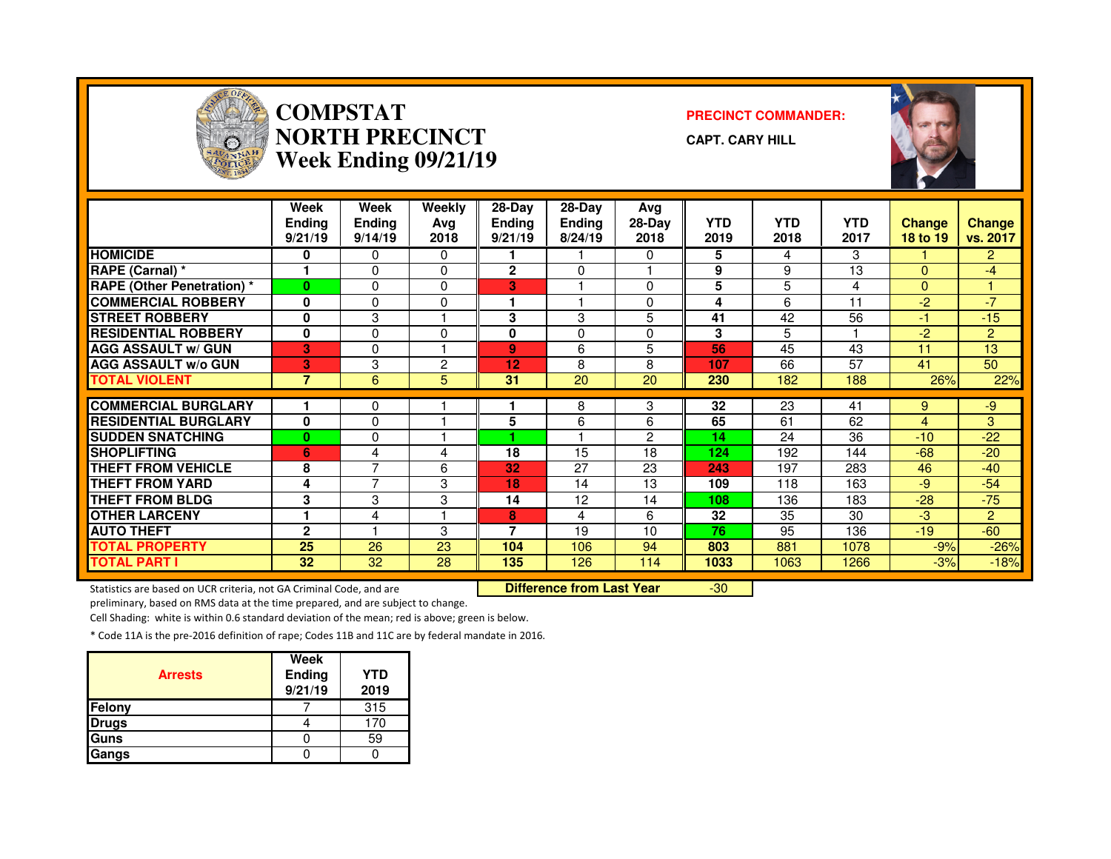

#### **COMPSTAT PRECINCT COMMANDER: NORTH PRECINCTWeek Ending 09/21/19**

**CAPT. CARY HILL**



|                                   | Week<br><b>Ending</b><br>9/21/19 | Week<br>Ending<br>9/14/19 | Weekly<br>Ava<br>2018 | 28-Day<br><b>Ending</b><br>9/21/19 | $28-Dav$<br><b>Ending</b><br>8/24/19 | Avg<br>$28-Day$<br>2018 | <b>YTD</b><br>2019 | <b>YTD</b><br>2018 | <b>YTD</b><br>2017 | <b>Change</b><br>18 to 19 | <b>Change</b><br>vs. 2017 |
|-----------------------------------|----------------------------------|---------------------------|-----------------------|------------------------------------|--------------------------------------|-------------------------|--------------------|--------------------|--------------------|---------------------------|---------------------------|
| <b>HOMICIDE</b>                   | 0                                | 0                         | 0                     |                                    |                                      | $\Omega$                | 5                  | 4                  | 3                  |                           | $\overline{2}$            |
| RAPE (Carnal) *                   |                                  | 0                         | $\Omega$              | $\mathbf{2}$                       | $\Omega$                             |                         | 9                  | 9                  | 13                 | $\Omega$                  | $-4$                      |
| <b>RAPE (Other Penetration) *</b> | $\bf{0}$                         | 0                         | $\Omega$              | 3                                  |                                      | $\Omega$                | 5                  | 5                  | 4                  | $\Omega$                  |                           |
| <b>COMMERCIAL ROBBERY</b>         | 0                                | 0                         | 0                     |                                    |                                      | $\Omega$                | 4                  | 6                  | 11                 | $-2$                      | $-7$                      |
| <b>STREET ROBBERY</b>             | 0                                | 3                         |                       | 3                                  | 3                                    | 5                       | 41                 | 42                 | 56                 | -1                        | $-15$                     |
| <b>RESIDENTIAL ROBBERY</b>        | $\bf{0}$                         | 0                         | $\Omega$              | $\bf{0}$                           | 0                                    | $\Omega$                | 3                  | 5                  |                    | $-2$                      | $\overline{2}$            |
| <b>AGG ASSAULT w/ GUN</b>         | 3                                | 0                         |                       | 9                                  | 6                                    | 5                       | 56                 | 45                 | 43                 | 11                        | 13                        |
| <b>AGG ASSAULT W/o GUN</b>        | 3                                | 3                         | 2                     | 12                                 | 8                                    | 8                       | 107                | 66                 | 57                 | 41                        | 50                        |
| <b>TOTAL VIOLENT</b>              | $\overline{7}$                   | 6                         | 5                     | 31                                 | 20                                   | 20                      | 230                | 182                | 188                | 26%                       | 22%                       |
|                                   |                                  |                           |                       |                                    |                                      |                         | 32                 | 23                 |                    |                           |                           |
| <b>COMMERCIAL BURGLARY</b>        |                                  | 0                         |                       |                                    | 8                                    | 3                       |                    |                    | 41                 | 9                         | -9                        |
| <b>RESIDENTIAL BURGLARY</b>       | 0                                | 0                         |                       | 5                                  | 6                                    | 6                       | 65                 | 61                 | 62                 | $\overline{4}$            | 3                         |
| <b>SUDDEN SNATCHING</b>           | $\bf{0}$                         | 0                         |                       |                                    |                                      | 2                       | 14                 | 24                 | 36                 | $-10$                     | $-22$                     |
| <b>SHOPLIFTING</b>                | 6                                | 4                         | 4                     | 18                                 | 15                                   | 18                      | 124                | 192                | 144                | -68                       | $-20$                     |
| <b>THEFT FROM VEHICLE</b>         | 8                                | 7                         | 6                     | 32                                 | 27                                   | 23                      | 243                | 197                | 283                | 46                        | $-40$                     |
| THEFT FROM YARD                   | 4                                | 7                         | 3                     | 18                                 | 14                                   | 13                      | 109                | 118                | 163                | -9                        | $-54$                     |
| <b>THEFT FROM BLDG</b>            | 3                                | 3                         | 3                     | 14                                 | 12                                   | 14                      | 108                | 136                | 183                | $-28$                     | $-75$                     |
| <b>OTHER LARCENY</b>              |                                  | 4                         |                       | 8                                  | 4                                    | 6                       | 32                 | 35                 | 30                 | $-3$                      | $\mathbf{P}$              |
| <b>AUTO THEFT</b>                 | $\mathbf{2}$                     |                           | 3                     | 7                                  | 19                                   | 10                      | 76                 | 95                 | 136                | $-19$                     | $-60$                     |
| <b>TOTAL PROPERTY</b>             | 25                               | 26                        | 23                    | 104                                | 106                                  | 94                      | 803                | 881                | 1078               | $-9%$                     | $-26%$                    |
| TOTAL PART I                      | 32                               | 32                        | 28                    | 135                                | 126                                  | 114                     | 1033               | 1063               | 1266               | $-3%$                     | $-18%$                    |

Statistics are based on UCR criteria, not GA Criminal Code, and are **Difference from Last Year** 

-30

preliminary, based on RMS data at the time prepared, and are subject to change.

Cell Shading: white is within 0.6 standard deviation of the mean; red is above; green is below.

| <b>Arrests</b> | Week<br>Ending<br>9/21/19 | YTD<br>2019 |
|----------------|---------------------------|-------------|
| <b>Felony</b>  |                           | 315         |
| <b>Drugs</b>   |                           | 170         |
| Guns           |                           | 59          |
| Gangs          |                           |             |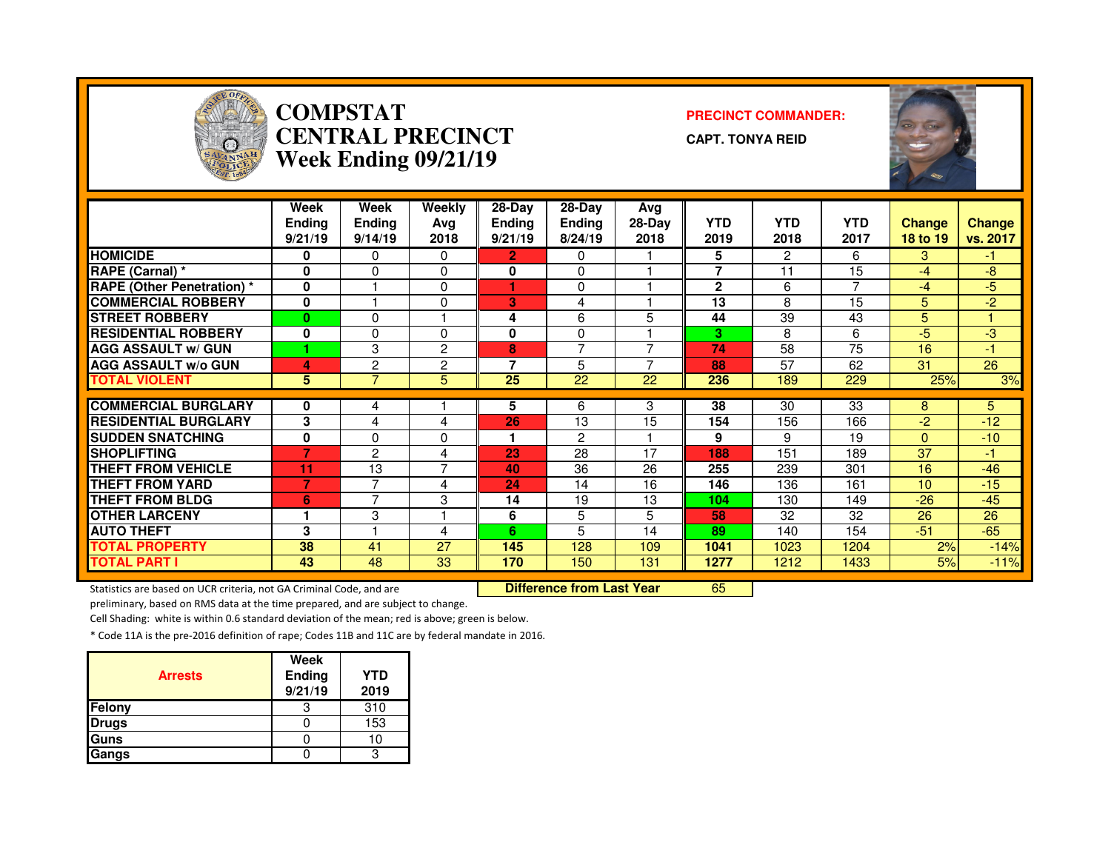

#### **COMPSTAT PRECINCT COMMANDER: CENTRAL PRECINCTWeek Ending 09/21/19**

**CAPT. TONYA REID**



|                                                | Week<br><b>Ending</b><br>9/21/19 | Week<br><b>Endina</b><br>9/14/19 | Weekly<br>Ava<br>2018 | $28-Dav$<br><b>Ending</b><br>9/21/19 | $28-Dav$<br><b>Ending</b><br>8/24/19 | Avg<br>28-Day<br>2018 | <b>YTD</b><br>2019 | <b>YTD</b><br>2018   | <b>YTD</b><br>2017 | <b>Change</b><br>18 to 19 | Change<br>vs. 2017 |
|------------------------------------------------|----------------------------------|----------------------------------|-----------------------|--------------------------------------|--------------------------------------|-----------------------|--------------------|----------------------|--------------------|---------------------------|--------------------|
| <b>HOMICIDE</b>                                | 0                                | 0                                | $\Omega$              | $\mathbf{2}$                         | 0                                    |                       | 5                  | $\mathbf{2}^{\circ}$ | 6                  | 3                         | -1                 |
| RAPE (Carnal) *                                | 0                                | 0                                | $\Omega$              | 0                                    | $\Omega$                             |                       | $\overline{7}$     | 11                   | 15                 | -4                        | -8                 |
| <b>RAPE (Other Penetration) *</b>              | $\mathbf 0$                      |                                  | $\mathbf 0$           |                                      | $\Omega$                             |                       | $\mathbf{2}$       | 6                    | 7                  | -4                        | $-5$               |
| <b>COMMERCIAL ROBBERY</b>                      | 0                                |                                  | $\mathbf 0$           | 3                                    | 4                                    |                       | 13                 | 8                    | 15                 | $5\phantom{.0}$           | $-2$               |
| <b>STREET ROBBERY</b>                          | $\bf{0}$                         | 0                                |                       | 4                                    | 6                                    | 5                     | 44                 | $\overline{39}$      | 43                 | 5                         |                    |
| <b>RESIDENTIAL ROBBERY</b>                     | 0                                | 0                                | $\Omega$              | 0                                    | $\Omega$                             |                       | 3                  | 8                    | 6                  | -5                        | -3                 |
| <b>AGG ASSAULT w/ GUN</b>                      |                                  | 3                                | $\overline{2}$        | 8                                    | $\overline{ }$                       |                       | 74                 | 58                   | 75                 | 16                        | -1                 |
| <b>AGG ASSAULT w/o GUN</b>                     | 4                                | $\overline{2}$                   | $\overline{2}$        | 7                                    | 5                                    |                       | 88                 | 57                   | 62                 | 31                        | 26                 |
| <b>TOTAL VIOLENT</b>                           | 5                                | $\overline{7}$                   | 5                     | 25                                   | 22                                   | 22                    | 236                | 189                  | 229                | 25%                       | 3%                 |
| <b>COMMERCIAL BURGLARY</b>                     | 0                                |                                  |                       | 5                                    | 6                                    | 3                     | 38                 | 30                   | 33                 | 8                         | 5                  |
| <b>RESIDENTIAL BURGLARY</b>                    | 3                                | 4                                |                       | 26                                   | 13                                   | 15                    | 154                | 156                  | 166                | -2                        | $-12$              |
|                                                | $\bf{0}$                         | 4                                | 4                     |                                      |                                      |                       | 9                  |                      | 19                 |                           |                    |
| <b>SUDDEN SNATCHING</b><br><b>SHOPLIFTING</b>  | $\overline{7}$                   | 0                                | 0                     | 23                                   | $\overline{c}$<br>28                 | 17                    | 188                | 9<br>151             | 189                | $\Omega$<br>37            | $-10$<br>-1        |
| <b>THEFT FROM VEHICLE</b>                      | 11                               | $\overline{2}$                   | 4<br>$\overline{7}$   | 40                                   | 36                                   | 26                    |                    |                      | 301                | 16                        | $-46$              |
| <b>THEFT FROM YARD</b>                         | 7                                | 13<br>7                          |                       | 24                                   | 14                                   | 16                    | 255<br>146         | 239<br>136           | 161                | 10                        | $-15$              |
|                                                |                                  | 7                                | 4<br>3                | 14                                   | 19                                   | 13                    |                    |                      |                    | $-26$                     | $-45$              |
| <b>THEFT FROM BLDG</b><br><b>OTHER LARCENY</b> | 6<br>1                           |                                  |                       |                                      |                                      | 5                     | 104                | 130<br>32            | 149                |                           | 26                 |
|                                                | 3                                | 3                                |                       | 6                                    | 5<br>5                               |                       | 58                 |                      | 32                 | 26                        |                    |
| <b>AUTO THEFT</b>                              |                                  |                                  | 4                     | 6                                    |                                      | 14                    | 89                 | 140                  | 154                | $-51$                     | $-65$              |
| <b>TOTAL PROPERTY</b>                          | 38                               | 41                               | 27                    | 145                                  | 128                                  | 109                   | 1041               | 1023                 | 1204               | 2%                        | $-14%$             |
| <b>TOTAL PART I</b>                            | 43                               | 48                               | 33                    | 170                                  | 150                                  | 131                   | 1277               | 1212                 | 1433               | 5%                        | $-11%$             |

Statistics are based on UCR criteria, not GA Criminal Code, and are **Difference from Last Year** 

<sup>65</sup>

preliminary, based on RMS data at the time prepared, and are subject to change.

Cell Shading: white is within 0.6 standard deviation of the mean; red is above; green is below.

| <b>Arrests</b> | Week<br>Ending<br>9/21/19 | <b>YTD</b><br>2019 |
|----------------|---------------------------|--------------------|
| Felony         |                           | 310                |
| <b>Drugs</b>   |                           | 153                |
| Guns           |                           | 10                 |
| Gangs          |                           |                    |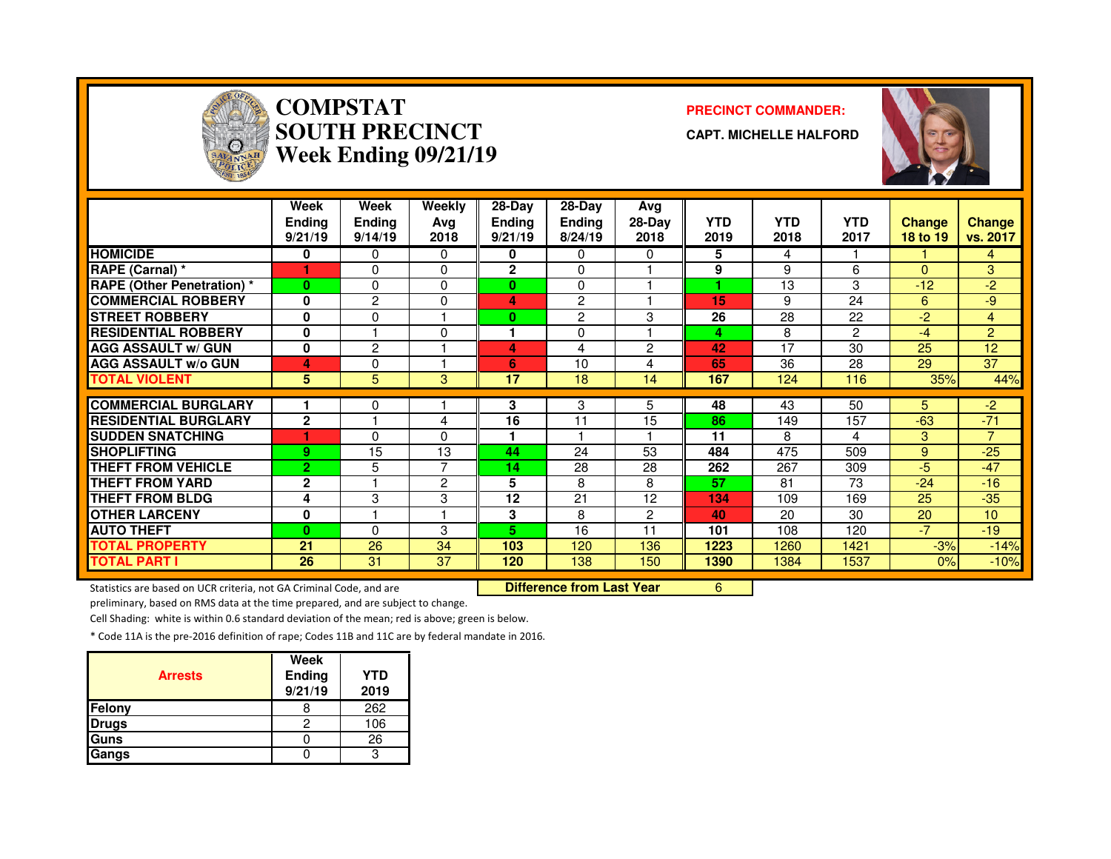

# **COMPSTAT PRECINCT COMMANDER: SOUTH PRECINCTWeek Ending 09/21/19**

**CAPT. MICHELLE HALFORD**



|                                   | Week<br><b>Ending</b><br>9/21/19 | Week<br><b>Ending</b><br>9/14/19 | Weekly<br>Avg<br>2018 | $28-Dav$<br><b>Ending</b><br>9/21/19 | 28-Dav<br><b>Ending</b><br>8/24/19 | Avg<br>$28-Day$<br>2018 | <b>YTD</b><br>2019 | <b>YTD</b><br>2018 | <b>YTD</b><br>2017 | <b>Change</b><br>18 to 19 | Change<br>vs. 2017 |
|-----------------------------------|----------------------------------|----------------------------------|-----------------------|--------------------------------------|------------------------------------|-------------------------|--------------------|--------------------|--------------------|---------------------------|--------------------|
| <b>HOMICIDE</b>                   | 0                                | 0                                | $\mathbf{0}$          | 0                                    | $\Omega$                           | 0                       | 5                  | 4                  |                    |                           | 4                  |
| RAPE (Carnal) *                   |                                  | 0                                | $\Omega$              | $\mathbf{2}$                         | $\Omega$                           |                         | 9                  | 9                  | 6                  | $\Omega$                  | 3                  |
| <b>RAPE (Other Penetration) *</b> | $\bf{0}$                         | $\Omega$                         | $\Omega$              | 0                                    | 0                                  |                         |                    | 13                 | 3                  | $-12$                     | $-2$               |
| <b>COMMERCIAL ROBBERY</b>         | 0                                | $\overline{c}$                   | $\Omega$              | 4                                    | $\overline{2}$                     |                         | 15                 | 9                  | 24                 | 6                         | $-9$               |
| <b>ISTREET ROBBERY</b>            | 0                                | 0                                |                       | 0                                    | $\overline{2}$                     | 3                       | 26                 | 28                 | 22                 | $-2$                      | $\overline{4}$     |
| <b>RESIDENTIAL ROBBERY</b>        | 0                                |                                  | $\Omega$              |                                      | 0                                  |                         | 4                  | 8                  | 2                  | $-4$                      | $\overline{2}$     |
| <b>AGG ASSAULT w/ GUN</b>         | 0                                | $\overline{c}$                   |                       | 4                                    | 4                                  | 2                       | 42                 | 17                 | 30                 | 25                        | 12                 |
| <b>AGG ASSAULT w/o GUN</b>        | 4                                | $\Omega$                         |                       | 6                                    | 10                                 | 4                       | 65                 | 36                 | 28                 | 29                        | 37                 |
| <b>TOTAL VIOLENT</b>              | 5                                | 5                                | 3                     | 17                                   | 18                                 | 14                      | 167                | 124                | 116                | 35%                       | 44%                |
| <b>COMMERCIAL BURGLARY</b>        |                                  | 0                                |                       | 3                                    | 3                                  | 5                       | 48                 | 43                 | 50                 | 5.                        | $-2$               |
| <b>RESIDENTIAL BURGLARY</b>       | $\mathbf{2}$                     |                                  | 4                     | 16                                   | 11                                 | 15                      | 86                 | 149                | 157                | $-63$                     | $-71$              |
| <b>ISUDDEN SNATCHING</b>          |                                  | 0                                | $\Omega$              |                                      |                                    |                         | 11                 | 8                  | 4                  | 3                         | $\overline{7}$     |
| <b>ISHOPLIFTING</b>               | 9                                | 15                               | 13                    | 44                                   | 24                                 | 53                      | 484                | 475                | 509                | 9                         | $-25$              |
| <b>THEFT FROM VEHICLE</b>         | $\overline{2}$                   | 5                                | 7                     | 14                                   | 28                                 | 28                      | 262                | 267                | 309                | $-5$                      | $-47$              |
| <b>THEFT FROM YARD</b>            | $\mathbf{2}$                     |                                  | 2                     | 5                                    | 8                                  | 8                       | 57                 | 81                 | 73                 | $-24$                     | $-16$              |
| <b>THEFT FROM BLDG</b>            | 4                                | 3                                | 3                     | 12                                   | 21                                 | 12                      | 134                | 109                | 169                | 25                        | $-35$              |
| <b>OTHER LARCENY</b>              | 0                                |                                  |                       | 3                                    | 8                                  | $\overline{2}$          | 40                 | 20                 | 30                 | 20                        | 10 <sup>1</sup>    |
| <b>AUTO THEFT</b>                 | $\bf{0}$                         | $\Omega$                         | 3                     | 5.                                   | 16                                 | 11                      | 101                | 108                | 120                | $-7$                      | $-19$              |
| <b>TOTAL PROPERTY</b>             | 21                               | 26                               | 34                    | 103                                  | 120                                | 136                     | 1223               | 1260               | 1421               | $-3%$                     | $-14%$             |
| <b>TOTAL PART I</b>               | 26                               | 31                               | 37                    | 120                                  | 138                                | 150                     | 1390               | 1384               | 1537               | 0%                        | $-10%$             |

Statistics are based on UCR criteria, not GA Criminal Code, and are **Difference from Last Year** 

<sup>6</sup>

preliminary, based on RMS data at the time prepared, and are subject to change.

Cell Shading: white is within 0.6 standard deviation of the mean; red is above; green is below.

| <b>Arrests</b> | Week<br>Ending<br>9/21/19 | <b>YTD</b><br>2019 |
|----------------|---------------------------|--------------------|
| Felony         |                           | 262                |
| <b>Drugs</b>   |                           | 106                |
| Guns           |                           | 26                 |
| Gangs          |                           |                    |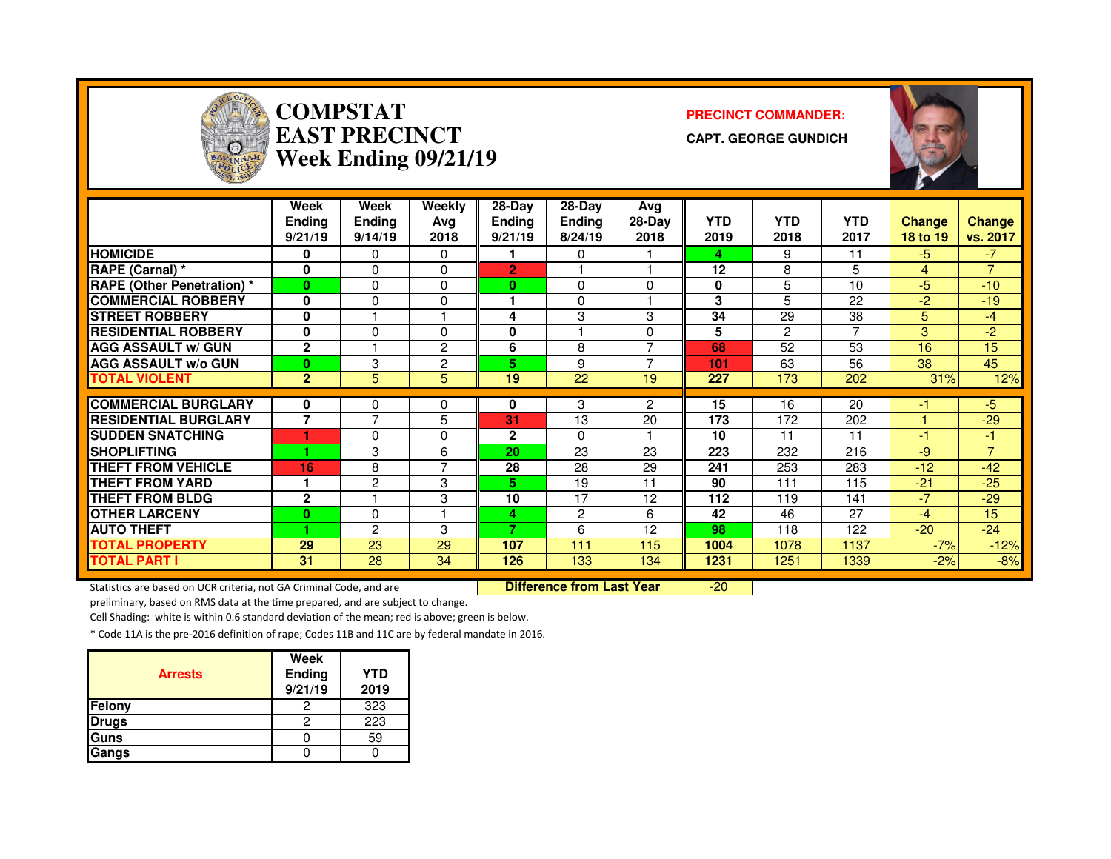

#### **COMPSTAT PRECINCT COMMANDER: EAST PRECINCTWeek Ending 09/21/19**

**CAPT. GEORGE GUNDICH**



|                                   | Week<br><b>Ending</b><br>9/21/19 | <b>Week</b><br><b>Endina</b><br>9/14/19 | <b>Weekly</b><br>Ava<br>2018 | $28-Day$<br><b>Ending</b><br>9/21/19 | 28-Dav<br><b>Ending</b><br>8/24/19 | Avg<br>28-Day<br>2018 | <b>YTD</b><br>2019 | <b>YTD</b><br>2018 | <b>YTD</b><br>2017 | <b>Change</b><br>18 to 19 | <b>Change</b><br>vs. 2017 |
|-----------------------------------|----------------------------------|-----------------------------------------|------------------------------|--------------------------------------|------------------------------------|-----------------------|--------------------|--------------------|--------------------|---------------------------|---------------------------|
| <b>HOMICIDE</b>                   | 0                                | 0                                       | 0                            |                                      | 0                                  |                       | 4                  | 9                  | 11                 | $-5$                      | $-7$                      |
| RAPE (Carnal) *                   | 0                                | 0                                       | $\Omega$                     | $\overline{2}$                       |                                    |                       | 12                 | 8                  | 5                  | 4                         | $\overline{7}$            |
| <b>RAPE (Other Penetration) *</b> | $\bf{0}$                         | 0                                       | $\Omega$                     | 0                                    | 0                                  | $\Omega$              | 0                  | 5                  | 10                 | $-5$                      | $-10$                     |
| <b>COMMERCIAL ROBBERY</b>         | 0                                | 0                                       | 0                            |                                      | $\Omega$                           |                       | 3                  | 5                  | 22                 | $-2$                      | $-19$                     |
| <b>STREET ROBBERY</b>             | 0                                |                                         |                              | 4                                    | 3                                  | 3                     | 34                 | 29                 | 38                 | 5.                        | $-4$                      |
| <b>RESIDENTIAL ROBBERY</b>        | 0                                | 0                                       | $\Omega$                     | 0                                    |                                    | $\Omega$              | 5                  | $\overline{2}$     | 7                  | 3                         | $-2$                      |
| <b>AGG ASSAULT w/ GUN</b>         | $\mathbf{2}$                     |                                         | $\overline{2}$               | 6                                    | 8                                  | $\overline{ }$        | 68                 | 52                 | 53                 | 16                        | 15                        |
| <b>AGG ASSAULT w/o GUN</b>        | $\bf{0}$                         | 3                                       | 2                            | 5                                    | 9                                  | ⇁                     | 101                | 63                 | 56                 | 38                        | 45                        |
| <b>TOTAL VIOLENT</b>              | $\overline{2}$                   | 5                                       | 5                            | 19                                   | 22                                 | 19                    | 227                | 173                | 202                | 31%                       | 12%                       |
|                                   |                                  |                                         |                              |                                      |                                    |                       |                    |                    |                    |                           |                           |
| <b>COMMERCIAL BURGLARY</b>        | 0                                | 0                                       | 0                            | 0                                    | 3                                  | $\overline{2}$        | 15                 | 16                 | 20                 | -1                        | $-5$                      |
| <b>RESIDENTIAL BURGLARY</b>       | $\overline{7}$                   | 7                                       | 5                            | 31                                   | 13                                 | 20                    | 173                | 172                | 202                |                           | $-29$                     |
| <b>SUDDEN SNATCHING</b>           |                                  | 0                                       | 0                            | $\mathbf{2}$                         | $\Omega$                           |                       | 10                 | 11                 | 11                 | -1                        | 47                        |
| <b>SHOPLIFTING</b>                |                                  | 3                                       | 6                            | 20                                   | 23                                 | 23                    | 223                | 232                | 216                | $-9$                      | $\overline{7}$            |
| <b>THEFT FROM VEHICLE</b>         | 16                               | 8                                       | $\overline{7}$               | 28                                   | 28                                 | 29                    | 241                | 253                | 283                | $-12$                     | $-42$                     |
| <b>THEFT FROM YARD</b>            | 1                                | $\overline{c}$                          | 3                            | 5.                                   | 19                                 | 11                    | 90                 | 111                | 115                | $-21$                     | $-25$                     |
| <b>THEFT FROM BLDG</b>            | $\mathbf{2}$                     |                                         | 3                            | 10                                   | 17                                 | 12                    | 112                | 119                | 141                | -7                        | $-29$                     |
| <b>OTHER LARCENY</b>              | $\bf{0}$                         | 0                                       |                              | 4                                    | $\overline{2}$                     | 6                     | 42                 | 46                 | 27                 | $-4$                      | 15                        |
| <b>AUTO THEFT</b>                 |                                  | $\overline{2}$                          | 3                            | 7                                    | 6                                  | 12                    | 98                 | 118                | 122                | $-20$                     | $-24$                     |
| <b>TOTAL PROPERTY</b>             | 29                               | 23                                      | 29                           | 107                                  | 111                                | 115                   | 1004               | 1078               | 1137               | $-7%$                     | $-12%$                    |
| <b>TOTAL PART I</b>               | 31                               | 28                                      | 34                           | 126                                  | 133                                | 134                   | 1231               | 1251               | 1339               | $-2%$                     | $-8%$                     |

Statistics are based on UCR criteria, not GA Criminal Code, and are **Difference from Last Year** 

-20

preliminary, based on RMS data at the time prepared, and are subject to change.

Cell Shading: white is within 0.6 standard deviation of the mean; red is above; green is below.

| <b>Arrests</b> | Week<br>Ending<br>9/21/19 | <b>YTD</b><br>2019 |
|----------------|---------------------------|--------------------|
| <b>Felony</b>  |                           | 323                |
| <b>Drugs</b>   |                           | 223                |
| <b>Guns</b>    |                           | 59                 |
| Gangs          |                           |                    |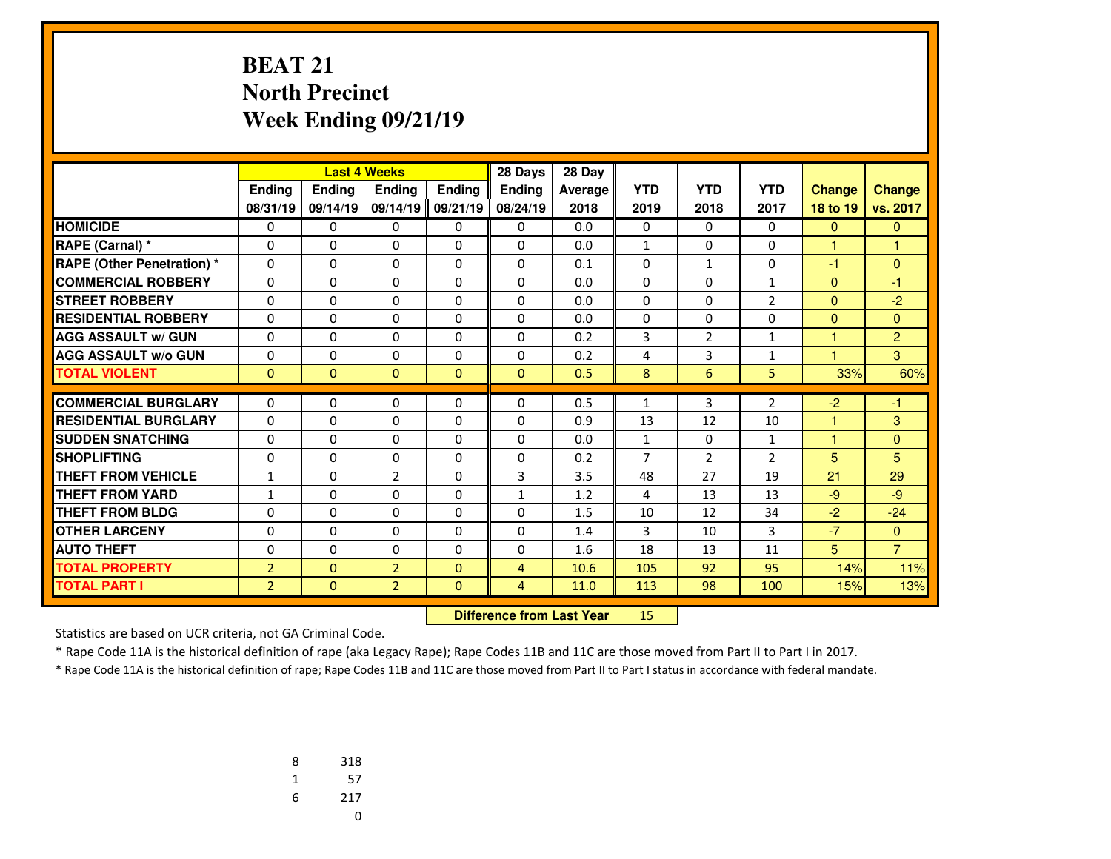#### **BEAT 21 North PrecinctWeek Ending 09/21/19**

|                                   |                |          | <b>Last 4 Weeks</b> |              | 28 Days        | 28 Day  |                |                |                |                      |                |
|-----------------------------------|----------------|----------|---------------------|--------------|----------------|---------|----------------|----------------|----------------|----------------------|----------------|
|                                   | Ending         | Ending   | <b>Endina</b>       | Ending       | <b>Endina</b>  | Average | <b>YTD</b>     | <b>YTD</b>     | <b>YTD</b>     | <b>Change</b>        | <b>Change</b>  |
|                                   | 08/31/19       | 09/14/19 | 09/14/19            | 09/21/19     | 08/24/19       | 2018    | 2019           | 2018           | 2017           | 18 to 19             | vs. 2017       |
| <b>HOMICIDE</b>                   | 0              | 0        | 0                   | 0            | 0              | 0.0     | 0              | 0              | 0              | $\mathbf{0}$         | $\mathbf{0}$   |
| RAPE (Carnal) *                   | 0              | 0        | 0                   | 0            | 0              | 0.0     | $\mathbf{1}$   | 0              | 0              | 1                    | 1              |
| <b>RAPE (Other Penetration) *</b> | $\Omega$       | $\Omega$ | $\Omega$            | $\Omega$     | $\Omega$       | 0.1     | $\Omega$       | $\mathbf{1}$   | $\Omega$       | $-1$                 | $\Omega$       |
| <b>COMMERCIAL ROBBERY</b>         | $\Omega$       | $\Omega$ | $\Omega$            | $\Omega$     | $\Omega$       | 0.0     | $\Omega$       | $\Omega$       | 1              | $\Omega$             | $-1$           |
| <b>STREET ROBBERY</b>             | $\Omega$       | $\Omega$ | $\Omega$            | $\Omega$     | $\Omega$       | 0.0     | $\Omega$       | 0              | $\overline{2}$ | $\mathbf{0}$         | $-2$           |
| <b>RESIDENTIAL ROBBERY</b>        | 0              | 0        | 0                   | 0            | $\Omega$       | 0.0     | 0              | 0              | 0              | $\Omega$             | $\Omega$       |
| <b>AGG ASSAULT w/ GUN</b>         | $\Omega$       | $\Omega$ | $\Omega$            | $\Omega$     | $\Omega$       | 0.2     | 3              | $\overline{2}$ | 1              | 1                    | $\overline{2}$ |
| <b>AGG ASSAULT w/o GUN</b>        | 0              | 0        | 0                   | 0            | $\Omega$       | 0.2     | 4              | 3              | 1              | н                    | 3              |
| <b>TOTAL VIOLENT</b>              | $\mathbf{0}$   | $\Omega$ | $\mathbf{0}$        | $\mathbf{0}$ | $\mathbf{0}$   | 0.5     | 8              | 6              | 5              | 33%                  | 60%            |
|                                   |                |          |                     |              |                |         |                |                |                |                      |                |
| <b>COMMERCIAL BURGLARY</b>        | 0              | 0        | 0                   | 0            | $\mathbf{0}$   | 0.5     | 1              | 3              | $\overline{2}$ | $-2$                 | -1             |
| <b>RESIDENTIAL BURGLARY</b>       | $\Omega$       | $\Omega$ | $\Omega$            | $\Omega$     | $\Omega$       | 0.9     | 13             | 12             | 10             | 1                    | 3              |
| <b>SUDDEN SNATCHING</b>           | $\Omega$       | $\Omega$ | $\Omega$            | $\Omega$     | $\Omega$       | 0.0     | $\mathbf{1}$   | $\Omega$       | 1              | $\blacktriangleleft$ | $\Omega$       |
| <b>SHOPLIFTING</b>                | 0              | $\Omega$ | 0                   | 0            | $\Omega$       | 0.2     | $\overline{7}$ | $\overline{2}$ | $\overline{2}$ | 5                    | 5              |
| <b>THEFT FROM VEHICLE</b>         | $\mathbf{1}$   | $\Omega$ | $\overline{2}$      | $\Omega$     | 3              | 3.5     | 48             | 27             | 19             | 21                   | 29             |
| <b>THEFT FROM YARD</b>            | $\mathbf{1}$   | $\Omega$ | $\Omega$            | $\Omega$     | $\mathbf{1}$   | 1.2     | 4              | 13             | 13             | $-9$                 | $-9$           |
| <b>THEFT FROM BLDG</b>            | 0              | 0        | 0                   | 0            | $\Omega$       | 1.5     | 10             | 12             | 34             | $-2$                 | $-24$          |
| <b>OTHER LARCENY</b>              | $\Omega$       | $\Omega$ | $\Omega$            | $\Omega$     | $\Omega$       | 1.4     | 3              | 10             | 3              | $-7$                 | $\mathbf{0}$   |
| <b>AUTO THEFT</b>                 | 0              | 0        | 0                   | 0            | $\Omega$       | 1.6     | 18             | 13             | 11             | 5                    | $\overline{7}$ |
| <b>TOTAL PROPERTY</b>             | $\overline{2}$ | $\Omega$ | $\overline{2}$      | $\Omega$     | 4              | 10.6    | 105            | 92             | 95             | 14%                  | 11%            |
| <b>TOTAL PART I</b>               | $\overline{2}$ | $\Omega$ | $\overline{2}$      | $\mathbf{0}$ | $\overline{4}$ | 11.0    | 113            | 98             | 100            | 15%                  | 13%            |

 **Difference from Last Year**<sup>15</sup>

Statistics are based on UCR criteria, not GA Criminal Code.

\* Rape Code 11A is the historical definition of rape (aka Legacy Rape); Rape Codes 11B and 11C are those moved from Part II to Part I in 2017.

| 8 | 318 |
|---|-----|
| 1 | 57  |
| 6 | 217 |
|   | U   |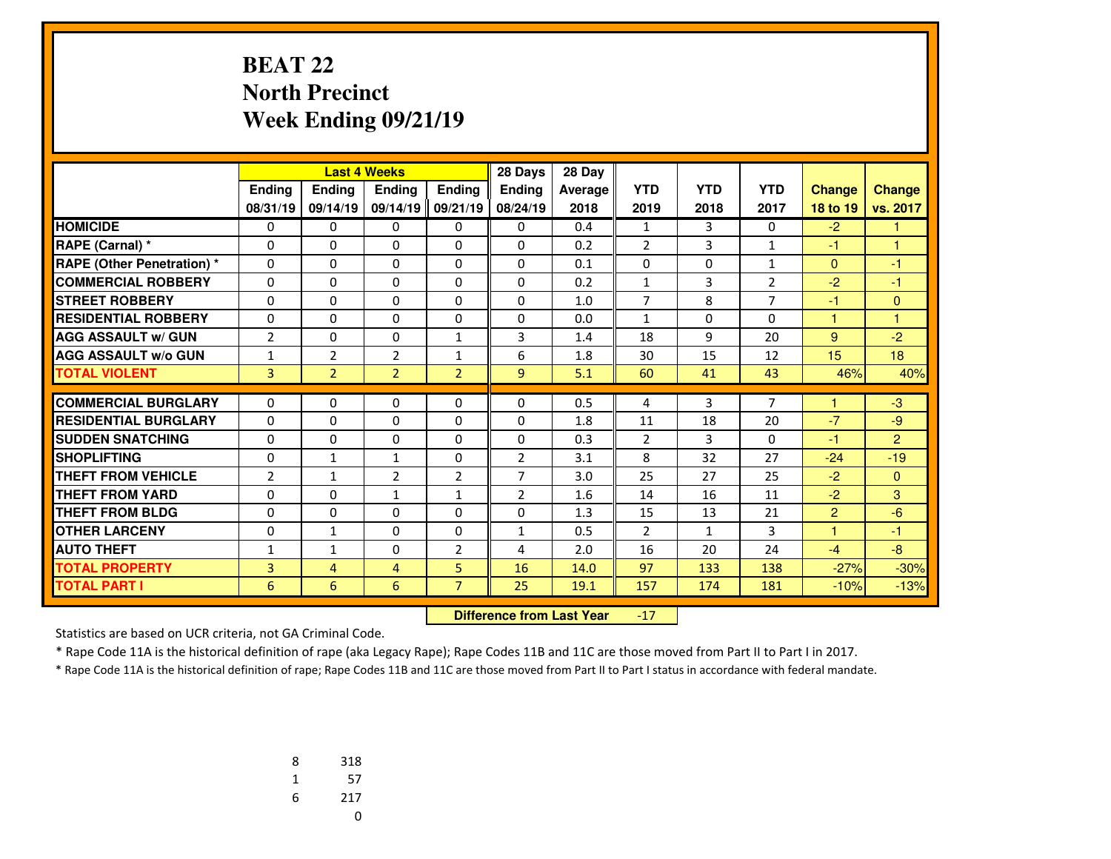#### **BEAT 22 North PrecinctWeek Ending 09/21/19**

|                                   |                |                | <b>Last 4 Weeks</b> |                | 28 Days        | 28 Day  |                |              |                |               |               |
|-----------------------------------|----------------|----------------|---------------------|----------------|----------------|---------|----------------|--------------|----------------|---------------|---------------|
|                                   | Ending         | Ending         | <b>Endina</b>       | <b>Endina</b>  | <b>Endina</b>  | Average | <b>YTD</b>     | <b>YTD</b>   | <b>YTD</b>     | <b>Change</b> | <b>Change</b> |
|                                   | 08/31/19       | 09/14/19       | 09/14/19            | 09/21/19       | 08/24/19       | 2018    | 2019           | 2018         | 2017           | 18 to 19      | vs. 2017      |
| <b>HOMICIDE</b>                   | 0              | 0              | 0                   | 0              | 0              | 0.4     | $\mathbf{1}$   | 3            | 0              | $-2$          |               |
| RAPE (Carnal) *                   | 0              | $\Omega$       | $\Omega$            | 0              | $\Omega$       | 0.2     | $\overline{2}$ | 3            | $\mathbf{1}$   | $-1$          | 1             |
| <b>RAPE (Other Penetration)</b> * | $\Omega$       | $\Omega$       | $\Omega$            | $\Omega$       | $\Omega$       | 0.1     | $\Omega$       | $\Omega$     | 1              | $\mathbf{0}$  | $-1$          |
| <b>COMMERCIAL ROBBERY</b>         | 0              | 0              | 0                   | 0              | 0              | 0.2     | $\mathbf{1}$   | 3            | $\overline{2}$ | $-2$          | $-1$          |
| <b>STREET ROBBERY</b>             | 0              | $\Omega$       | $\Omega$            | 0              | $\Omega$       | 1.0     | $\overline{7}$ | 8            | $\overline{7}$ | $-1$          | $\Omega$      |
| <b>RESIDENTIAL ROBBERY</b>        | 0              | 0              | 0                   | $\Omega$       | $\Omega$       | 0.0     | $\mathbf{1}$   | 0            | 0              | 1             | 1             |
| <b>AGG ASSAULT w/ GUN</b>         | $\overline{2}$ | 0              | 0                   | $\mathbf{1}$   | 3              | 1.4     | 18             | 9            | 20             | 9             | $-2$          |
| <b>AGG ASSAULT w/o GUN</b>        | 1              | $\overline{2}$ | $\overline{2}$      | $\mathbf{1}$   | 6              | 1.8     | 30             | 15           | 12             | 15            | 18            |
| <b>TOTAL VIOLENT</b>              | 3              | $\overline{2}$ | $\overline{2}$      | $\overline{2}$ | 9              | 5.1     | 60             | 41           | 43             | 46%           | 40%           |
|                                   |                |                |                     |                |                |         |                |              |                | 1             |               |
| <b>COMMERCIAL BURGLARY</b>        | 0              | 0              | 0                   | 0              | $\Omega$       | 0.5     | 4              | 3            | $\overline{7}$ |               | $-3$          |
| <b>RESIDENTIAL BURGLARY</b>       | $\Omega$       | $\Omega$       | $\Omega$            | $\Omega$       | $\Omega$       | 1.8     | 11             | 18           | 20             | $-7$          | $-9$          |
| <b>SUDDEN SNATCHING</b>           | $\Omega$       | $\Omega$       | $\Omega$            | $\Omega$       | $\Omega$       | 0.3     | $\overline{2}$ | 3            | $\Omega$       | $-1$          | 2             |
| <b>SHOPLIFTING</b>                | 0              | 1              | $\mathbf{1}$        | 0              | $\overline{2}$ | 3.1     | 8              | 32           | 27             | $-24$         | $-19$         |
| <b>THEFT FROM VEHICLE</b>         | 2              | $\mathbf{1}$   | $\overline{2}$      | $\overline{2}$ | $\overline{7}$ | 3.0     | 25             | 27           | 25             | $-2$          | $\mathbf{0}$  |
| <b>THEFT FROM YARD</b>            | $\Omega$       | $\Omega$       | $\mathbf{1}$        | $\mathbf{1}$   | $\overline{2}$ | 1.6     | 14             | 16           | 11             | $-2$          | 3             |
| <b>THEFT FROM BLDG</b>            | 0              | 0              | 0                   | 0              | $\Omega$       | 1.3     | 15             | 13           | 21             | 2             | $-6$          |
| <b>OTHER LARCENY</b>              | 0              | $\mathbf{1}$   | 0                   | 0              | $\mathbf{1}$   | 0.5     | $\overline{2}$ | $\mathbf{1}$ | 3              | 1             | $-1$          |
| <b>AUTO THEFT</b>                 | 1              | $\mathbf{1}$   | 0                   | $\overline{2}$ | 4              | 2.0     | 16             | 20           | 24             | $-4$          | $-8$          |
| <b>TOTAL PROPERTY</b>             | 3              | 4              | 4                   | 5              | 16             | 14.0    | 97             | 133          | 138            | $-27%$        | $-30%$        |
| <b>TOTAL PART I</b>               | 6              | 6              | 6                   | $\overline{7}$ | 25             | 19.1    | 157            | 174          | 181            | $-10%$        | $-13%$        |

 **Difference from Last Year** $-17$ 

Statistics are based on UCR criteria, not GA Criminal Code.

\* Rape Code 11A is the historical definition of rape (aka Legacy Rape); Rape Codes 11B and 11C are those moved from Part II to Part I in 2017.

| 8 | 318 |
|---|-----|
| 1 | 57  |
| 6 | 217 |
|   | U   |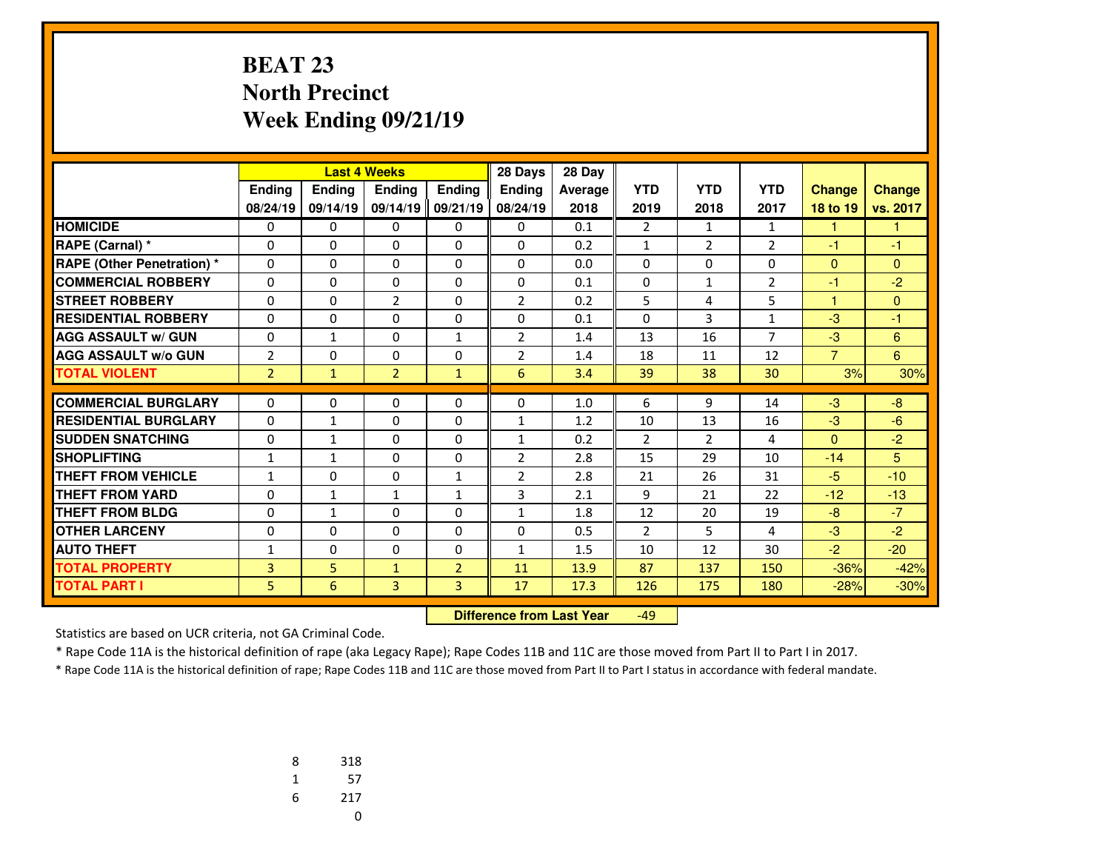#### **BEAT 23 North PrecinctWeek Ending 09/21/19**

|                                   |                |               | <b>Last 4 Weeks</b> |                | 28 Days        | 28 Day  |                |                |                |                |               |
|-----------------------------------|----------------|---------------|---------------------|----------------|----------------|---------|----------------|----------------|----------------|----------------|---------------|
|                                   | Ending         | <b>Ending</b> | <b>Endina</b>       | <b>Endina</b>  | <b>Endina</b>  | Average | <b>YTD</b>     | <b>YTD</b>     | <b>YTD</b>     | <b>Change</b>  | <b>Change</b> |
|                                   | 08/24/19       | 09/14/19      | 09/14/19            | 09/21/19       | 08/24/19       | 2018    | 2019           | 2018           | 2017           | 18 to 19       | vs. 2017      |
| <b>HOMICIDE</b>                   | 0              | 0             | 0                   | 0              | 0              | 0.1     | $\overline{2}$ | 1              | 1              | 1.             | 1             |
| RAPE (Carnal) *                   | 0              | 0             | $\Omega$            | 0              | $\Omega$       | 0.2     | $\mathbf{1}$   | $\overline{2}$ | $\overline{2}$ | -1             | $-1$          |
| <b>RAPE (Other Penetration)</b> * | $\Omega$       | 0             | $\Omega$            | $\Omega$       | $\Omega$       | 0.0     | $\Omega$       | $\Omega$       | $\Omega$       | $\mathbf{0}$   | $\Omega$      |
| <b>COMMERCIAL ROBBERY</b>         | 0              | 0             | 0                   | 0              | $\Omega$       | 0.1     | 0              | $\mathbf{1}$   | $\overline{2}$ | -1             | $-2$          |
| <b>STREET ROBBERY</b>             | 0              | $\Omega$      | $\overline{2}$      | 0              | $\overline{2}$ | 0.2     | 5              | 4              | 5              | $\mathbf{1}$   | $\Omega$      |
| <b>RESIDENTIAL ROBBERY</b>        | 0              | 0             | $\Omega$            | $\Omega$       | 0              | 0.1     | 0              | 3              | $\mathbf{1}$   | $-3$           | $-1$          |
| <b>AGG ASSAULT w/ GUN</b>         | 0              | $\mathbf{1}$  | 0                   | $\mathbf{1}$   | $\overline{2}$ | 1.4     | 13             | 16             | 7              | $-3$           | 6             |
| <b>AGG ASSAULT w/o GUN</b>        | $\overline{2}$ | 0             | 0                   | 0              | $\overline{2}$ | 1.4     | 18             | 11             | 12             | $\overline{7}$ | 6             |
| <b>TOTAL VIOLENT</b>              | $\overline{2}$ | $\mathbf{1}$  | $\overline{2}$      | $\mathbf{1}$   | 6              | 3.4     | 39             | 38             | 30             | 3%             | 30%           |
| <b>COMMERCIAL BURGLARY</b>        | $\Omega$       | 0             | 0                   | 0              | $\Omega$       | 1.0     | 6              | 9              | 14             | $-3$           | $-8$          |
| <b>RESIDENTIAL BURGLARY</b>       |                |               |                     |                |                |         |                |                |                |                |               |
|                                   | $\Omega$       | $\mathbf{1}$  | 0                   | $\Omega$       | $\mathbf{1}$   | 1.2     | 10             | 13             | 16             | $-3$           | $-6$          |
| <b>SUDDEN SNATCHING</b>           | $\Omega$       | $\mathbf{1}$  | $\Omega$            | $\Omega$       | $\mathbf{1}$   | 0.2     | $\overline{2}$ | $\overline{2}$ | 4              | $\mathbf{0}$   | $-2$          |
| <b>SHOPLIFTING</b>                | 1              | $\mathbf{1}$  | $\Omega$            | 0              | 2              | 2.8     | 15             | 29             | 10             | $-14$          | 5             |
| <b>THEFT FROM VEHICLE</b>         | $\mathbf{1}$   | $\Omega$      | $\Omega$            | $\mathbf{1}$   | $\overline{2}$ | 2.8     | 21             | 26             | 31             | $-5$           | $-10$         |
| <b>THEFT FROM YARD</b>            | 0              | $\mathbf{1}$  | $\mathbf{1}$        | $\mathbf{1}$   | 3              | 2.1     | 9              | 21             | 22             | $-12$          | $-13$         |
| <b>THEFT FROM BLDG</b>            | 0              | $\mathbf{1}$  | 0                   | 0              | 1              | 1.8     | 12             | 20             | 19             | $-8$           | $-7$          |
| <b>OTHER LARCENY</b>              | 0              | 0             | 0                   | 0              | 0              | 0.5     | $\overline{2}$ | 5              | 4              | $-3$           | $-2$          |
| <b>AUTO THEFT</b>                 | 1              | 0             | 0                   | 0              | $\mathbf{1}$   | 1.5     | 10             | 12             | 30             | $-2$           | $-20$         |
| <b>TOTAL PROPERTY</b>             | 3              | 5             | $\mathbf{1}$        | $\overline{2}$ | 11             | 13.9    | 87             | 137            | 150            | $-36%$         | $-42%$        |
| <b>TOTAL PART I</b>               | 5              | 6             | 3                   | 3              | 17             | 17.3    | 126            | 175            | 180            | $-28%$         | $-30%$        |

 **Difference from Last Year**-49

Statistics are based on UCR criteria, not GA Criminal Code.

\* Rape Code 11A is the historical definition of rape (aka Legacy Rape); Rape Codes 11B and 11C are those moved from Part II to Part I in 2017.

| 8 | 318 |
|---|-----|
| 1 | 57  |
| 6 | 217 |
|   | U   |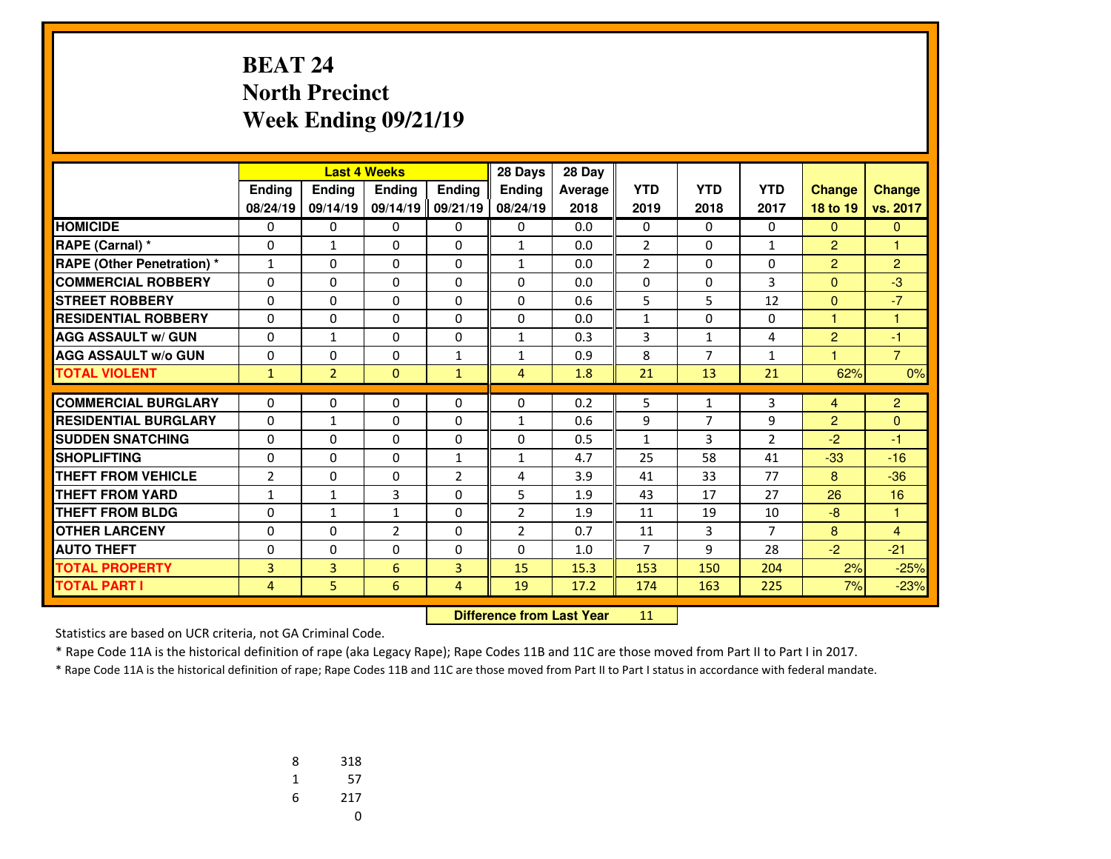#### **BEAT 24 North PrecinctWeek Ending 09/21/19**

|                                   |                |                | <b>Last 4 Weeks</b> |                | 28 Days        | 28 Day  |                |                |                |                |                |
|-----------------------------------|----------------|----------------|---------------------|----------------|----------------|---------|----------------|----------------|----------------|----------------|----------------|
|                                   | Ending         | <b>Ending</b>  | <b>Endina</b>       | <b>Ending</b>  | <b>Endina</b>  | Average | <b>YTD</b>     | <b>YTD</b>     | <b>YTD</b>     | <b>Change</b>  | <b>Change</b>  |
|                                   | 08/24/19       | 09/14/19       | 09/14/19            | 09/21/19       | 08/24/19       | 2018    | 2019           | 2018           | 2017           | 18 to 19       | vs. 2017       |
| <b>HOMICIDE</b>                   | 0              | 0              | 0                   | 0              | 0              | 0.0     | 0              | $\mathbf{0}$   | 0              | $\mathbf{0}$   | $\mathbf{0}$   |
| <b>RAPE (Carnal) *</b>            | 0              | $\mathbf{1}$   | 0                   | $\mathbf{0}$   | $\mathbf{1}$   | 0.0     | $\overline{2}$ | $\Omega$       | $\mathbf{1}$   | $\overline{2}$ | $\overline{1}$ |
| <b>RAPE (Other Penetration) *</b> | $\mathbf{1}$   | $\Omega$       | $\Omega$            | $\Omega$       | 1              | 0.0     | $\overline{2}$ | $\Omega$       | $\Omega$       | $\overline{2}$ | $\overline{2}$ |
| <b>COMMERCIAL ROBBERY</b>         | $\Omega$       | $\Omega$       | $\Omega$            | $\Omega$       | $\Omega$       | 0.0     | $\Omega$       | 0              | 3              | $\mathbf{0}$   | $-3$           |
| <b>STREET ROBBERY</b>             | 0              | 0              | 0                   | $\mathbf{0}$   | $\Omega$       | 0.6     | 5              | 5              | 12             | $\mathbf{0}$   | $-7$           |
| <b>RESIDENTIAL ROBBERY</b>        | 0              | 0              | $\Omega$            | $\Omega$       | $\mathbf{0}$   | 0.0     | $\mathbf{1}$   | 0              | 0              | $\mathbf{1}$   | 1              |
| <b>AGG ASSAULT w/ GUN</b>         | 0              | $\mathbf{1}$   | 0                   | $\mathbf{0}$   | 1              | 0.3     | 3              | $\mathbf{1}$   | 4              | $\overline{c}$ | $-1$           |
| <b>AGG ASSAULT w/o GUN</b>        | $\Omega$       | $\Omega$       | $\Omega$            | 1              | $\mathbf{1}$   | 0.9     | 8              | $\overline{7}$ | $\mathbf{1}$   | 1              | $\overline{7}$ |
| <b>TOTAL VIOLENT</b>              | $\mathbf{1}$   | $\overline{2}$ | $\Omega$            | $\mathbf{1}$   | $\overline{4}$ | 1.8     | 21             | 13             | 21             | 62%            | 0%             |
|                                   |                |                |                     |                |                |         |                |                |                |                |                |
| <b>COMMERCIAL BURGLARY</b>        | 0              | 0              | 0                   | $\mathbf{0}$   | 0              | 0.2     | 5              | 1              | 3              | 4              | $\overline{2}$ |
| <b>RESIDENTIAL BURGLARY</b>       | $\Omega$       | $\mathbf{1}$   | 0                   | 0              | 1              | 0.6     | 9              | $\overline{7}$ | 9              | $\overline{2}$ | $\overline{0}$ |
| <b>SUDDEN SNATCHING</b>           | $\Omega$       | $\Omega$       | $\Omega$            | $\Omega$       | $\mathbf{0}$   | 0.5     | $\mathbf{1}$   | 3              | 2              | $-2$           | $-1$           |
| SHOPLIFTING                       | $\Omega$       | $\Omega$       | $\Omega$            | $\mathbf{1}$   | $\mathbf{1}$   | 4.7     | 25             | 58             | 41             | $-33$          | $-16$          |
| <b>THEFT FROM VEHICLE</b>         | $\overline{2}$ | 0              | 0                   | $\overline{2}$ | 4              | 3.9     | 41             | 33             | 77             | 8              | $-36$          |
| <b>THEFT FROM YARD</b>            | $\mathbf{1}$   | $\mathbf{1}$   | 3                   | $\Omega$       | 5              | 1.9     | 43             | 17             | 27             | 26             | 16             |
| <b>THEFT FROM BLDG</b>            | 0              | $\mathbf{1}$   | $\mathbf{1}$        | $\Omega$       | $\overline{2}$ | 1.9     | 11             | 19             | 10             | $-8$           | 1              |
| <b>OTHER LARCENY</b>              | 0              | $\Omega$       | $\overline{2}$      | $\Omega$       | $\overline{2}$ | 0.7     | 11             | $\overline{3}$ | $\overline{7}$ | 8              | $\overline{4}$ |
| <b>AUTO THEFT</b>                 | 0              | 0              | 0                   | $\mathbf{0}$   | $\Omega$       | 1.0     | $\overline{7}$ | 9              | 28             | $-2$           | $-21$          |
| <b>TOTAL PROPERTY</b>             | 3              | 3              | 6                   | 3              | 15             | 15.3    | 153            | 150            | 204            | 2%             | $-25%$         |
| <b>TOTAL PART I</b>               | 4              | 5              | 6                   | 4              | 19             | 17.2    | 174            | 163            | 225            | 7%             | $-23%$         |

 **Difference from Last Year**<sup>11</sup>

Statistics are based on UCR criteria, not GA Criminal Code.

\* Rape Code 11A is the historical definition of rape (aka Legacy Rape); Rape Codes 11B and 11C are those moved from Part II to Part I in 2017.

| 8 | 318 |
|---|-----|
| 1 | 57  |
| 6 | 217 |
|   | U   |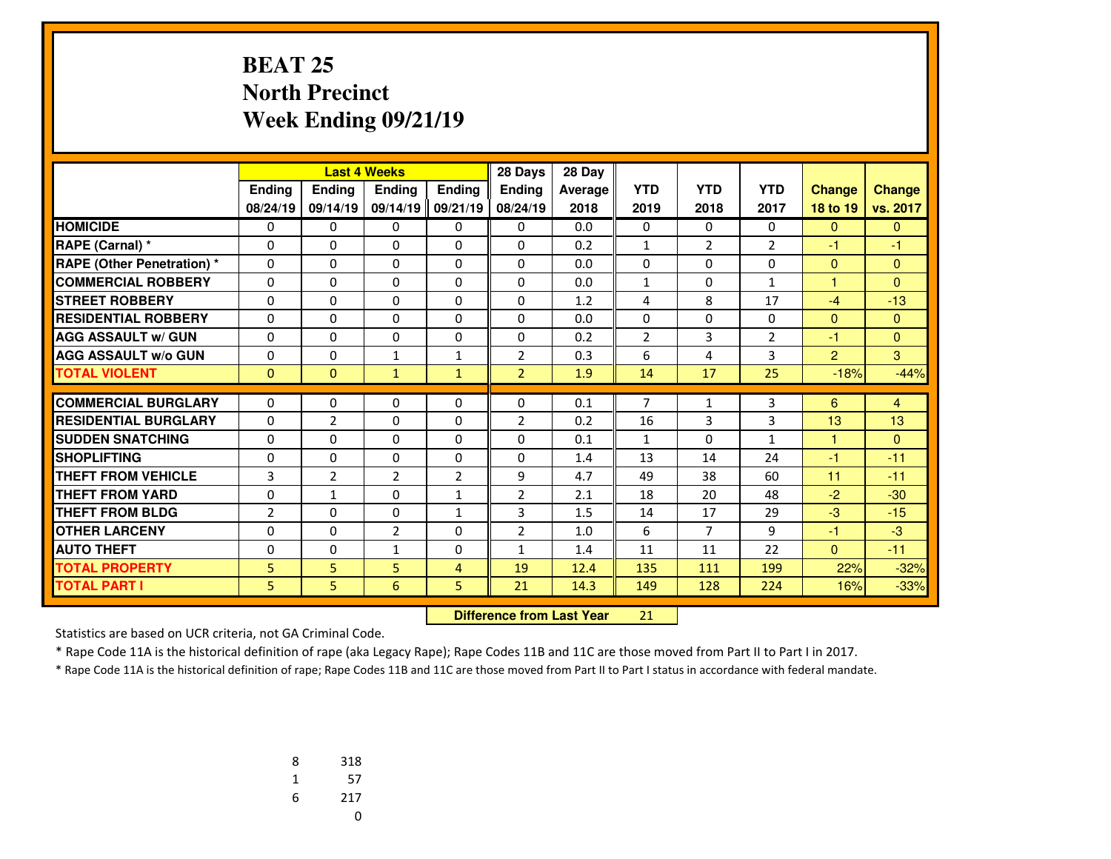# **BEAT 25 North PrecinctWeek Ending 09/21/19**

|                                   |                | <b>Last 4 Weeks</b> |                |                | 28 Days        | 28 Day  |                |                |                |                |                |
|-----------------------------------|----------------|---------------------|----------------|----------------|----------------|---------|----------------|----------------|----------------|----------------|----------------|
|                                   | Ending         | <b>Endina</b>       | <b>Endina</b>  | Ending         | <b>Endina</b>  | Average | <b>YTD</b>     | <b>YTD</b>     | <b>YTD</b>     | <b>Change</b>  | <b>Change</b>  |
|                                   | 08/24/19       | 09/14/19            | 09/14/19       | 09/21/19       | 08/24/19       | 2018    | 2019           | 2018           | 2017           | 18 to 19       | vs. 2017       |
| <b>HOMICIDE</b>                   | 0              | 0                   | 0              | 0              | 0              | 0.0     | 0              | 0              | $\Omega$       | $\mathbf{0}$   | $\mathbf{0}$   |
| <b>RAPE (Carnal) *</b>            | 0              | 0                   | 0              | $\Omega$       | $\Omega$       | 0.2     | $\mathbf{1}$   | $\overline{2}$ | $\overline{2}$ | -1             | $-1$           |
| <b>RAPE (Other Penetration) *</b> | 0              | $\Omega$            | $\Omega$       | 0              | $\Omega$       | 0.0     | 0              | $\Omega$       | $\Omega$       | $\mathbf{0}$   | $\mathbf{0}$   |
| <b>COMMERCIAL ROBBERY</b>         | 0              | 0                   | $\Omega$       | $\Omega$       | $\Omega$       | 0.0     | $\mathbf{1}$   | $\Omega$       | $\mathbf{1}$   | 1              | $\Omega$       |
| <b>STREET ROBBERY</b>             | 0              | $\Omega$            | $\Omega$       | 0              | $\Omega$       | 1.2     | 4              | 8              | 17             | $-4$           | $-13$          |
| <b>RESIDENTIAL ROBBERY</b>        | 0              | 0                   | $\Omega$       | $\Omega$       | $\Omega$       | 0.0     | $\Omega$       | $\Omega$       | $\Omega$       | $\mathbf{0}$   | $\Omega$       |
| <b>AGG ASSAULT w/ GUN</b>         | 0              | 0                   | 0              | 0              | $\Omega$       | 0.2     | $\overline{2}$ | $\overline{3}$ | $\overline{2}$ | -1             | $\Omega$       |
| <b>AGG ASSAULT w/o GUN</b>        | 0              | 0                   | $\mathbf{1}$   | $\mathbf{1}$   | $\overline{2}$ | 0.3     | 6              | 4              | 3              | $\overline{2}$ | 3              |
| <b>TOTAL VIOLENT</b>              | $\Omega$       | $\mathbf{0}$        | $\mathbf{1}$   | $\mathbf{1}$   | $\overline{2}$ | 1.9     | 14             | 17             | 25             | $-18%$         | $-44%$         |
|                                   |                |                     |                |                |                |         |                |                |                |                |                |
| <b>COMMERCIAL BURGLARY</b>        | 0              | 0                   | 0              | 0              | 0              | 0.1     | $\overline{7}$ | 1              | 3              | 6              | $\overline{4}$ |
| <b>RESIDENTIAL BURGLARY</b>       | 0              | $\overline{2}$      | 0              | 0              | 2              | 0.2     | 16             | 3              | 3              | 13             | 13             |
| <b>SUDDEN SNATCHING</b>           | $\Omega$       | 0                   | $\Omega$       | $\Omega$       | $\Omega$       | 0.1     | $\mathbf{1}$   | $\Omega$       | $\mathbf{1}$   | $\mathbf{1}$   | $\Omega$       |
| <b>SHOPLIFTING</b>                | $\Omega$       | 0                   | 0              | $\Omega$       | $\Omega$       | 1.4     | 13             | 14             | 24             | $-1$           | $-11$          |
| <b>THEFT FROM VEHICLE</b>         | 3              | $\overline{2}$      | $\overline{2}$ | $\overline{2}$ | 9              | 4.7     | 49             | 38             | 60             | 11             | $-11$          |
| <b>THEFT FROM YARD</b>            | $\Omega$       | $\mathbf{1}$        | $\Omega$       | $\mathbf 1$    | $\overline{2}$ | 2.1     | 18             | 20             | 48             | $-2$           | $-30$          |
| <b>THEFT FROM BLDG</b>            | $\overline{2}$ | 0                   | $\Omega$       | $\mathbf{1}$   | 3              | 1.5     | 14             | 17             | 29             | $-3$           | $-15$          |
| <b>OTHER LARCENY</b>              | $\Omega$       | 0                   | $\overline{2}$ | $\Omega$       | $\overline{2}$ | 1.0     | 6              | $\overline{7}$ | 9              | $-1$           | $-3$           |
| <b>AUTO THEFT</b>                 | 0              | $\Omega$            | $\mathbf{1}$   | 0              | $\mathbf{1}$   | 1.4     | 11             | 11             | 22             | $\mathbf{0}$   | $-11$          |
| <b>TOTAL PROPERTY</b>             | 5              | 5                   | 5              | 4              | 19             | 12.4    | 135            | 111            | 199            | 22%            | $-32%$         |
| <b>TOTAL PART I</b>               | 5              | 5.                  | 6              | 5              | 21             | 14.3    | 149            | 128            | 224            | 16%            | $-33%$         |

 **Difference from Last Year**<sup>21</sup>

Statistics are based on UCR criteria, not GA Criminal Code.

\* Rape Code 11A is the historical definition of rape (aka Legacy Rape); Rape Codes 11B and 11C are those moved from Part II to Part I in 2017.

| 8 | 318 |
|---|-----|
| 1 | 57  |
| 6 | 217 |
|   | U   |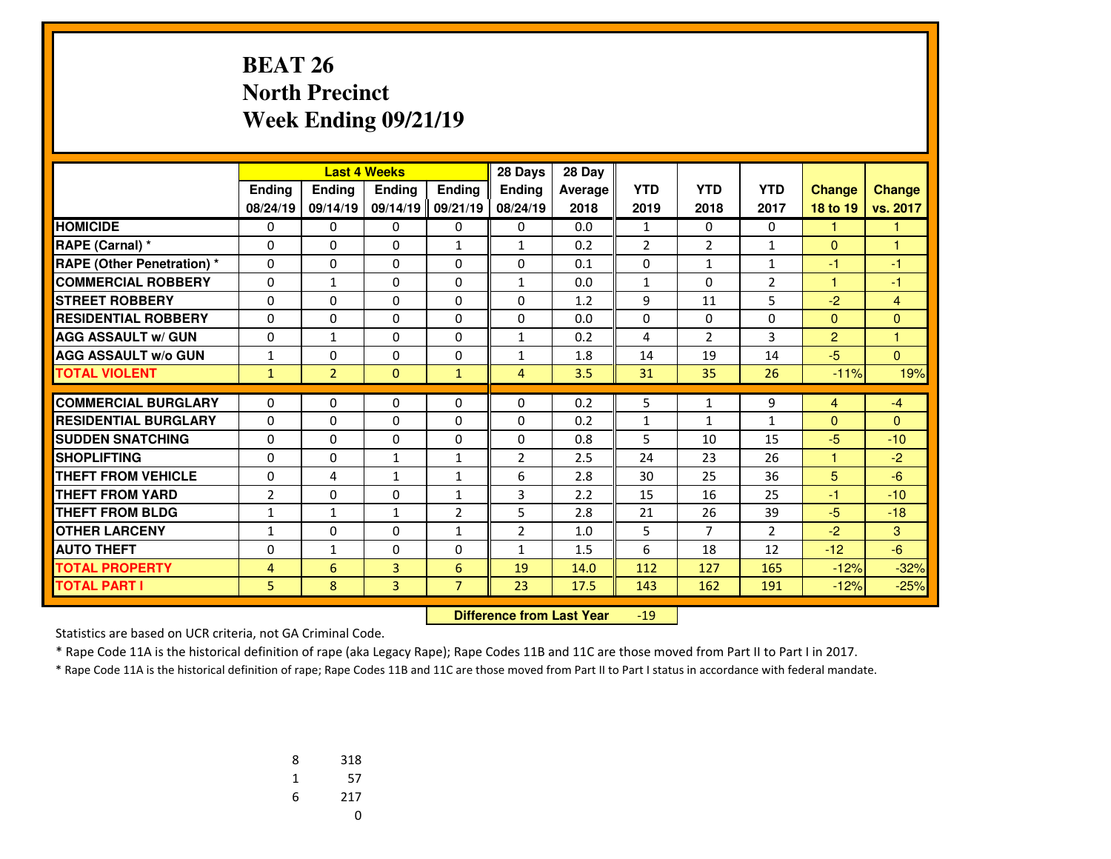### **BEAT 26 North PrecinctWeek Ending 09/21/19**

|                                   |                |                | <b>Last 4 Weeks</b> |                | 28 Days        | 28 Day  |                |                |                |                |                |
|-----------------------------------|----------------|----------------|---------------------|----------------|----------------|---------|----------------|----------------|----------------|----------------|----------------|
|                                   | Ending         | Ending         | <b>Endina</b>       | <b>Ending</b>  | <b>Endina</b>  | Average | <b>YTD</b>     | <b>YTD</b>     | <b>YTD</b>     | <b>Change</b>  | <b>Change</b>  |
|                                   | 08/24/19       | 09/14/19       | 09/14/19            | 09/21/19       | 08/24/19       | 2018    | 2019           | 2018           | 2017           | 18 to 19       | vs. 2017       |
| <b>HOMICIDE</b>                   | 0              | 0              | 0                   | 0              | $\Omega$       | 0.0     | $\mathbf{1}$   | $\Omega$       | 0              | 1              | 1              |
| RAPE (Carnal) *                   | 0              | $\Omega$       | $\Omega$            | $\mathbf{1}$   | $\mathbf{1}$   | 0.2     | $\overline{2}$ | $\overline{2}$ | $\mathbf{1}$   | $\Omega$       | 1              |
| <b>RAPE (Other Penetration) *</b> | 0              | $\Omega$       | 0                   | 0              | $\Omega$       | 0.1     | 0              | 1              | 1              | $-1$           | $-1$           |
| <b>COMMERCIAL ROBBERY</b>         | $\Omega$       | $\mathbf{1}$   | $\Omega$            | $\Omega$       | $\mathbf{1}$   | 0.0     | $\mathbf{1}$   | $\Omega$       | $\overline{2}$ | 1              | $-1$           |
| <b>STREET ROBBERY</b>             | $\Omega$       | $\Omega$       | $\Omega$            | $\Omega$       | $\Omega$       | 1.2     | 9              | 11             | 5              | $-2$           | $\overline{4}$ |
| <b>RESIDENTIAL ROBBERY</b>        | 0              | $\Omega$       | $\Omega$            | $\Omega$       | $\Omega$       | 0.0     | 0              | $\Omega$       | $\Omega$       | $\Omega$       | $\Omega$       |
| <b>AGG ASSAULT w/ GUN</b>         | 0              | $\mathbf{1}$   | 0                   | 0              | $\mathbf{1}$   | 0.2     | 4              | $\overline{2}$ | 3              | $\overline{2}$ | 1              |
| <b>AGG ASSAULT w/o GUN</b>        | $\mathbf{1}$   | 0              | 0                   | $\Omega$       | $\mathbf{1}$   | 1.8     | 14             | 19             | 14             | $-5$           | $\Omega$       |
| <b>TOTAL VIOLENT</b>              | $\mathbf{1}$   | $\overline{2}$ | $\Omega$            | $\mathbf{1}$   | 4              | 3.5     | 31             | 35             | 26             | $-11%$         | 19%            |
| <b>COMMERCIAL BURGLARY</b>        |                | 0              |                     |                | $\Omega$       |         |                |                |                |                |                |
| <b>RESIDENTIAL BURGLARY</b>       | 0              |                | 0                   | 0              |                | 0.2     | 5              | 1              | 9              | $\overline{4}$ | $-4$           |
|                                   | 0              | $\Omega$       | $\Omega$            | $\Omega$       | $\Omega$       | 0.2     | 1              | $\mathbf{1}$   | 1              | $\Omega$       | $\Omega$       |
| <b>SUDDEN SNATCHING</b>           | 0              | $\Omega$       | 0                   | 0              | $\Omega$       | 0.8     | 5              | 10             | 15             | $-5$           | $-10$          |
| <b>SHOPLIFTING</b>                | $\Omega$       | $\Omega$       | $\mathbf{1}$        | $\mathbf{1}$   | $\overline{2}$ | 2.5     | 24             | 23             | 26             | 1              | $-2$           |
| <b>THEFT FROM VEHICLE</b>         | $\Omega$       | 4              | $\mathbf{1}$        | $\mathbf{1}$   | 6              | 2.8     | 30             | 25             | 36             | 5              | $-6$           |
| <b>THEFT FROM YARD</b>            | $\overline{2}$ | $\Omega$       | $\Omega$            | $\mathbf{1}$   | 3              | 2.2     | 15             | 16             | 25             | $-1$           | $-10$          |
| <b>THEFT FROM BLDG</b>            | 1              | 1              | $\mathbf{1}$        | $\overline{2}$ | 5              | 2.8     | 21             | 26             | 39             | $-5$           | $-18$          |
| <b>OTHER LARCENY</b>              | $\mathbf{1}$   | $\Omega$       | $\Omega$            | $\mathbf{1}$   | $\overline{2}$ | 1.0     | 5              | $\overline{7}$ | $\overline{2}$ | $-2$           | 3              |
| <b>AUTO THEFT</b>                 | $\mathbf 0$    | 1              | 0                   | 0              | $\mathbf{1}$   | 1.5     | 6              | 18             | 12             | $-12$          | $-6$           |
| <b>TOTAL PROPERTY</b>             | $\overline{4}$ | 6              | 3                   | 6              | 19             | 14.0    | 112            | 127            | 165            | $-12%$         | $-32%$         |
| <b>TOTAL PART I</b>               | 5              | 8              | 3                   | $\overline{7}$ | 23             | 17.5    | 143            | 162            | 191            | $-12%$         | $-25%$         |

 **Difference from Last Year**-19

Statistics are based on UCR criteria, not GA Criminal Code.

\* Rape Code 11A is the historical definition of rape (aka Legacy Rape); Rape Codes 11B and 11C are those moved from Part II to Part I in 2017.

| 8 | 318 |
|---|-----|
| 1 | 57  |
| 6 | 217 |
|   | 0   |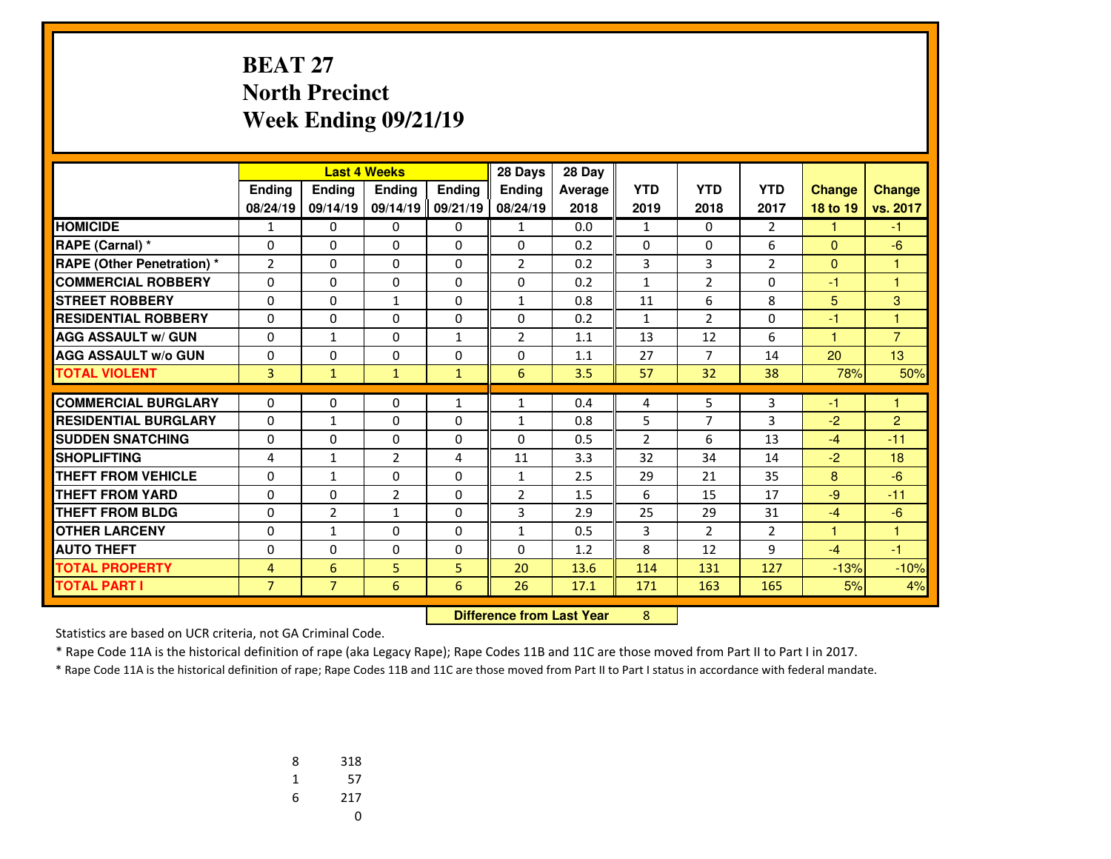#### **BEAT 27 North PrecinctWeek Ending 09/21/19**

|                                   |                |                | <b>Last 4 Weeks</b> |               | 28 Days                          | 28 Day  |                |                |                |               |                |
|-----------------------------------|----------------|----------------|---------------------|---------------|----------------------------------|---------|----------------|----------------|----------------|---------------|----------------|
|                                   | Ending         | <b>Ending</b>  | <b>Endina</b>       | <b>Endina</b> | Ending                           | Average | <b>YTD</b>     | <b>YTD</b>     | <b>YTD</b>     | <b>Change</b> | <b>Change</b>  |
|                                   | 08/24/19       | 09/14/19       | 09/14/19            | 09/21/19      | 08/24/19                         | 2018    | 2019           | 2018           | 2017           | 18 to 19      | vs. 2017       |
| <b>HOMICIDE</b>                   | 1              | 0              | 0                   | 0             | 1                                | 0.0     | $\mathbf{1}$   | $\Omega$       | $\overline{2}$ | 1             | $-1$           |
| RAPE (Carnal) *                   | 0              | 0              | 0                   | 0             | 0                                | 0.2     | 0              | 0              | 6              | $\mathbf{0}$  | $-6$           |
| <b>RAPE (Other Penetration) *</b> | $\overline{2}$ | 0              | 0                   | 0             | $\overline{2}$                   | 0.2     | 3              | 3              | $\overline{2}$ | $\Omega$      | 1              |
| <b>COMMERCIAL ROBBERY</b>         | 0              | $\Omega$       | 0                   | 0             | $\Omega$                         | 0.2     | $\mathbf{1}$   | $\overline{2}$ | 0              | -1            | 1              |
| <b>STREET ROBBERY</b>             | $\Omega$       | 0              | $\mathbf{1}$        | $\Omega$      | $\mathbf{1}$                     | 0.8     | 11             | 6              | 8              | 5             | 3              |
| <b>RESIDENTIAL ROBBERY</b>        | $\Omega$       | $\Omega$       | 0                   | 0             | $\Omega$                         | 0.2     | 1              | $\overline{2}$ | $\Omega$       | $-1$          | 1              |
| <b>AGG ASSAULT w/ GUN</b>         | 0              | $\mathbf{1}$   | 0                   | $\mathbf{1}$  | $\overline{2}$                   | 1.1     | 13             | 12             | 6              | 1             | $\overline{7}$ |
| <b>AGG ASSAULT W/o GUN</b>        | 0              | $\Omega$       | 0                   | 0             | $\Omega$                         | 1.1     | 27             | $\overline{7}$ | 14             | 20            | 13             |
| <b>TOTAL VIOLENT</b>              | $\overline{3}$ | $\mathbf{1}$   | $\mathbf{1}$        | $\mathbf{1}$  | 6                                | 3.5     | 57             | 32             | 38             | 78%           | 50%            |
| <b>COMMERCIAL BURGLARY</b>        | $\Omega$       | 0              | 0                   | $\mathbf{1}$  | $\mathbf{1}$                     | 0.4     | 4              | 5              | 3              | $-1$          | 1              |
| <b>RESIDENTIAL BURGLARY</b>       | 0              | $\mathbf{1}$   | 0                   | $\Omega$      | $\mathbf{1}$                     | 0.8     | 5              | $\overline{7}$ | 3              | $-2$          | $\overline{2}$ |
| <b>SUDDEN SNATCHING</b>           | $\Omega$       | $\Omega$       | $\Omega$            | $\Omega$      | $\Omega$                         | 0.5     | $\overline{2}$ | 6              | 13             | $-4$          | $-11$          |
| <b>SHOPLIFTING</b>                | 4              | $\mathbf{1}$   | 2                   | 4             | 11                               | 3.3     | 32             | 34             | 14             | $-2$          | 18             |
| <b>THEFT FROM VEHICLE</b>         | 0              | $\mathbf{1}$   | 0                   | 0             | $\mathbf{1}$                     | 2.5     | 29             | 21             | 35             | 8             | $-6$           |
| <b>THEFT FROM YARD</b>            | 0              | $\Omega$       | 2                   | 0             | $\overline{2}$                   | 1.5     | 6              | 15             | 17             | $-9$          | $-11$          |
| <b>THEFT FROM BLDG</b>            | 0              | $\overline{2}$ | $\mathbf{1}$        | 0             | 3                                | 2.9     | 25             | 29             | 31             | $-4$          | $-6$           |
| <b>OTHER LARCENY</b>              | 0              | $\mathbf{1}$   | 0                   | 0             | $\mathbf{1}$                     | 0.5     | 3              | 2              | $\overline{2}$ | 1             | $\overline{1}$ |
| <b>AUTO THEFT</b>                 | 0              | 0              | $\Omega$            | 0             | $\Omega$                         | 1.2     | 8              | 12             | 9              | $-4$          | -1             |
| <b>TOTAL PROPERTY</b>             | 4              | 6              | 5                   | 5             | 20                               | 13.6    | 114            | 131            | 127            | $-13%$        | $-10%$         |
| <b>TOTAL PART I</b>               | $\overline{7}$ | $\overline{7}$ | 6                   | 6             | 26                               | 17.1    | 171            | 163            | 165            | 5%            | 4%             |
|                                   |                |                |                     |               | <b>Difference from Last Year</b> |         | 8              |                |                |               |                |

 **Difference from Last Year**

Statistics are based on UCR criteria, not GA Criminal Code.

\* Rape Code 11A is the historical definition of rape (aka Legacy Rape); Rape Codes 11B and 11C are those moved from Part II to Part I in 2017.

| 8 | 318 |
|---|-----|
| 1 | 57  |
| 6 | 217 |
|   | U   |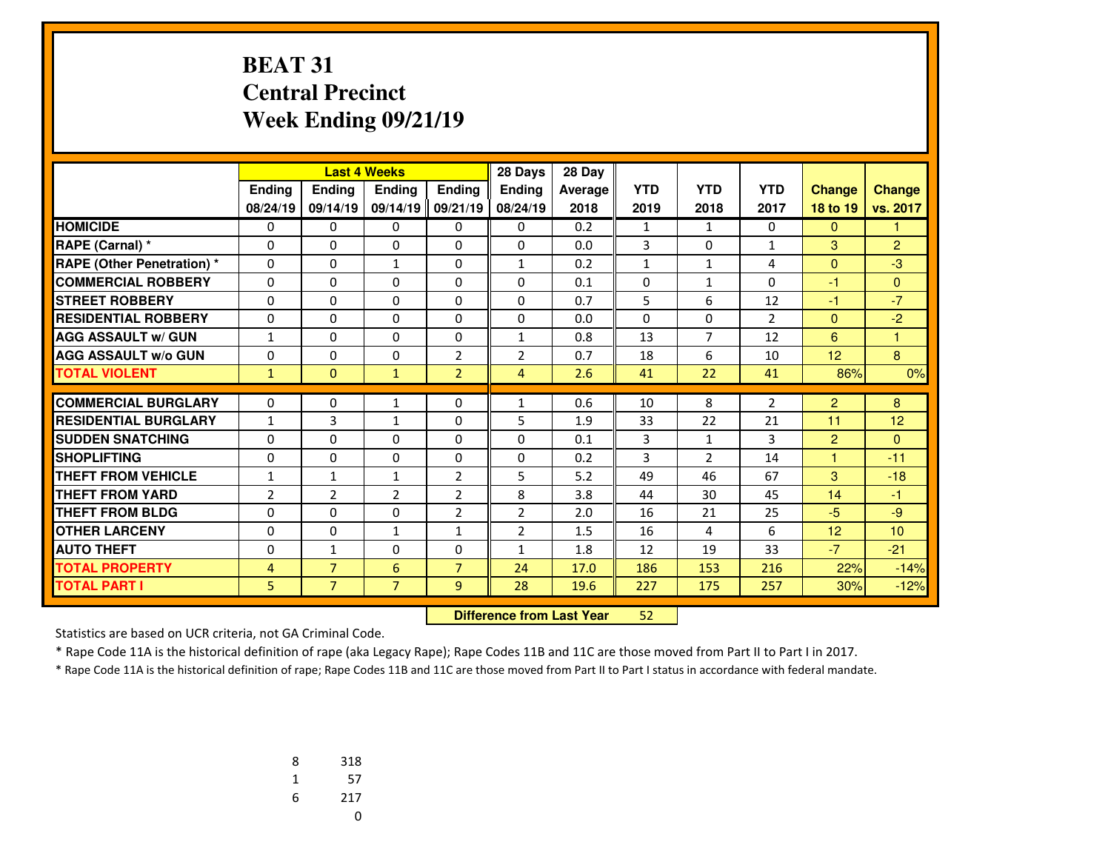#### **BEAT 31 Central PrecinctWeek Ending 09/21/19**

|                                   |                |                | <b>Last 4 Weeks</b> |                | 28 Days        | 28 Day  |              |                |                |                |                 |
|-----------------------------------|----------------|----------------|---------------------|----------------|----------------|---------|--------------|----------------|----------------|----------------|-----------------|
|                                   | Ending         | <b>Ending</b>  | <b>Endina</b>       | <b>Ending</b>  | <b>Endina</b>  | Average | <b>YTD</b>   | <b>YTD</b>     | <b>YTD</b>     | <b>Change</b>  | <b>Change</b>   |
|                                   | 08/24/19       | 09/14/19       | 09/14/19            | 09/21/19       | 08/24/19       | 2018    | 2019         | 2018           | 2017           | 18 to 19       | vs. 2017        |
| <b>HOMICIDE</b>                   | 0              | 0              | 0                   | 0              | 0              | 0.2     | $\mathbf{1}$ | $\mathbf{1}$   | 0              | $\mathbf{0}$   | 1               |
| RAPE (Carnal) *                   | 0              | $\Omega$       | $\Omega$            | $\Omega$       | $\Omega$       | 0.0     | 3            | $\Omega$       | 1              | 3              | $\overline{2}$  |
| <b>RAPE (Other Penetration) *</b> | 0              | 0              | 1                   | $\Omega$       | $\mathbf{1}$   | 0.2     | $\mathbf{1}$ | $\mathbf{1}$   | 4              | $\mathbf{0}$   | $-3$            |
| <b>COMMERCIAL ROBBERY</b>         | $\Omega$       | 0              | $\Omega$            | $\Omega$       | $\Omega$       | 0.1     | $\Omega$     | $\mathbf{1}$   | $\Omega$       | $-1$           | $\Omega$        |
| <b>STREET ROBBERY</b>             | $\Omega$       | $\Omega$       | $\Omega$            | $\Omega$       | $\Omega$       | 0.7     | 5            | 6              | 12             | $-1$           | $-7$            |
| <b>RESIDENTIAL ROBBERY</b>        | 0              | 0              | $\Omega$            | $\Omega$       | $\Omega$       | 0.0     | $\Omega$     | $\Omega$       | $\overline{2}$ | $\mathbf{0}$   | $-2$            |
| <b>AGG ASSAULT w/ GUN</b>         | $\mathbf{1}$   | $\Omega$       | $\Omega$            | $\Omega$       | $\mathbf{1}$   | 0.8     | 13           | $\overline{7}$ | 12             | 6              | 1               |
| <b>AGG ASSAULT w/o GUN</b>        | 0              | 0              | 0                   | 2              | $\overline{2}$ | 0.7     | 18           | 6              | 10             | 12             | 8               |
| <b>TOTAL VIOLENT</b>              | $\mathbf{1}$   | $\Omega$       | $\mathbf{1}$        | $\overline{2}$ | $\overline{4}$ | 2.6     | 41           | 22             | 41             | 86%            | 0%              |
| <b>COMMERCIAL BURGLARY</b>        | 0              | 0              |                     |                | $\mathbf{1}$   | 0.6     |              | 8              | $\overline{2}$ | $\overline{2}$ | 8               |
| <b>RESIDENTIAL BURGLARY</b>       |                |                | $\mathbf{1}$        | 0              |                |         | 10           |                |                |                |                 |
|                                   | $\mathbf{1}$   | 3              | $\mathbf{1}$        | $\Omega$       | 5              | 1.9     | 33           | 22             | 21             | 11             | 12              |
| <b>SUDDEN SNATCHING</b>           | $\Omega$       | $\Omega$       | $\Omega$            | $\Omega$       | $\Omega$       | 0.1     | 3            | $\mathbf{1}$   | 3              | $\overline{2}$ | $\Omega$        |
| <b>SHOPLIFTING</b>                | $\Omega$       | 0              | $\Omega$            | $\Omega$       | $\Omega$       | 0.2     | 3            | $\overline{2}$ | 14             | $\mathbf{1}$   | $-11$           |
| <b>THEFT FROM VEHICLE</b>         | $\mathbf{1}$   | $\mathbf{1}$   | $\mathbf{1}$        | $\overline{2}$ | 5              | 5.2     | 49           | 46             | 67             | 3              | $-18$           |
| <b>THEFT FROM YARD</b>            | $\overline{2}$ | $\overline{2}$ | $\overline{2}$      | $\overline{2}$ | 8              | 3.8     | 44           | 30             | 45             | 14             | $-1$            |
| <b>THEFT FROM BLDG</b>            | 0              | $\Omega$       | $\Omega$            | $\overline{2}$ | $\overline{2}$ | 2.0     | 16           | 21             | 25             | $-5$           | $-9$            |
| <b>OTHER LARCENY</b>              | $\Omega$       | 0              | $\mathbf{1}$        | $\mathbf{1}$   | $\overline{2}$ | 1.5     | 16           | 4              | 6              | 12             | 10 <sup>1</sup> |
| <b>AUTO THEFT</b>                 | 0              | $\mathbf{1}$   | 0                   | 0              | $\mathbf{1}$   | 1.8     | 12           | 19             | 33             | $-7$           | $-21$           |
| <b>TOTAL PROPERTY</b>             | 4              | $\overline{7}$ | 6                   | $\overline{7}$ | 24             | 17.0    | 186          | 153            | 216            | 22%            | $-14%$          |
| <b>TOTAL PART I</b>               | 5              | $\overline{7}$ | $\overline{7}$      | 9              | 28             | 19.6    | 227          | 175            | 257            | 30%            | $-12%$          |

 **Difference from Last Year**<sup>52</sup>

Statistics are based on UCR criteria, not GA Criminal Code.

\* Rape Code 11A is the historical definition of rape (aka Legacy Rape); Rape Codes 11B and 11C are those moved from Part II to Part I in 2017.

| 8 | 318 |
|---|-----|
| 1 | 57  |
| 6 | 217 |
|   | U   |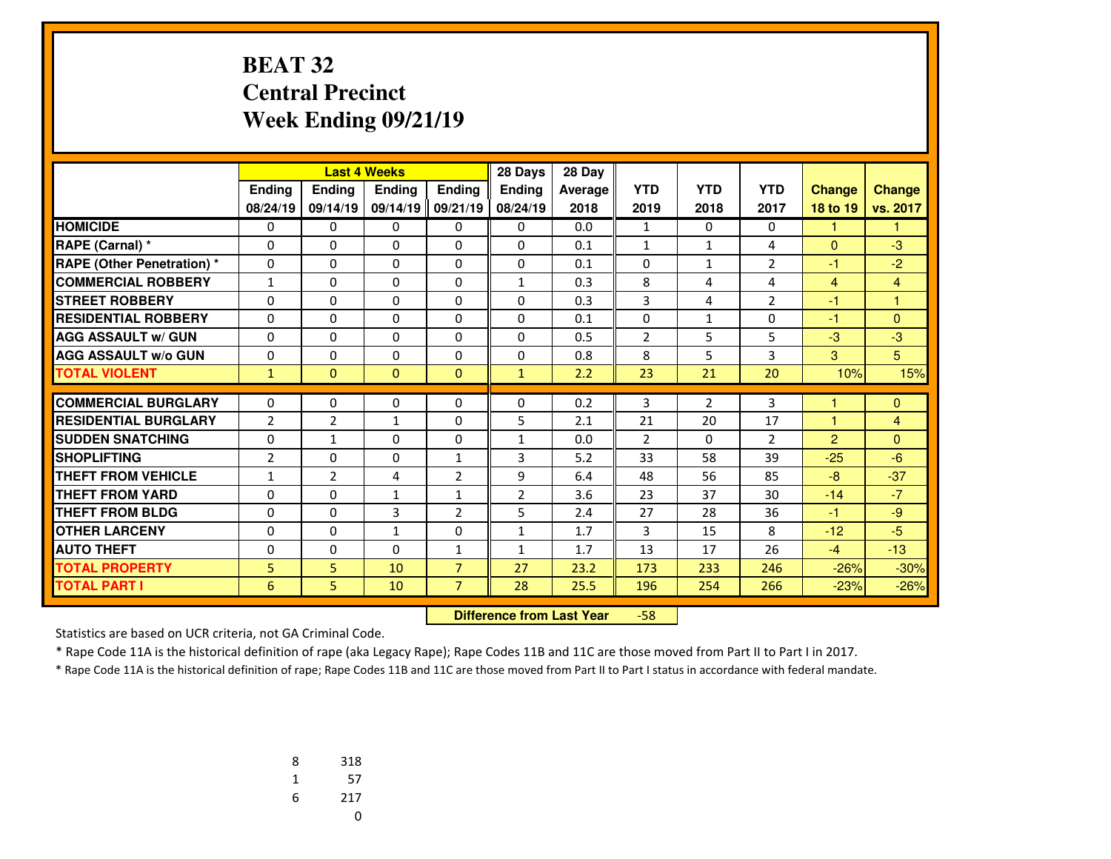#### **BEAT 32 Central PrecinctWeek Ending 09/21/19**

|                                   |                |                | <b>Last 4 Weeks</b> |                | 28 Days        | 28 Day  |                |              |                |                |                |
|-----------------------------------|----------------|----------------|---------------------|----------------|----------------|---------|----------------|--------------|----------------|----------------|----------------|
|                                   | Ending         | Ending         | <b>Endina</b>       | <b>Endina</b>  | <b>Endina</b>  | Average | <b>YTD</b>     | <b>YTD</b>   | <b>YTD</b>     | <b>Change</b>  | <b>Change</b>  |
|                                   | 08/24/19       | 09/14/19       | 09/14/19            | 09/21/19       | 08/24/19       | 2018    | 2019           | 2018         | 2017           | 18 to 19       | vs. 2017       |
| <b>HOMICIDE</b>                   | 0              | 0              | 0                   | 0              | 0              | 0.0     | $\mathbf{1}$   | $\Omega$     | 0              | 1              | 1              |
| RAPE (Carnal) *                   | 0              | $\Omega$       | $\Omega$            | 0              | $\Omega$       | 0.1     | 1              | $\mathbf{1}$ | 4              | $\Omega$       | $-3$           |
| <b>RAPE (Other Penetration) *</b> | 0              | $\Omega$       | $\Omega$            | 0              | $\Omega$       | 0.1     | 0              | $\mathbf{1}$ | $\overline{2}$ | $-1$           | $-2$           |
| <b>COMMERCIAL ROBBERY</b>         | $\mathbf{1}$   | $\Omega$       | $\Omega$            | $\Omega$       | $\mathbf{1}$   | 0.3     | 8              | 4            | 4              | 4              | $\overline{4}$ |
| <b>STREET ROBBERY</b>             | 0              | $\Omega$       | $\Omega$            | 0              | $\Omega$       | 0.3     | 3              | 4            | $\overline{2}$ | $-1$           | $\overline{1}$ |
| <b>RESIDENTIAL ROBBERY</b>        | 0              | $\Omega$       | $\Omega$            | $\Omega$       | $\Omega$       | 0.1     | 0              | $\mathbf{1}$ | $\Omega$       | $-1$           | $\Omega$       |
| <b>AGG ASSAULT w/ GUN</b>         | 0              | $\Omega$       | 0                   | 0              | $\Omega$       | 0.5     | $\overline{2}$ | 5            | 5              | $-3$           | $-3$           |
| <b>AGG ASSAULT w/o GUN</b>        | 0              | 0              | 0                   | $\Omega$       | $\Omega$       | 0.8     | 8              | 5            | 3              | 3              | 5              |
| <b>TOTAL VIOLENT</b>              | $\mathbf{1}$   | $\Omega$       | $\Omega$            | $\Omega$       | $\mathbf{1}$   | 2.2     | 23             | 21           | 20             | 10%            | 15%            |
|                                   |                |                |                     |                |                |         |                |              |                |                |                |
| <b>COMMERCIAL BURGLARY</b>        | 0              | 0              | 0                   | 0              | $\mathbf{0}$   | 0.2     | 3              | 2            | 3              |                | $\mathbf{0}$   |
| <b>RESIDENTIAL BURGLARY</b>       | $\overline{2}$ | $\overline{2}$ | $\mathbf{1}$        | $\Omega$       | 5              | 2.1     | 21             | 20           | 17             | $\overline{1}$ | $\overline{4}$ |
| <b>SUDDEN SNATCHING</b>           | 0              | $\mathbf{1}$   | 0                   | 0              | $\mathbf{1}$   | 0.0     | $\overline{2}$ | $\Omega$     | $\overline{2}$ | $\overline{2}$ | $\Omega$       |
| <b>SHOPLIFTING</b>                | $\overline{2}$ | $\Omega$       | $\Omega$            | $\mathbf{1}$   | 3              | 5.2     | 33             | 58           | 39             | $-25$          | $-6$           |
| <b>THEFT FROM VEHICLE</b>         | 1              | $\overline{2}$ | 4                   | $\overline{2}$ | 9              | 6.4     | 48             | 56           | 85             | $-8$           | $-37$          |
| <b>THEFT FROM YARD</b>            | $\Omega$       | $\Omega$       | $\mathbf{1}$        | $\mathbf{1}$   | $\overline{2}$ | 3.6     | 23             | 37           | 30             | $-14$          | $-7$           |
| <b>THEFT FROM BLDG</b>            | $\Omega$       | $\Omega$       | 3                   | $\overline{2}$ | 5              | 2.4     | 27             | 28           | 36             | $-1$           | $-9$           |
| <b>OTHER LARCENY</b>              | $\Omega$       | $\Omega$       | $\mathbf{1}$        | $\Omega$       | $\mathbf{1}$   | 1.7     | 3              | 15           | 8              | $-12$          | $-5$           |
| <b>AUTO THEFT</b>                 | 0              | 0              | $\Omega$            | $\mathbf{1}$   | $\mathbf{1}$   | 1.7     | 13             | 17           | 26             | $-4$           | $-13$          |
| <b>TOTAL PROPERTY</b>             | 5              | 5.             | 10                  | $\overline{7}$ | 27             | 23.2    | 173            | 233          | 246            | $-26%$         | $-30%$         |
| <b>TOTAL PART I</b>               | 6              | 5              | 10                  | $\overline{7}$ | 28             | 25.5    | 196            | 254          | 266            | $-23%$         | $-26%$         |

 **Difference from Last Year**-58

Statistics are based on UCR criteria, not GA Criminal Code.

\* Rape Code 11A is the historical definition of rape (aka Legacy Rape); Rape Codes 11B and 11C are those moved from Part II to Part I in 2017.

| 8 | 318 |
|---|-----|
| 1 | 57  |
| 6 | 217 |
|   | U   |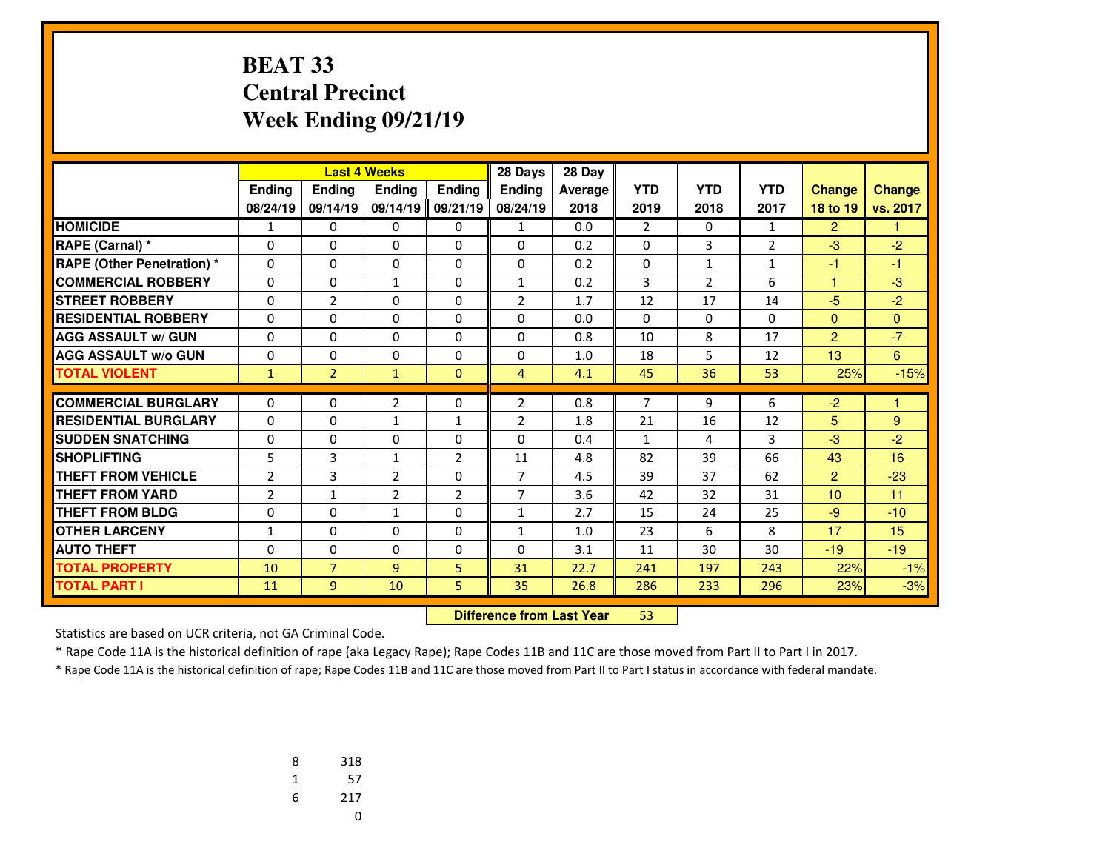# **BEAT 33 Central PrecinctWeek Ending 09/21/19**

|                                   |                |                | <b>Last 4 Weeks</b> |                | 28 Days        | 28 Day  |                |                |                |                |               |
|-----------------------------------|----------------|----------------|---------------------|----------------|----------------|---------|----------------|----------------|----------------|----------------|---------------|
|                                   | Ending         | Ending         | <b>Endina</b>       | Ending         | <b>Endina</b>  | Average | <b>YTD</b>     | <b>YTD</b>     | <b>YTD</b>     | <b>Change</b>  | <b>Change</b> |
|                                   | 08/24/19       | 09/14/19       | 09/14/19            | 09/21/19       | 08/24/19       | 2018    | 2019           | 2018           | 2017           | 18 to 19       | vs. 2017      |
| <b>HOMICIDE</b>                   | 1              | 0              | 0                   | 0              | $\mathbf{1}$   | 0.0     | $\overline{2}$ | 0              | 1              | $\overline{2}$ |               |
| RAPE (Carnal) *                   | 0              | 0              | 0                   | 0              | 0              | 0.2     | 0              | 3              | $\overline{2}$ | $-3$           | $-2$          |
| <b>RAPE (Other Penetration) *</b> | $\Omega$       | $\Omega$       | $\Omega$            | $\Omega$       | $\Omega$       | 0.2     | $\Omega$       | $\mathbf{1}$   | $\mathbf{1}$   | $-1$           | $-1$          |
| <b>COMMERCIAL ROBBERY</b>         | $\Omega$       | $\Omega$       | $\mathbf{1}$        | $\Omega$       | 1              | 0.2     | 3              | $\overline{2}$ | 6              | 1              | $-3$          |
| <b>STREET ROBBERY</b>             | $\Omega$       | $\overline{2}$ | $\Omega$            | $\Omega$       | $\overline{2}$ | 1.7     | 12             | 17             | 14             | $-5$           | $-2$          |
| <b>RESIDENTIAL ROBBERY</b>        | 0              | 0              | 0                   | 0              | $\Omega$       | 0.0     | 0              | 0              | 0              | $\mathbf{0}$   | $\Omega$      |
| <b>AGG ASSAULT w/ GUN</b>         | $\Omega$       | $\Omega$       | $\Omega$            | $\Omega$       | $\Omega$       | 0.8     | 10             | 8              | 17             | 2              | $-7$          |
| <b>AGG ASSAULT w/o GUN</b>        | 0              | 0              | 0                   | 0              | 0              | 1.0     | 18             | 5              | 12             | 13             | 6             |
| <b>TOTAL VIOLENT</b>              | $\mathbf{1}$   | $\overline{2}$ | $\mathbf{1}$        | $\mathbf{0}$   | $\overline{4}$ | 4.1     | 45             | 36             | 53             | 25%            | $-15%$        |
|                                   |                |                |                     |                |                |         |                |                |                |                |               |
| <b>COMMERCIAL BURGLARY</b>        | 0              | 0              | $\overline{2}$      | 0              | $\overline{2}$ | 0.8     | 7              | 9              | 6              | $-2$           | 1             |
| <b>RESIDENTIAL BURGLARY</b>       | $\Omega$       | $\Omega$       | $\mathbf{1}$        | $\mathbf{1}$   | $\overline{2}$ | 1.8     | 21             | 16             | 12             | 5              | 9             |
| <b>SUDDEN SNATCHING</b>           | 0              | $\Omega$       | 0                   | $\Omega$       | $\Omega$       | 0.4     | $\mathbf{1}$   | 4              | 3              | $-3$           | $-2$          |
| <b>SHOPLIFTING</b>                | 5              | 3              | $\mathbf{1}$        | $\overline{2}$ | 11             | 4.8     | 82             | 39             | 66             | 43             | 16            |
| <b>THEFT FROM VEHICLE</b>         | $\overline{2}$ | 3              | 2                   | $\Omega$       | $\overline{7}$ | 4.5     | 39             | 37             | 62             | 2              | $-23$         |
| <b>THEFT FROM YARD</b>            | $\overline{2}$ | $\mathbf{1}$   | 2                   | 2              | $\overline{7}$ | 3.6     | 42             | 32             | 31             | 10             | 11            |
| <b>THEFT FROM BLDG</b>            | 0              | 0              | $\mathbf{1}$        | 0              | $\mathbf{1}$   | 2.7     | 15             | 24             | 25             | $-9$           | $-10$         |
| <b>OTHER LARCENY</b>              | $\mathbf{1}$   | $\Omega$       | 0                   | $\Omega$       | $\mathbf{1}$   | 1.0     | 23             | 6              | 8              | 17             | 15            |
| <b>AUTO THEFT</b>                 | 0              | 0              | 0                   | 0              | $\Omega$       | 3.1     | 11             | 30             | 30             | $-19$          | $-19$         |
| <b>TOTAL PROPERTY</b>             | 10             | $\overline{7}$ | $\overline{9}$      | 5              | 31             | 22.7    | 241            | 197            | 243            | 22%            | $-1%$         |
| <b>TOTAL PART I</b>               | 11             | 9              | 10                  | 5              | 35             | 26.8    | 286            | 233            | 296            | 23%            | $-3%$         |

 **Difference from Last Year**<sup>53</sup>

Statistics are based on UCR criteria, not GA Criminal Code.

\* Rape Code 11A is the historical definition of rape (aka Legacy Rape); Rape Codes 11B and 11C are those moved from Part II to Part I in 2017.

| 8 | 318 |
|---|-----|
| 1 | 57  |
| 6 | 217 |
|   | U   |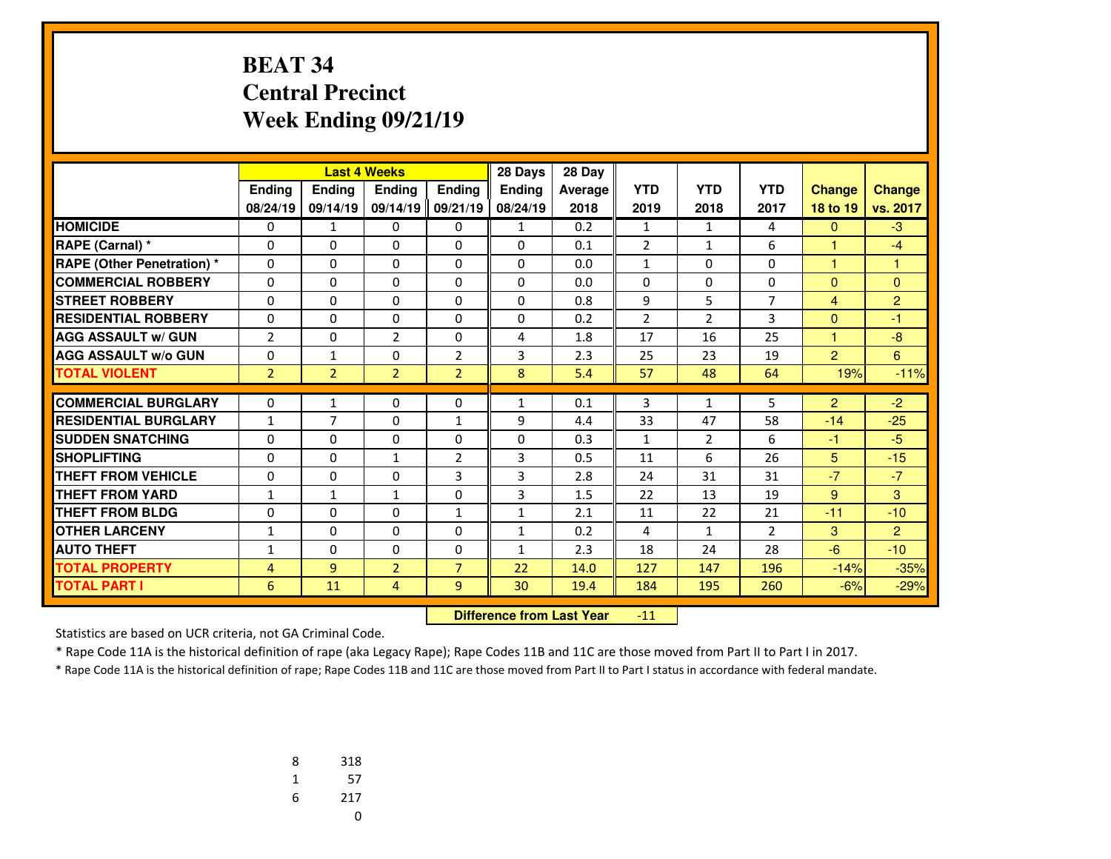# **BEAT 34 Central PrecinctWeek Ending 09/21/19**

|                                   |                | <b>Last 4 Weeks</b> |                |                | 28 Days       | 28 Day  |                |                |                |                |                |
|-----------------------------------|----------------|---------------------|----------------|----------------|---------------|---------|----------------|----------------|----------------|----------------|----------------|
|                                   | Ending         | <b>Ending</b>       | <b>Endina</b>  | Ending         | <b>Endina</b> | Average | <b>YTD</b>     | <b>YTD</b>     | <b>YTD</b>     | <b>Change</b>  | <b>Change</b>  |
|                                   | 08/24/19       | 09/14/19            | 09/14/19       | 09/21/19       | 08/24/19      | 2018    | 2019           | 2018           | 2017           | 18 to 19       | vs. 2017       |
| <b>HOMICIDE</b>                   | 0              | $\mathbf{1}$        | 0              | 0              | $\mathbf{1}$  | 0.2     | $\mathbf{1}$   | 1              | 4              | $\mathbf{0}$   | $-3$           |
| RAPE (Carnal) *                   | 0              | $\Omega$            | 0              | $\Omega$       | $\Omega$      | 0.1     | $\overline{2}$ | $\mathbf{1}$   | 6              | $\mathbf{1}$   | $-4$           |
| <b>RAPE (Other Penetration) *</b> | $\Omega$       | 0                   | $\Omega$       | $\Omega$       | $\Omega$      | 0.0     | $\mathbf{1}$   | $\Omega$       | $\Omega$       | $\mathbf{1}$   | 1              |
| <b>COMMERCIAL ROBBERY</b>         | 0              | $\Omega$            | 0              | 0              | $\Omega$      | 0.0     | 0              | $\Omega$       | $\Omega$       | $\mathbf{0}$   | $\Omega$       |
| <b>STREET ROBBERY</b>             | $\Omega$       | $\Omega$            | $\Omega$       | $\Omega$       | $\Omega$      | 0.8     | 9              | 5              | $\overline{7}$ | $\overline{4}$ | $\overline{2}$ |
| <b>RESIDENTIAL ROBBERY</b>        | $\Omega$       | 0                   | 0              | $\Omega$       | $\Omega$      | 0.2     | $\overline{2}$ | $\overline{2}$ | 3              | $\mathbf{0}$   | $-1$           |
| <b>AGG ASSAULT w/ GUN</b>         | $\overline{2}$ | $\Omega$            | $\overline{2}$ | 0              | 4             | 1.8     | 17             | 16             | 25             | $\mathbf{1}$   | $-8$           |
| <b>AGG ASSAULT w/o GUN</b>        | 0              | $\mathbf{1}$        | 0              | $\overline{2}$ | 3             | 2.3     | 25             | 23             | 19             | $\overline{2}$ | 6              |
| <b>TOTAL VIOLENT</b>              | $\overline{2}$ | $\overline{2}$      | $\overline{2}$ | $\overline{2}$ | 8             | 5.4     | 57             | 48             | 64             | 19%            | $-11%$         |
|                                   |                |                     |                |                |               |         |                |                |                |                |                |
| <b>COMMERCIAL BURGLARY</b>        | 0              | 1                   | $\Omega$       | 0              | $\mathbf{1}$  | 0.1     | 3              | $\mathbf{1}$   | 5              | $\overline{2}$ | $-2$           |
| <b>RESIDENTIAL BURGLARY</b>       | $\mathbf{1}$   | $\overline{7}$      | $\Omega$       | $\mathbf{1}$   | 9             | 4.4     | 33             | 47             | 58             | $-14$          | $-25$          |
| <b>SUDDEN SNATCHING</b>           | 0              | 0                   | 0              | $\Omega$       | 0             | 0.3     | $\mathbf{1}$   | $\overline{2}$ | 6              | $-1$           | $-5$           |
| <b>SHOPLIFTING</b>                | $\Omega$       | $\Omega$            | $\mathbf{1}$   | $\overline{2}$ | 3             | 0.5     | 11             | 6              | 26             | 5              | $-15$          |
| <b>THEFT FROM VEHICLE</b>         | 0              | 0                   | $\Omega$       | 3              | 3             | 2.8     | 24             | 31             | 31             | $-7$           | $-7$           |
| <b>THEFT FROM YARD</b>            | $\mathbf{1}$   | $\mathbf{1}$        | $\mathbf{1}$   | $\Omega$       | 3             | 1.5     | 22             | 13             | 19             | 9              | 3              |
| <b>THEFT FROM BLDG</b>            | 0              | 0                   | 0              | $\mathbf{1}$   | $\mathbf{1}$  | 2.1     | 11             | 22             | 21             | $-11$          | $-10$          |
| <b>OTHER LARCENY</b>              | $\mathbf{1}$   | $\Omega$            | $\Omega$       | 0              | 1             | 0.2     | 4              | $\mathbf{1}$   | $\overline{2}$ | 3              | 2              |
| <b>AUTO THEFT</b>                 | $\mathbf{1}$   | 0                   | 0              | 0              | 1             | 2.3     | 18             | 24             | 28             | $-6$           | $-10$          |
| <b>TOTAL PROPERTY</b>             | $\overline{4}$ | 9                   | $\overline{2}$ | $\overline{7}$ | 22            | 14.0    | 127            | 147            | 196            | $-14%$         | $-35%$         |
| <b>TOTAL PART I</b>               | 6              | 11                  | 4              | 9              | 30            | 19.4    | 184            | 195            | 260            | $-6%$          | $-29%$         |

 **Difference from Last Year**-11

Statistics are based on UCR criteria, not GA Criminal Code.

\* Rape Code 11A is the historical definition of rape (aka Legacy Rape); Rape Codes 11B and 11C are those moved from Part II to Part I in 2017.

| 8 | 318 |
|---|-----|
| 1 | 57  |
| 6 | 217 |
|   | U   |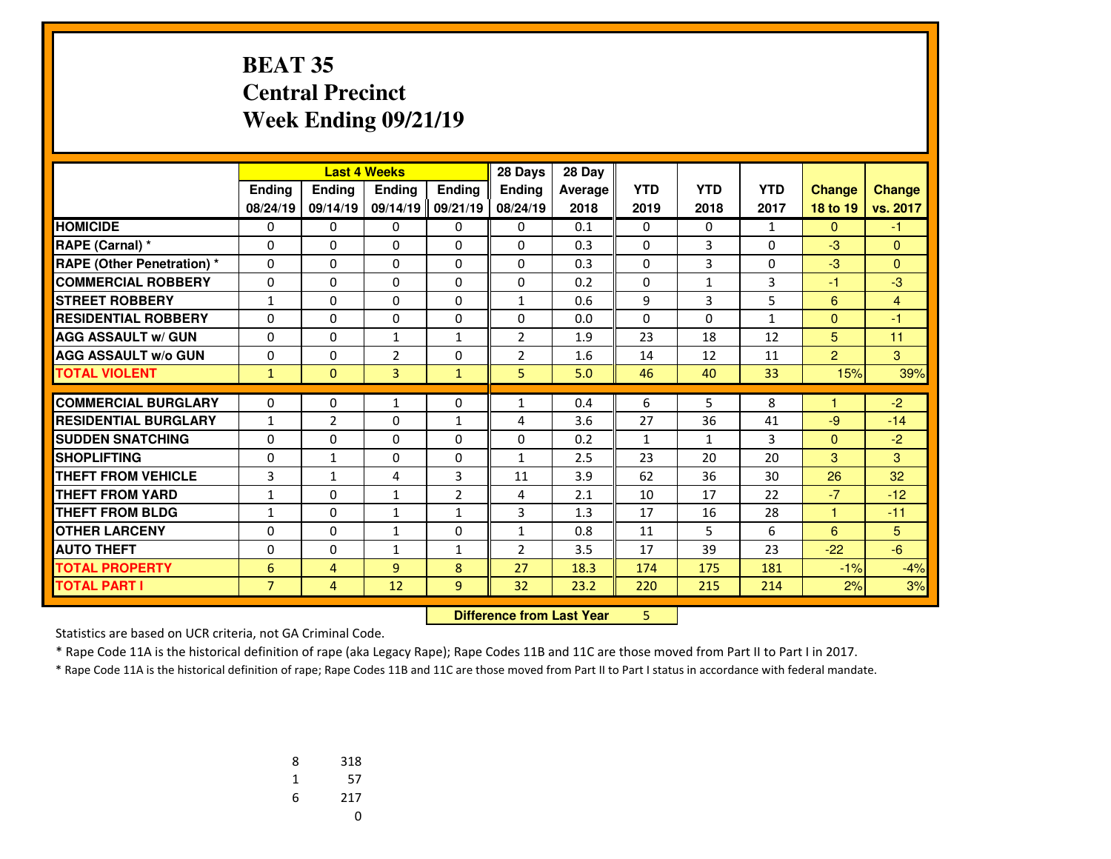#### **BEAT 35 Central PrecinctWeek Ending 09/21/19**

|                                   |                |                | <b>Last 4 Weeks</b> |                | 28 Days                          | 28 Day  |              |              |              |                |                |
|-----------------------------------|----------------|----------------|---------------------|----------------|----------------------------------|---------|--------------|--------------|--------------|----------------|----------------|
|                                   | Ending         | Ending         | Ending              | <b>Ending</b>  | <b>Ending</b>                    | Average | <b>YTD</b>   | <b>YTD</b>   | <b>YTD</b>   | <b>Change</b>  | <b>Change</b>  |
|                                   | 08/24/19       | 09/14/19       | 09/14/19            | 09/21/19       | 08/24/19                         | 2018    | 2019         | 2018         | 2017         | 18 to 19       | vs. 2017       |
| <b>HOMICIDE</b>                   | 0              | 0              | 0                   | 0              | $\Omega$                         | 0.1     | 0            | $\mathbf{0}$ | $\mathbf{1}$ | $\mathbf{0}$   | $-1$           |
| RAPE (Carnal) *                   | 0              | $\Omega$       | $\Omega$            | 0              | $\Omega$                         | 0.3     | 0            | 3            | $\Omega$     | $-3$           | $\Omega$       |
| <b>RAPE (Other Penetration) *</b> | 0              | $\Omega$       | $\Omega$            | 0              | $\Omega$                         | 0.3     | 0            | 3            | $\Omega$     | $-3$           | $\Omega$       |
| <b>COMMERCIAL ROBBERY</b>         | $\mathbf{0}$   | 0              | 0                   | 0              | 0                                | 0.2     | 0            | $\mathbf{1}$ | 3            | $-1$           | $-3$           |
| <b>STREET ROBBERY</b>             | $\mathbf{1}$   | 0              | $\Omega$            | $\Omega$       | $\mathbf{1}$                     | 0.6     | 9            | 3            | 5            | 6              | $\overline{4}$ |
| <b>RESIDENTIAL ROBBERY</b>        | $\Omega$       | $\Omega$       | 0                   | $\Omega$       | $\Omega$                         | 0.0     | $\Omega$     | $\Omega$     | $\mathbf{1}$ | $\mathbf{0}$   | $-1$           |
| <b>AGG ASSAULT w/ GUN</b>         | $\Omega$       | $\Omega$       | $\mathbf{1}$        | $\mathbf{1}$   | $\overline{2}$                   | 1.9     | 23           | 18           | 12           | 5 <sup>5</sup> | 11             |
| <b>AGG ASSAULT W/o GUN</b>        | 0              | $\Omega$       | $\overline{2}$      | 0              | $\overline{2}$                   | 1.6     | 14           | 12           | 11           | $\overline{2}$ | 3              |
| <b>TOTAL VIOLENT</b>              | $\mathbf{1}$   | $\Omega$       | 3                   | $\mathbf{1}$   | 5.                               | 5.0     | 46           | 40           | 33           | 15%            | 39%            |
| <b>COMMERCIAL BURGLARY</b>        | $\mathbf{0}$   | 0              | 1                   | 0              | 1                                | 0.4     | 6            | 5            | 8            |                | $-2$           |
| <b>RESIDENTIAL BURGLARY</b>       | $\mathbf{1}$   | $\overline{2}$ | $\Omega$            | $\mathbf{1}$   | 4                                | 3.6     | 27           | 36           | 41           | $-9$           | $-14$          |
| <b>SUDDEN SNATCHING</b>           | 0              | $\Omega$       | $\Omega$            | $\Omega$       | $\Omega$                         | 0.2     | $\mathbf{1}$ | $\mathbf{1}$ | 3            | $\mathbf{0}$   | $-2$           |
| <b>ISHOPLIFTING</b>               | 0              | $\mathbf{1}$   | $\Omega$            | $\Omega$       | $\mathbf{1}$                     | 2.5     | 23           | 20           | 20           | 3              | 3              |
| <b>THEFT FROM VEHICLE</b>         | 3              | $\mathbf{1}$   | 4                   | 3              | 11                               | 3.9     | 62           | 36           | 30           | 26             | 32             |
| <b>THEFT FROM YARD</b>            | 1              | 0              | $\mathbf{1}$        | $\overline{2}$ | 4                                | 2.1     | 10           | 17           | 22           | $-7$           | $-12$          |
| <b>THEFT FROM BLDG</b>            | $\mathbf{1}$   | 0              | $\mathbf{1}$        | $\mathbf{1}$   | 3                                | 1.3     | 17           | 16           | 28           | 1              | $-11$          |
| <b>OTHER LARCENY</b>              | 0              | 0              | $\mathbf{1}$        | 0              | $\mathbf{1}$                     | 0.8     | 11           | 5            | 6            | 6              | 5              |
| <b>AUTO THEFT</b>                 | $\Omega$       | $\Omega$       | $\mathbf{1}$        | $\mathbf{1}$   | $\overline{2}$                   | 3.5     | 17           | 39           | 23           | $-22$          | $-6$           |
| <b>TOTAL PROPERTY</b>             | 6              | 4              | 9                   | 8              | 27                               | 18.3    | 174          | 175          | 181          | $-1%$          | $-4%$          |
| <b>TOTAL PART I</b>               | $\overline{7}$ | $\overline{4}$ | 12                  | 9              | 32 <sub>2</sub>                  | 23.2    | 220          | 215          | 214          | 2%             | 3%             |
|                                   |                |                |                     |                | <b>Difference from Last Year</b> |         | 5.           |              |              |                |                |

 **Difference from Last Year**

Statistics are based on UCR criteria, not GA Criminal Code.

\* Rape Code 11A is the historical definition of rape (aka Legacy Rape); Rape Codes 11B and 11C are those moved from Part II to Part I in 2017.

| 8 | 318 |
|---|-----|
| 1 | 57  |
| 6 | 217 |
|   | U   |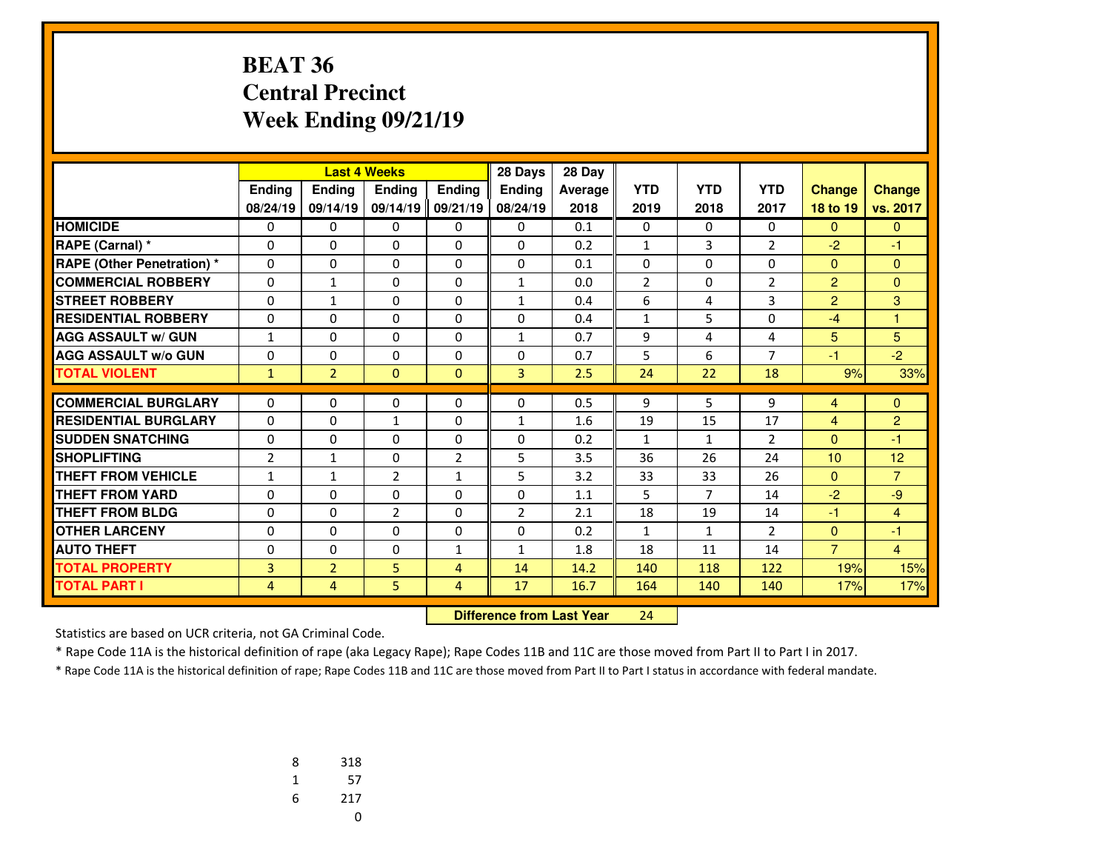### **BEAT 36 Central PrecinctWeek Ending 09/21/19**

|                                   |                |                | <b>Last 4 Weeks</b> |                | 28 Days        | 28 Day  |                |                |                |                |                |
|-----------------------------------|----------------|----------------|---------------------|----------------|----------------|---------|----------------|----------------|----------------|----------------|----------------|
|                                   | Ending         | Ending         | <b>Endina</b>       | Ending         | <b>Endina</b>  | Average | <b>YTD</b>     | <b>YTD</b>     | <b>YTD</b>     | <b>Change</b>  | <b>Change</b>  |
|                                   | 08/24/19       | 09/14/19       | 09/14/19 09/21/19   |                | 08/24/19       | 2018    | 2019           | 2018           | 2017           | 18 to 19       | vs. 2017       |
| <b>HOMICIDE</b>                   | 0              | 0              | 0                   | 0              | $\mathbf{0}$   | 0.1     | 0              | 0              | 0              | $\Omega$       | $\mathbf{0}$   |
| <b>RAPE (Carnal) *</b>            | 0              | 0              | 0                   | 0              | $\Omega$       | 0.2     | $\mathbf{1}$   | 3              | $\overline{2}$ | $-2$           | -1             |
| <b>RAPE (Other Penetration) *</b> | 0              | $\Omega$       | $\Omega$            | 0              | $\Omega$       | 0.1     | 0              | 0              | $\Omega$       | $\mathbf{0}$   | $\mathbf{0}$   |
| <b>COMMERCIAL ROBBERY</b>         | $\Omega$       | $\mathbf{1}$   | $\Omega$            | $\Omega$       | $\mathbf{1}$   | 0.0     | $\overline{2}$ | $\Omega$       | $\overline{2}$ | 2              | $\Omega$       |
| <b>STREET ROBBERY</b>             | 0              | $\mathbf{1}$   | 0                   | 0              | $\mathbf{1}$   | 0.4     | 6              | 4              | 3              | $\overline{2}$ | 3              |
| <b>RESIDENTIAL ROBBERY</b>        | $\Omega$       | $\Omega$       | 0                   | $\Omega$       | $\Omega$       | 0.4     | $\mathbf{1}$   | 5              | $\Omega$       | $-4$           | 1              |
| <b>AGG ASSAULT w/ GUN</b>         | $\mathbf{1}$   | 0              | 0                   | 0              | $\mathbf{1}$   | 0.7     | 9              | 4              | 4              | 5              | 5              |
| <b>AGG ASSAULT w/o GUN</b>        | 0              | $\Omega$       | $\Omega$            | 0              | $\Omega$       | 0.7     | 5              | 6              | $\overline{7}$ | $-1$           | $-2$           |
| <b>TOTAL VIOLENT</b>              | $\mathbf{1}$   | $\overline{2}$ | $\Omega$            | $\mathbf{0}$   | $\overline{3}$ | 2.5     | 24             | 22             | 18             | 9%             | 33%            |
|                                   |                |                |                     |                |                |         |                |                |                |                |                |
| <b>COMMERCIAL BURGLARY</b>        | 0              | 0              | 0                   | 0              | $\mathbf{0}$   | 0.5     | 9              | 5              | 9              | 4              | $\mathbf{0}$   |
| <b>RESIDENTIAL BURGLARY</b>       | 0              | $\Omega$       | $\mathbf{1}$        | 0              | $\mathbf{1}$   | 1.6     | 19             | 15             | 17             | $\overline{4}$ | $\overline{c}$ |
| <b>SUDDEN SNATCHING</b>           | $\Omega$       | $\Omega$       | $\Omega$            | $\Omega$       | $\Omega$       | 0.2     | $\mathbf{1}$   | $\mathbf{1}$   | $\overline{2}$ | $\mathbf{0}$   | $-1$           |
| <b>SHOPLIFTING</b>                | $\overline{2}$ | $\mathbf{1}$   | 0                   | $\overline{2}$ | 5              | 3.5     | 36             | 26             | 24             | 10             | 12             |
| <b>THEFT FROM VEHICLE</b>         | 1              | $\mathbf{1}$   | $\overline{2}$      | $\mathbf{1}$   | 5              | 3.2     | 33             | 33             | 26             | $\mathbf{0}$   | $\overline{7}$ |
| <b>THEFT FROM YARD</b>            | 0              | $\Omega$       | $\Omega$            | $\Omega$       | $\Omega$       | 1.1     | 5              | $\overline{7}$ | 14             | $-2$           | $-9$           |
| <b>THEFT FROM BLDG</b>            | 0              | 0              | $\overline{2}$      | 0              | $\overline{2}$ | 2.1     | 18             | 19             | 14             | $-1$           | $\overline{4}$ |
| <b>OTHER LARCENY</b>              | $\Omega$       | $\Omega$       | $\Omega$            | $\Omega$       | $\Omega$       | 0.2     | $\mathbf{1}$   | $\mathbf{1}$   | $\overline{2}$ | $\mathbf{0}$   | $-1$           |
| <b>AUTO THEFT</b>                 | 0              | 0              | 0                   | $\mathbf{1}$   | $\mathbf{1}$   | 1.8     | 18             | 11             | 14             | $\overline{7}$ | $\overline{4}$ |
| <b>TOTAL PROPERTY</b>             | 3              | $\overline{2}$ | 5                   | $\overline{4}$ | 14             | 14.2    | 140            | 118            | 122            | 19%            | 15%            |
| <b>TOTAL PART I</b>               | 4              | 4              | 5                   | $\overline{4}$ | 17             | 16.7    | 164            | 140            | 140            | 17%            | 17%            |

 **Difference from Last Year**<sup>24</sup>

Statistics are based on UCR criteria, not GA Criminal Code.

\* Rape Code 11A is the historical definition of rape (aka Legacy Rape); Rape Codes 11B and 11C are those moved from Part II to Part I in 2017.

| 8 | 318 |
|---|-----|
| 1 | 57  |
| 6 | 217 |
|   | U   |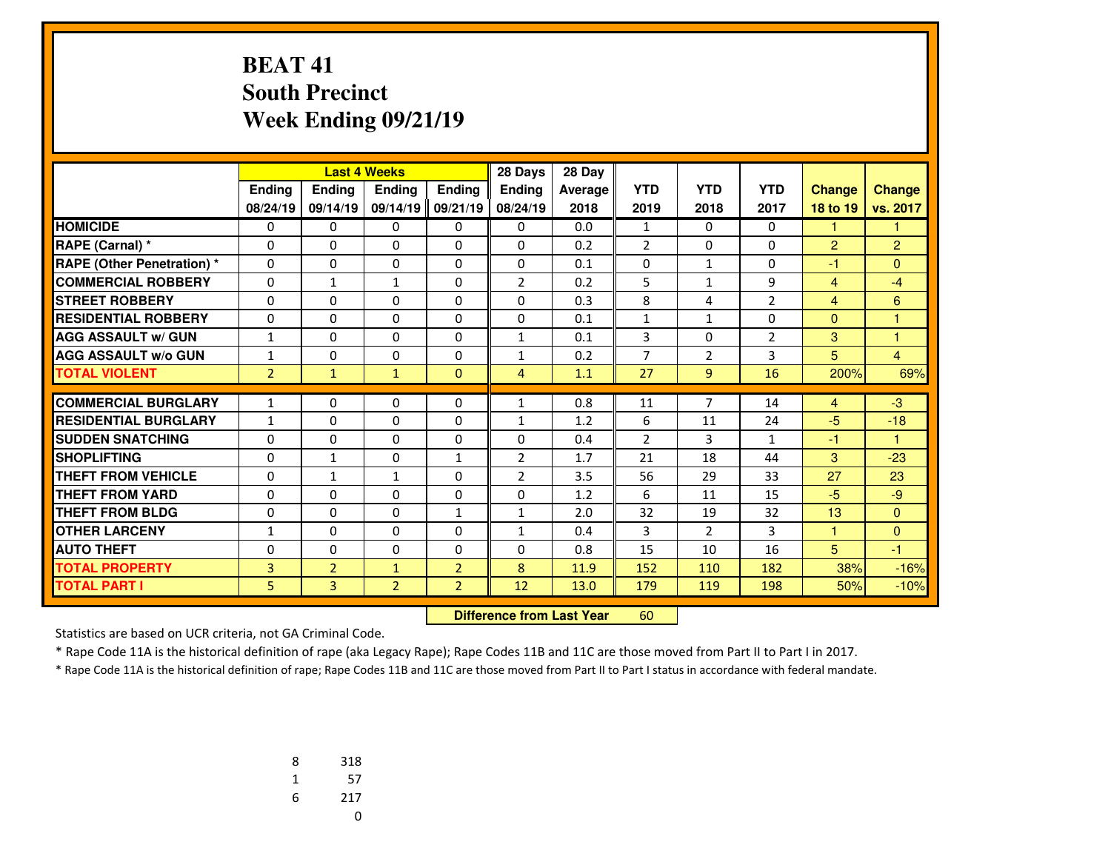# **BEAT 41 South PrecinctWeek Ending 09/21/19**

|                                   |                |                | <b>Last 4 Weeks</b> |                | 28 Days        | 28 Day  |                |                |                |                 |          |
|-----------------------------------|----------------|----------------|---------------------|----------------|----------------|---------|----------------|----------------|----------------|-----------------|----------|
|                                   | Ending         | Ending         | <b>Endina</b>       | Ending         | <b>Endina</b>  | Average | <b>YTD</b>     | <b>YTD</b>     | <b>YTD</b>     | <b>Change</b>   | Change   |
|                                   | 08/24/19       | 09/14/19       | 09/14/19 09/21/19   |                | 08/24/19       | 2018    | 2019           | 2018           | 2017           | <b>18 to 19</b> | vs. 2017 |
| <b>HOMICIDE</b>                   | 0              | 0              | 0                   | 0              | $\Omega$       | 0.0     | $\mathbf{1}$   | $\Omega$       | 0              | 1               | 1.       |
| RAPE (Carnal) *                   | 0              | 0              | 0                   | 0              | $\mathbf{0}$   | 0.2     | $\overline{2}$ | 0              | 0              | 2               | 2        |
| <b>RAPE (Other Penetration) *</b> | 0              | $\Omega$       | $\Omega$            | 0              | $\Omega$       | 0.1     | 0              | $\mathbf{1}$   | $\Omega$       | $-1$            | $\Omega$ |
| <b>COMMERCIAL ROBBERY</b>         | 0              | $\mathbf{1}$   | $\mathbf{1}$        | 0              | $\overline{2}$ | 0.2     | 5              | $\mathbf{1}$   | 9              | $\overline{4}$  | $-4$     |
| <b>STREET ROBBERY</b>             | 0              | 0              | 0                   | 0              | $\Omega$       | 0.3     | 8              | 4              | $\overline{2}$ | $\overline{4}$  | 6        |
| <b>RESIDENTIAL ROBBERY</b>        | $\Omega$       | $\Omega$       | 0                   | $\Omega$       | $\Omega$       | 0.1     | $\mathbf{1}$   | $\mathbf{1}$   | $\Omega$       | $\Omega$        | 1        |
| <b>AGG ASSAULT w/ GUN</b>         | $\mathbf{1}$   | 0              | 0                   | 0              | $\mathbf{1}$   | 0.1     | 3              | 0              | $\overline{2}$ | 3               | 1        |
| <b>AGG ASSAULT w/o GUN</b>        | $\mathbf{1}$   | $\Omega$       | $\Omega$            | $\Omega$       | $\mathbf{1}$   | 0.2     | 7              | $\overline{2}$ | 3              | 5               | 4        |
| <b>TOTAL VIOLENT</b>              | $\overline{2}$ | $\mathbf{1}$   | $\mathbf{1}$        | $\Omega$       | $\overline{4}$ | 1.1     | 27             | $\overline{9}$ | 16             | 200%            | 69%      |
|                                   |                |                |                     |                |                |         |                |                |                |                 |          |
| <b>COMMERCIAL BURGLARY</b>        | $\mathbf{1}$   | 0              | 0                   | 0              | $\mathbf{1}$   | 0.8     | 11             | $\overline{7}$ | 14             | $\overline{4}$  | $-3$     |
| <b>RESIDENTIAL BURGLARY</b>       | $\mathbf{1}$   | 0              | 0                   | 0              | $\mathbf{1}$   | 1.2     | 6              | 11             | 24             | $-5$            | $-18$    |
| <b>SUDDEN SNATCHING</b>           | 0              | 0              | 0                   | 0              | $\Omega$       | 0.4     | $\overline{2}$ | 3              | 1              | -1              | 1        |
| <b>SHOPLIFTING</b>                | $\Omega$       | $\mathbf{1}$   | $\Omega$            | $\mathbf{1}$   | $\overline{2}$ | 1.7     | 21             | 18             | 44             | 3               | $-23$    |
| <b>THEFT FROM VEHICLE</b>         | 0              | $\mathbf{1}$   | $\mathbf{1}$        | 0              | $\overline{2}$ | 3.5     | 56             | 29             | 33             | 27              | 23       |
| <b>THEFT FROM YARD</b>            | $\Omega$       | 0              | 0                   | 0              | $\Omega$       | 1.2     | 6              | 11             | 15             | $-5$            | $-9$     |
| <b>THEFT FROM BLDG</b>            | 0              | $\Omega$       | $\Omega$            | $\mathbf{1}$   | $\mathbf{1}$   | 2.0     | 32             | 19             | 32             | 13              | $\Omega$ |
| <b>OTHER LARCENY</b>              | 1              | 0              | 0                   | 0              | 1              | 0.4     | 3              | $\overline{2}$ | 3              | 1               | $\Omega$ |
| <b>AUTO THEFT</b>                 | 0              | $\Omega$       | $\Omega$            | $\Omega$       | $\Omega$       | 0.8     | 15             | 10             | 16             | 5               | $-1$     |
| <b>TOTAL PROPERTY</b>             | 3              | $\overline{2}$ | $\mathbf{1}$        | $\overline{2}$ | 8              | 11.9    | 152            | 110            | 182            | 38%             | $-16%$   |
| <b>TOTAL PART I</b>               | 5              | 3              | $\overline{2}$      | $\overline{2}$ | 12             | 13.0    | 179            | 119            | 198            | 50%             | $-10%$   |

 **Difference from Last Year**<sup>60</sup>

Statistics are based on UCR criteria, not GA Criminal Code.

\* Rape Code 11A is the historical definition of rape (aka Legacy Rape); Rape Codes 11B and 11C are those moved from Part II to Part I in 2017.

| 8 | 318 |
|---|-----|
| 1 | 57  |
| 6 | 217 |
|   | U   |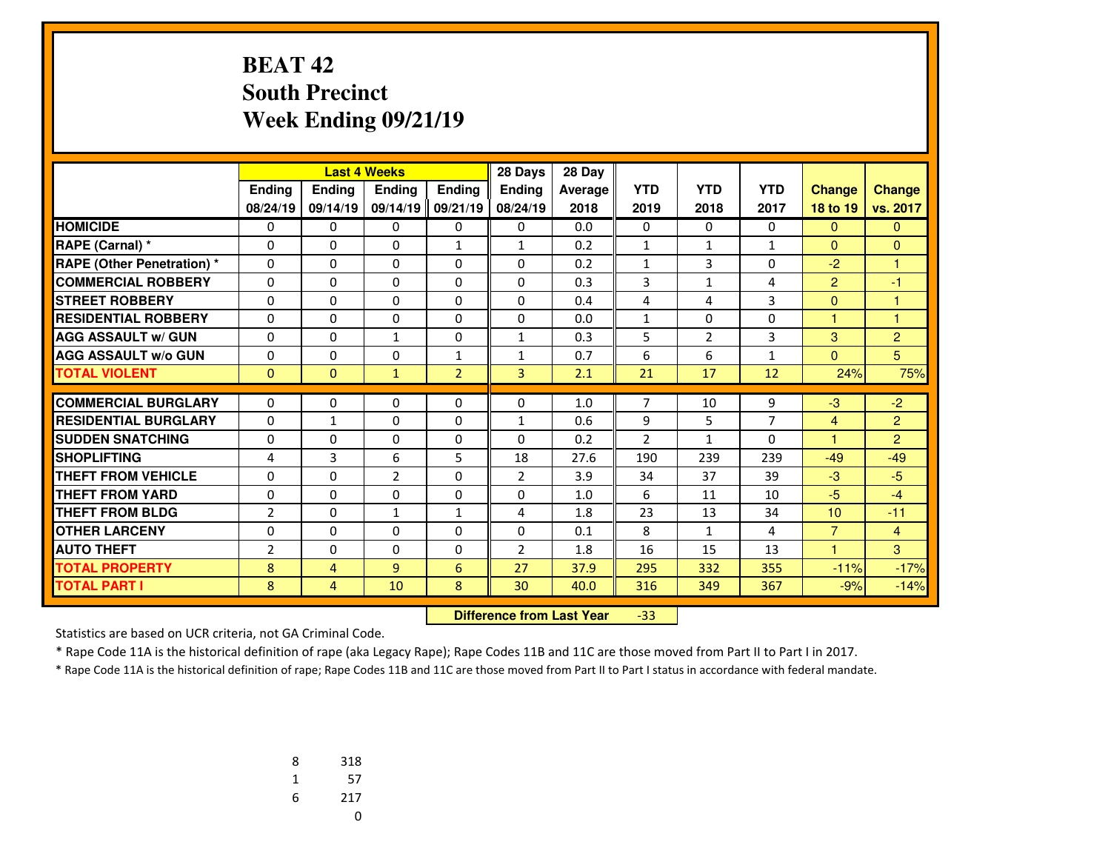#### **BEAT 42 South PrecinctWeek Ending 09/21/19**

|                                   |                |                | <b>Last 4 Weeks</b><br>28 Days |                |                | 28 Day  |                |                |                |                      |                |
|-----------------------------------|----------------|----------------|--------------------------------|----------------|----------------|---------|----------------|----------------|----------------|----------------------|----------------|
|                                   | Ending         | Ending         | <b>Endina</b>                  | Ending         | <b>Endina</b>  | Average | <b>YTD</b>     | <b>YTD</b>     | <b>YTD</b>     | <b>Change</b>        | <b>Change</b>  |
|                                   | 08/24/19       | 09/14/19       | 09/14/19 09/21/19              |                | 08/24/19       | 2018    | 2019           | 2018           | 2017           | 18 to 19             | vs. 2017       |
| <b>HOMICIDE</b>                   | 0              | 0              | 0                              | 0              | $\Omega$       | 0.0     | 0              | $\Omega$       | 0              | $\mathbf{0}$         | $\mathbf{0}$   |
| RAPE (Carnal) *                   | 0              | $\Omega$       | 0                              | $\mathbf{1}$   | $\mathbf{1}$   | 0.2     | $\mathbf{1}$   | $\mathbf{1}$   | 1              | $\Omega$             | $\Omega$       |
| <b>RAPE (Other Penetration) *</b> | $\Omega$       | $\Omega$       | $\Omega$                       | $\Omega$       | $\Omega$       | 0.2     | $\mathbf{1}$   | 3              | $\Omega$       | $-2$                 | 1              |
| <b>COMMERCIAL ROBBERY</b>         | 0              | $\Omega$       | 0                              | 0              | $\mathbf{0}$   | 0.3     | 3              | $\mathbf{1}$   | 4              | $\overline{2}$       | $-1$           |
| <b>STREET ROBBERY</b>             | $\Omega$       | $\Omega$       | $\Omega$                       | $\Omega$       | $\Omega$       | 0.4     | 4              | 4              | 3              | $\Omega$             | 1              |
| <b>RESIDENTIAL ROBBERY</b>        | $\Omega$       | 0              | 0                              | 0              | $\Omega$       | 0.0     | 1              | 0              | 0              | 1                    | 1              |
| <b>AGG ASSAULT w/ GUN</b>         | $\Omega$       | $\Omega$       | $\mathbf{1}$                   | $\Omega$       | $\mathbf{1}$   | 0.3     | 5              | $\overline{2}$ | 3              | 3                    | $\overline{2}$ |
| <b>AGG ASSAULT w/o GUN</b>        | 0              | 0              | 0                              | $\mathbf{1}$   | 1              | 0.7     | 6              | 6              | $\mathbf{1}$   | $\Omega$             | 5              |
| <b>TOTAL VIOLENT</b>              | $\mathbf{0}$   | $\Omega$       | $\mathbf{1}$                   | $\overline{2}$ | $\overline{3}$ | 2.1     | 21             | 17             | 12             | 24%                  | 75%            |
| <b>COMMERCIAL BURGLARY</b>        |                |                |                                |                |                |         | 7              |                |                |                      |                |
|                                   | $\Omega$       | $\Omega$       | $\Omega$                       | $\Omega$       | $\Omega$       | 1.0     |                | 10             | 9              | $-3$                 | $-2$           |
| <b>RESIDENTIAL BURGLARY</b>       | 0              | 1              | $\Omega$                       | 0              | 1              | 0.6     | 9              | 5              | $\overline{7}$ | $\overline{4}$       | $\overline{2}$ |
| <b>SUDDEN SNATCHING</b>           | 0              | 0              | 0                              | 0              | $\mathbf{0}$   | 0.2     | $\overline{2}$ | $\mathbf{1}$   | 0              | $\blacktriangleleft$ | $\overline{2}$ |
| <b>SHOPLIFTING</b>                | 4              | 3              | 6                              | 5              | 18             | 27.6    | 190            | 239            | 239            | $-49$                | $-49$          |
| <b>THEFT FROM VEHICLE</b>         | 0              | 0              | $\overline{2}$                 | 0              | $\overline{2}$ | 3.9     | 34             | 37             | 39             | $-3$                 | $-5$           |
| <b>THEFT FROM YARD</b>            | $\Omega$       | $\Omega$       | $\Omega$                       | $\Omega$       | $\Omega$       | 1.0     | 6              | 11             | 10             | $-5$                 | $-4$           |
| <b>THEFT FROM BLDG</b>            | $\overline{2}$ | 0              | $\mathbf{1}$                   | $\mathbf{1}$   | 4              | 1.8     | 23             | 13             | 34             | 10                   | $-11$          |
| <b>OTHER LARCENY</b>              | 0              | $\Omega$       | 0                              | 0              | $\Omega$       | 0.1     | 8              | $\mathbf{1}$   | 4              | $\overline{7}$       | $\overline{4}$ |
| <b>AUTO THEFT</b>                 | $\overline{2}$ | 0              | 0                              | 0              | $\overline{2}$ | 1.8     | 16             | 15             | 13             | 4                    | 3              |
| <b>TOTAL PROPERTY</b>             | 8              | 4              | $\overline{9}$                 | 6              | 27             | 37.9    | 295            | 332            | 355            | $-11%$               | $-17%$         |
| <b>TOTAL PART I</b>               | 8              | $\overline{4}$ | 10                             | 8              | 30             | 40.0    | 316            | 349            | 367            | $-9%$                | $-14%$         |

 **Difference from Last Year**-33

Statistics are based on UCR criteria, not GA Criminal Code.

\* Rape Code 11A is the historical definition of rape (aka Legacy Rape); Rape Codes 11B and 11C are those moved from Part II to Part I in 2017.

| 8 | 318 |
|---|-----|
| 1 | 57  |
| 6 | 217 |
|   | U   |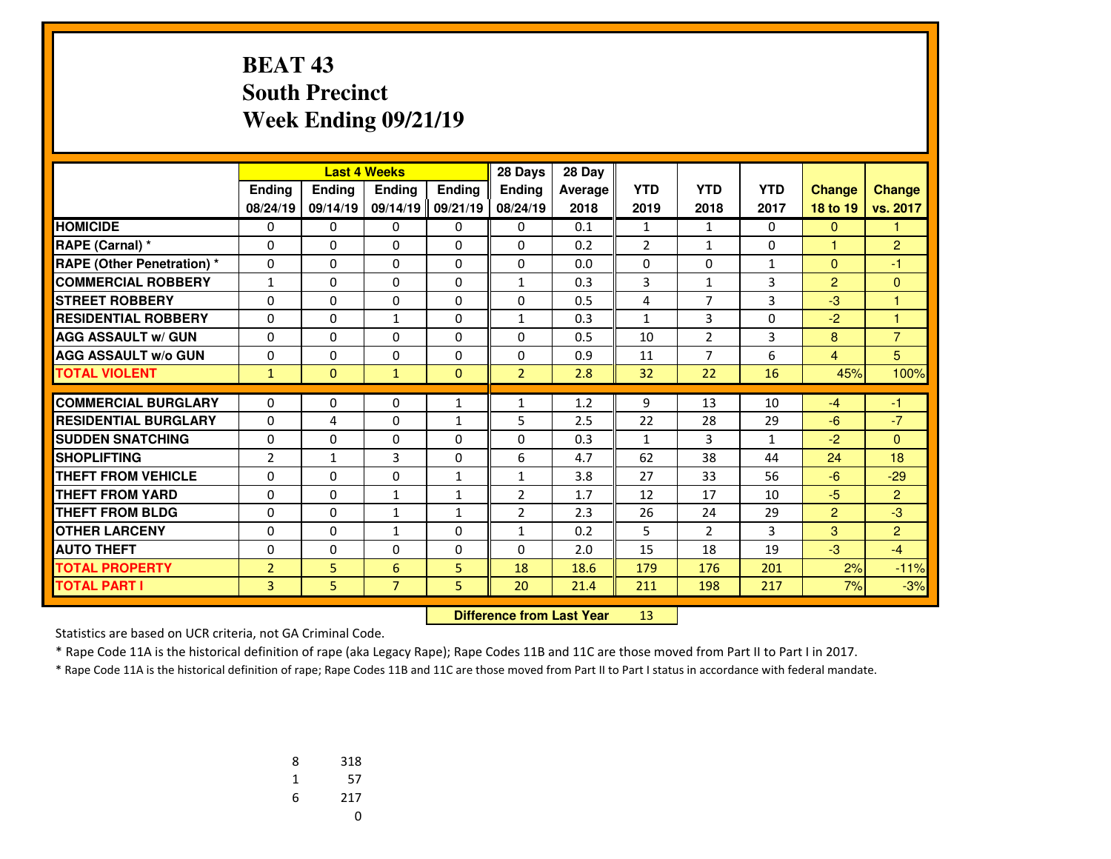### **BEAT 43 South PrecinctWeek Ending 09/21/19**

|                                   |                |              | <b>Last 4 Weeks</b> |               | 28 Days        | 28 Day  |                |                |              |                      |                |
|-----------------------------------|----------------|--------------|---------------------|---------------|----------------|---------|----------------|----------------|--------------|----------------------|----------------|
|                                   | Ending         | Ending       | <b>Endina</b>       | <b>Endina</b> | <b>Endina</b>  | Average | <b>YTD</b>     | <b>YTD</b>     | <b>YTD</b>   | <b>Change</b>        | <b>Change</b>  |
|                                   | 08/24/19       | 09/14/19     | 09/14/19            | 09/21/19      | 08/24/19       | 2018    | 2019           | 2018           | 2017         | 18 to 19             | vs. 2017       |
| <b>HOMICIDE</b>                   | 0              | 0            | 0                   | 0             | 0              | 0.1     | $\mathbf{1}$   | $\mathbf{1}$   | 0            | $\mathbf{0}$         | 1              |
| RAPE (Carnal) *                   | 0              | $\Omega$     | $\Omega$            | 0             | $\Omega$       | 0.2     | $\overline{2}$ | $\mathbf{1}$   | $\Omega$     | $\blacktriangleleft$ | $\overline{2}$ |
| <b>RAPE (Other Penetration) *</b> | 0              | $\Omega$     | $\Omega$            | 0             | $\Omega$       | 0.0     | 0              | 0              | 1            | $\Omega$             | $-1$           |
| <b>COMMERCIAL ROBBERY</b>         | $\mathbf{1}$   | $\Omega$     | $\Omega$            | $\Omega$      | $\mathbf{1}$   | 0.3     | 3              | $\mathbf{1}$   | 3            | 2                    | $\Omega$       |
| <b>STREET ROBBERY</b>             | 0              | $\Omega$     | $\Omega$            | 0             | $\Omega$       | 0.5     | 4              | $\overline{7}$ | 3            | $-3$                 | $\mathbf{1}$   |
| <b>RESIDENTIAL ROBBERY</b>        | 0              | $\Omega$     | $\mathbf{1}$        | $\Omega$      | $\mathbf{1}$   | 0.3     | $\mathbf{1}$   | 3              | $\Omega$     | $-2$                 | $\overline{1}$ |
| <b>AGG ASSAULT w/ GUN</b>         | 0              | $\Omega$     | 0                   | 0             | $\Omega$       | 0.5     | 10             | $\overline{2}$ | 3            | 8                    | $\overline{7}$ |
| <b>AGG ASSAULT w/o GUN</b>        | 0              | 0            | 0                   | $\Omega$      | $\Omega$       | 0.9     | 11             | $\overline{7}$ | 6            | $\overline{4}$       | 5              |
| <b>TOTAL VIOLENT</b>              | $\mathbf{1}$   | $\Omega$     | $\mathbf{1}$        | $\Omega$      | $\overline{2}$ | 2.8     | 32             | 22             | 16           | 45%                  | 100%           |
| <b>COMMERCIAL BURGLARY</b>        |                | 0            |                     |               |                |         |                |                | 10           |                      |                |
| <b>RESIDENTIAL BURGLARY</b>       | 0              |              | 0                   | $\mathbf{1}$  | 1              | 1.2     | 9              | 13             |              | $-4$                 | $-1$           |
|                                   | 0              | 4            | 0                   | $\mathbf{1}$  | 5              | 2.5     | 22             | 28             | 29           | $-6$                 | $-7$           |
| <b>SUDDEN SNATCHING</b>           | 0              | $\Omega$     | 0                   | $\Omega$      | $\Omega$       | 0.3     | $\mathbf{1}$   | 3              | $\mathbf{1}$ | $-2$                 | $\Omega$       |
| <b>SHOPLIFTING</b>                | $\overline{2}$ | $\mathbf{1}$ | 3                   | $\Omega$      | 6              | 4.7     | 62             | 38             | 44           | 24                   | 18             |
| <b>THEFT FROM VEHICLE</b>         | $\Omega$       | $\Omega$     | 0                   | $\mathbf{1}$  | $\mathbf{1}$   | 3.8     | 27             | 33             | 56           | $-6$                 | $-29$          |
| <b>THEFT FROM YARD</b>            | $\Omega$       | $\Omega$     | $\mathbf{1}$        | $\mathbf{1}$  | $\overline{2}$ | 1.7     | 12             | 17             | 10           | $-5$                 | $\overline{2}$ |
| <b>THEFT FROM BLDG</b>            | $\Omega$       | $\Omega$     | $\mathbf{1}$        | $\mathbf{1}$  | $\overline{2}$ | 2.3     | 26             | 24             | 29           | $\overline{2}$       | $-3$           |
| <b>OTHER LARCENY</b>              | $\Omega$       | $\Omega$     | $\mathbf{1}$        | $\Omega$      | $\mathbf{1}$   | 0.2     | 5              | $\overline{2}$ | 3            | 3                    | $\overline{2}$ |
| <b>AUTO THEFT</b>                 | 0              | 0            | 0                   | 0             | $\Omega$       | 2.0     | 15             | 18             | 19           | $-3$                 | $-4$           |
| <b>TOTAL PROPERTY</b>             | $\overline{2}$ | 5.           | 6                   | 5             | 18             | 18.6    | 179            | 176            | 201          | 2%                   | $-11%$         |
| <b>TOTAL PART I</b>               | 3              | 5            | $\overline{7}$      | 5             | 20             | 21.4    | 211            | 198            | 217          | 7%                   | $-3%$          |

 **Difference from Last Year**<sup>13</sup>

Statistics are based on UCR criteria, not GA Criminal Code.

\* Rape Code 11A is the historical definition of rape (aka Legacy Rape); Rape Codes 11B and 11C are those moved from Part II to Part I in 2017.

| 8 | 318 |
|---|-----|
| 1 | 57  |
| 6 | 217 |
|   | U   |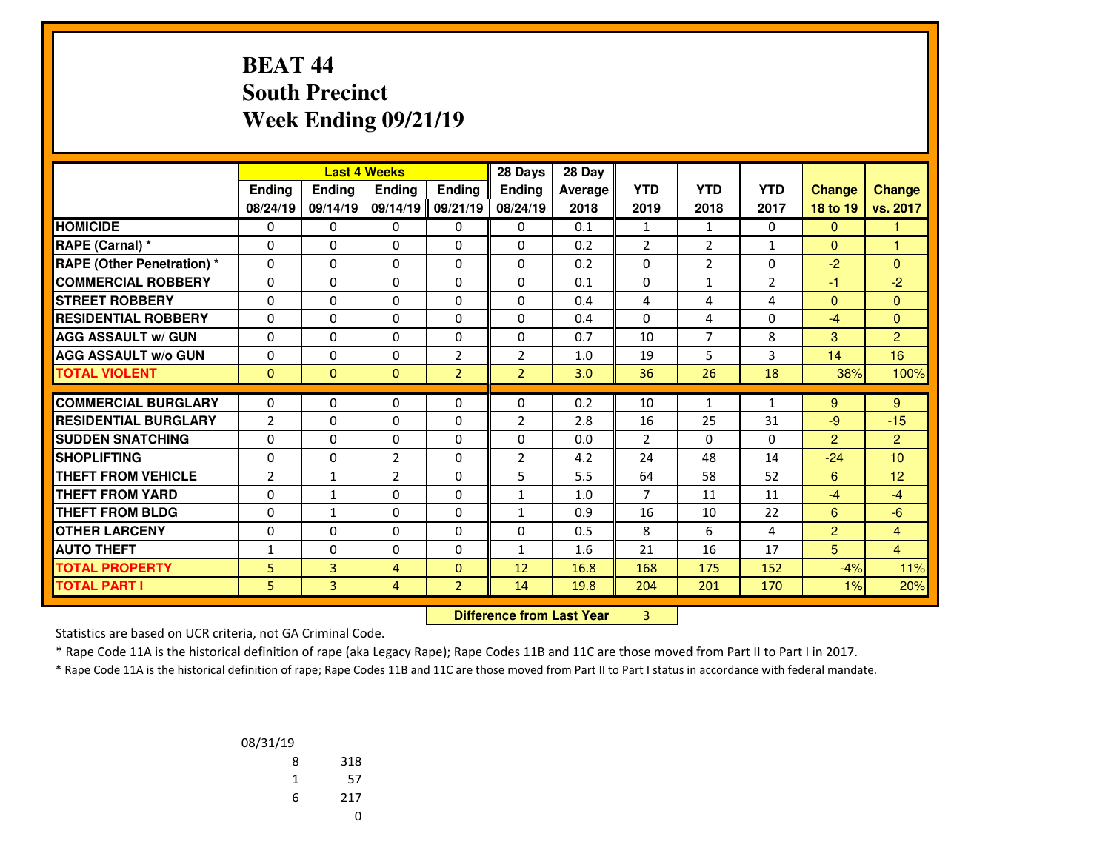### **BEAT 44 South PrecinctWeek Ending 09/21/19**

|                                   | <b>Last 4 Weeks</b> |                |                | 28 Days        | 28 Day                           |         |                |                |                |                |                  |
|-----------------------------------|---------------------|----------------|----------------|----------------|----------------------------------|---------|----------------|----------------|----------------|----------------|------------------|
|                                   | Ending              | Ending         | Ending         | Ending         | <b>Ending</b>                    | Average | <b>YTD</b>     | <b>YTD</b>     | <b>YTD</b>     | <b>Change</b>  | <b>Change</b>    |
|                                   | 08/24/19            | 09/14/19       | 09/14/19       | 09/21/19       | 08/24/19                         | 2018    | 2019           | 2018           | 2017           | 18 to 19       | vs. 2017         |
| <b>HOMICIDE</b>                   | $\mathbf{0}$        | 0              | 0              | 0              | $\Omega$                         | 0.1     | $\mathbf{1}$   | $\mathbf{1}$   | $\Omega$       | $\mathbf{0}$   | 1                |
| RAPE (Carnal) *                   | 0                   | $\Omega$       | $\Omega$       | $\Omega$       | $\Omega$                         | 0.2     | $\overline{2}$ | $\overline{2}$ | $\mathbf{1}$   | $\mathbf{0}$   | 1                |
| <b>RAPE (Other Penetration) *</b> | 0                   | $\Omega$       | $\Omega$       | $\Omega$       | $\Omega$                         | 0.2     | 0              | $\overline{2}$ | $\Omega$       | $-2$           | $\Omega$         |
| <b>COMMERCIAL ROBBERY</b>         | $\mathbf{0}$        | 0              | $\Omega$       | 0              | $\Omega$                         | 0.1     | 0              | $\mathbf{1}$   | $\overline{2}$ | $-1$           | $-2$             |
| <b>STREET ROBBERY</b>             | 0                   | 0              | $\Omega$       | 0              | 0                                | 0.4     | 4              | 4              | 4              | $\mathbf{0}$   | $\mathbf{0}$     |
| <b>RESIDENTIAL ROBBERY</b>        | $\Omega$            | $\Omega$       | 0              | $\Omega$       | $\Omega$                         | 0.4     | $\Omega$       | 4              | $\Omega$       | $-4$           | $\mathbf{0}$     |
| <b>AGG ASSAULT w/ GUN</b>         | $\Omega$            | 0              | 0              | $\Omega$       | $\Omega$                         | 0.7     | 10             | $\overline{7}$ | 8              | 3              | $\overline{2}$   |
| <b>AGG ASSAULT w/o GUN</b>        | 0                   | $\Omega$       | 0              | $\overline{2}$ | $\overline{2}$                   | 1.0     | 19             | 5              | 3              | 14             | 16               |
| <b>TOTAL VIOLENT</b>              | $\mathbf{0}$        | $\Omega$       | $\mathbf{0}$   | $\overline{2}$ | $\overline{2}$                   | 3.0     | 36             | 26             | 18             | 38%            | 100%             |
| <b>COMMERCIAL BURGLARY</b>        | 0                   | 0              | 0              | 0              | 0                                | 0.2     | 10             | 1              | 1              | 9              | 9                |
| <b>RESIDENTIAL BURGLARY</b>       | $\overline{2}$      | $\Omega$       | 0              | 0              | $\overline{2}$                   | 2.8     | 16             | 25             | 31             | $-9$           | $-15$            |
| <b>SUDDEN SNATCHING</b>           | 0                   | $\Omega$       | $\Omega$       | $\Omega$       | $\Omega$                         | 0.0     | $\overline{2}$ | $\Omega$       | $\Omega$       | $\overline{2}$ | $\overline{2}$   |
| <b>SHOPLIFTING</b>                | 0                   | $\Omega$       | $\overline{2}$ | $\Omega$       | $\overline{2}$                   | 4.2     | 24             | 48             | 14             | $-24$          | 10 <sup>10</sup> |
| <b>THEFT FROM VEHICLE</b>         | $\overline{2}$      | $\mathbf{1}$   | $\overline{2}$ | $\Omega$       | 5                                | 5.5     | 64             | 58             | 52             | 6              | 12 <sub>2</sub>  |
| <b>THEFT FROM YARD</b>            | 0                   | $\mathbf{1}$   | $\Omega$       | $\Omega$       | $\mathbf{1}$                     | 1.0     | $\overline{7}$ | 11             | 11             | $-4$           | $-4$             |
| <b>THEFT FROM BLDG</b>            | 0                   | $\mathbf{1}$   | 0              | 0              | $\mathbf{1}$                     | 0.9     | 16             | 10             | 22             | 6              | $-6$             |
| <b>OTHER LARCENY</b>              | 0                   | $\Omega$       | $\Omega$       | $\Omega$       | $\Omega$                         | 0.5     | 8              | 6              | 4              | $\overline{2}$ | $\overline{4}$   |
| <b>AUTO THEFT</b>                 | 1                   | $\Omega$       | $\Omega$       | 0              | $\mathbf{1}$                     | 1.6     | 21             | 16             | 17             | 5 <sup>5</sup> | $\overline{4}$   |
| <b>TOTAL PROPERTY</b>             | 5                   | 3              | $\overline{4}$ | $\mathbf{0}$   | 12                               | 16.8    | 168            | 175            | 152            | $-4%$          | 11%              |
| <b>TOTAL PART I</b>               | 5.                  | $\overline{3}$ | $\overline{4}$ | $\overline{2}$ | 14                               | 19.8    | 204            | 201            | 170            | 1%             | 20%              |
|                                   |                     |                |                |                | <b>Difference from Last Year</b> |         | 3              |                |                |                |                  |

 **Difference from Last Year**

Statistics are based on UCR criteria, not GA Criminal Code.

\* Rape Code 11A is the historical definition of rape (aka Legacy Rape); Rape Codes 11B and 11C are those moved from Part II to Part I in 2017.

| 08/31/19 |     |
|----------|-----|
| 8        | 318 |
| 1        | 57  |
| 6        | 217 |
|          |     |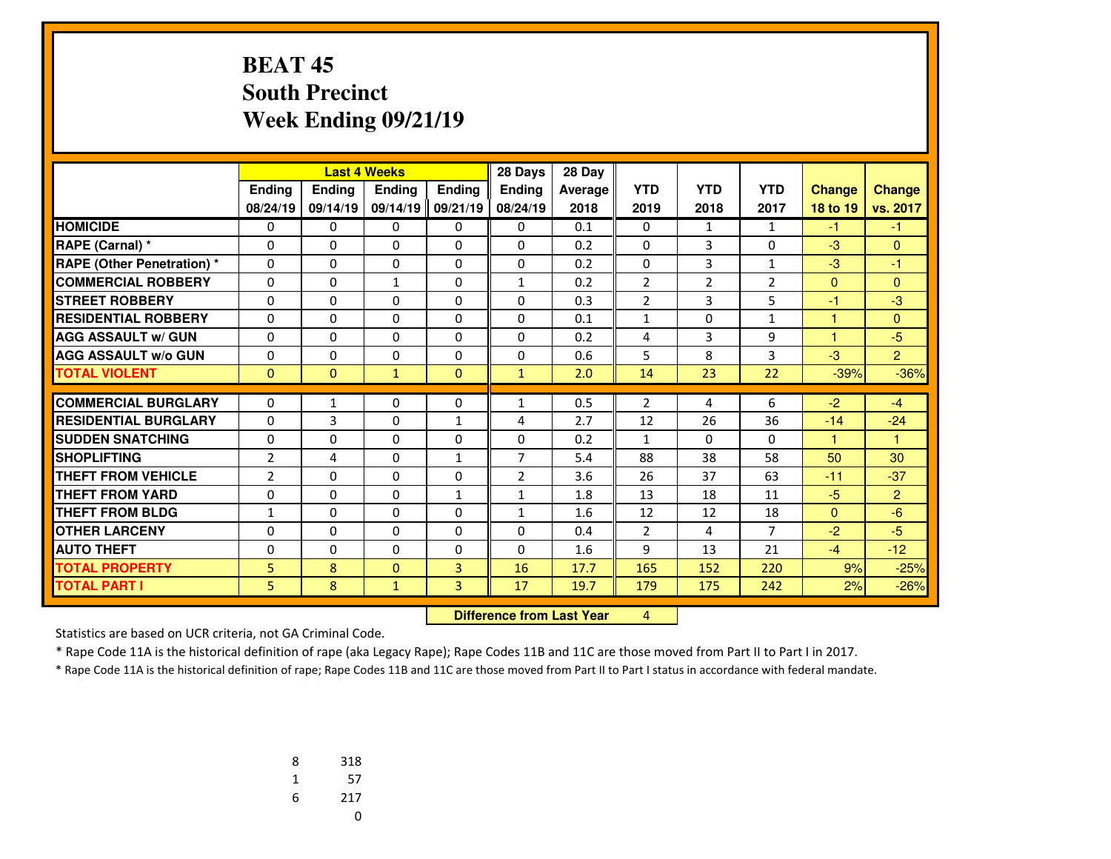#### **BEAT 45 South PrecinctWeek Ending 09/21/19**

|                                  |                |               | <b>Last 4 Weeks</b> |               | 28 Days                          | 28 Day  |                |                |                |               |                |
|----------------------------------|----------------|---------------|---------------------|---------------|----------------------------------|---------|----------------|----------------|----------------|---------------|----------------|
|                                  | Ending         | <b>Ending</b> | Ending              | <b>Ending</b> | Ending                           | Average | <b>YTD</b>     | <b>YTD</b>     | <b>YTD</b>     | <b>Change</b> | <b>Change</b>  |
|                                  | 08/24/19       | 09/14/19      | 09/14/19            | 09/21/19      | 08/24/19                         | 2018    | 2019           | 2018           | 2017           | 18 to 19      | vs. 2017       |
| <b>HOMICIDE</b>                  | 0              | 0             | 0                   | 0             | $\Omega$                         | 0.1     | 0              | $\mathbf{1}$   | $\mathbf{1}$   | $-1$          | $-1$           |
| RAPE (Carnal) *                  | 0              | $\Omega$      | $\Omega$            | 0             | $\Omega$                         | 0.2     | 0              | 3              | $\Omega$       | $-3$          | $\Omega$       |
| <b>RAPE (Other Penetration)*</b> | $\mathbf{0}$   | $\Omega$      | $\Omega$            | 0             | $\Omega$                         | 0.2     | 0              | 3              | $\mathbf{1}$   | $-3$          | $-1$           |
| <b>COMMERCIAL ROBBERY</b>        | 0              | 0             | $\mathbf{1}$        | 0             | $\mathbf{1}$                     | 0.2     | $\overline{2}$ | $\overline{2}$ | $\overline{2}$ | $\mathbf{0}$  | $\mathbf{0}$   |
| <b>STREET ROBBERY</b>            | 0              | 0             | $\Omega$            | 0             | $\Omega$                         | 0.3     | $\overline{2}$ | 3              | 5              | $-1$          | $-3$           |
| <b>RESIDENTIAL ROBBERY</b>       | $\Omega$       | $\Omega$      | 0                   | $\Omega$      | $\Omega$                         | 0.1     | $\mathbf{1}$   | 0              | $\mathbf{1}$   | 1             | $\mathbf{0}$   |
| <b>AGG ASSAULT w/ GUN</b>        | 0              | 0             | 0                   | 0             | $\Omega$                         | 0.2     | 4              | 3              | 9              | ٠             | $-5$           |
| <b>AGG ASSAULT W/o GUN</b>       | $\mathbf{0}$   | 0             | 0                   | 0             | 0                                | 0.6     | 5              | 8              | 3              | $-3$          | $\overline{2}$ |
| <b>TOTAL VIOLENT</b>             | $\mathbf{0}$   | $\Omega$      | $\mathbf{1}$        | $\Omega$      | $\mathbf{1}$                     | 2.0     | 14             | 23             | 22             | $-39%$        | $-36%$         |
| <b>COMMERCIAL BURGLARY</b>       | $\mathbf{0}$   | $\mathbf{1}$  | 0                   | 0             | 1                                | 0.5     | $\overline{2}$ | 4              | 6              | $-2$          | $-4$           |
| <b>RESIDENTIAL BURGLARY</b>      | $\Omega$       | 3             | $\Omega$            | $\mathbf{1}$  | 4                                | 2.7     | 12             | 26             | 36             | $-14$         | $-24$          |
| <b>SUDDEN SNATCHING</b>          | 0              | $\Omega$      | $\Omega$            | $\Omega$      | $\Omega$                         | 0.2     | $\mathbf{1}$   | $\Omega$       | $\Omega$       | 1             | 1              |
| <b>SHOPLIFTING</b>               | $\overline{2}$ | 4             | 0                   | $\mathbf{1}$  | $\overline{7}$                   | 5.4     | 88             | 38             | 58             | 50            | 30             |
| <b>THEFT FROM VEHICLE</b>        | $\overline{2}$ | $\Omega$      | $\Omega$            | $\Omega$      | $\overline{2}$                   | 3.6     | 26             | 37             | 63             | $-11$         | $-37$          |
| <b>THEFT FROM YARD</b>           | 0              | $\Omega$      | $\Omega$            | $\mathbf{1}$  | $\mathbf{1}$                     | 1.8     | 13             | 18             | 11             | $-5$          | $\overline{2}$ |
| <b>THEFT FROM BLDG</b>           | 1              | 0             | $\Omega$            | 0             | $\mathbf{1}$                     | 1.6     | 12             | 12             | 18             | $\mathbf{0}$  | $-6$           |
| <b>OTHER LARCENY</b>             | 0              | 0             | 0                   | 0             | $\Omega$                         | 0.4     | $\overline{2}$ | 4              | $\overline{7}$ | $-2$          | $-5$           |
| <b>AUTO THEFT</b>                | 0              | $\Omega$      | $\Omega$            | 0             | $\Omega$                         | 1.6     | 9              | 13             | 21             | $-4$          | $-12$          |
| <b>TOTAL PROPERTY</b>            | 5              | 8             | $\mathbf{0}$        | 3             | 16                               | 17.7    | 165            | 152            | 220            | 9%            | $-25%$         |
| <b>TOTAL PART I</b>              | 5.             | 8             | $\mathbf{1}$        | 3             | 17                               | 19.7    | 179            | 175            | 242            | 2%            | $-26%$         |
|                                  |                |               |                     |               | <b>Difference from Last Year</b> |         | 4              |                |                |               |                |

 **Difference from Last Year**

Statistics are based on UCR criteria, not GA Criminal Code.

\* Rape Code 11A is the historical definition of rape (aka Legacy Rape); Rape Codes 11B and 11C are those moved from Part II to Part I in 2017.

| 8 | 318 |
|---|-----|
| 1 | 57  |
| 6 | 217 |
|   | U   |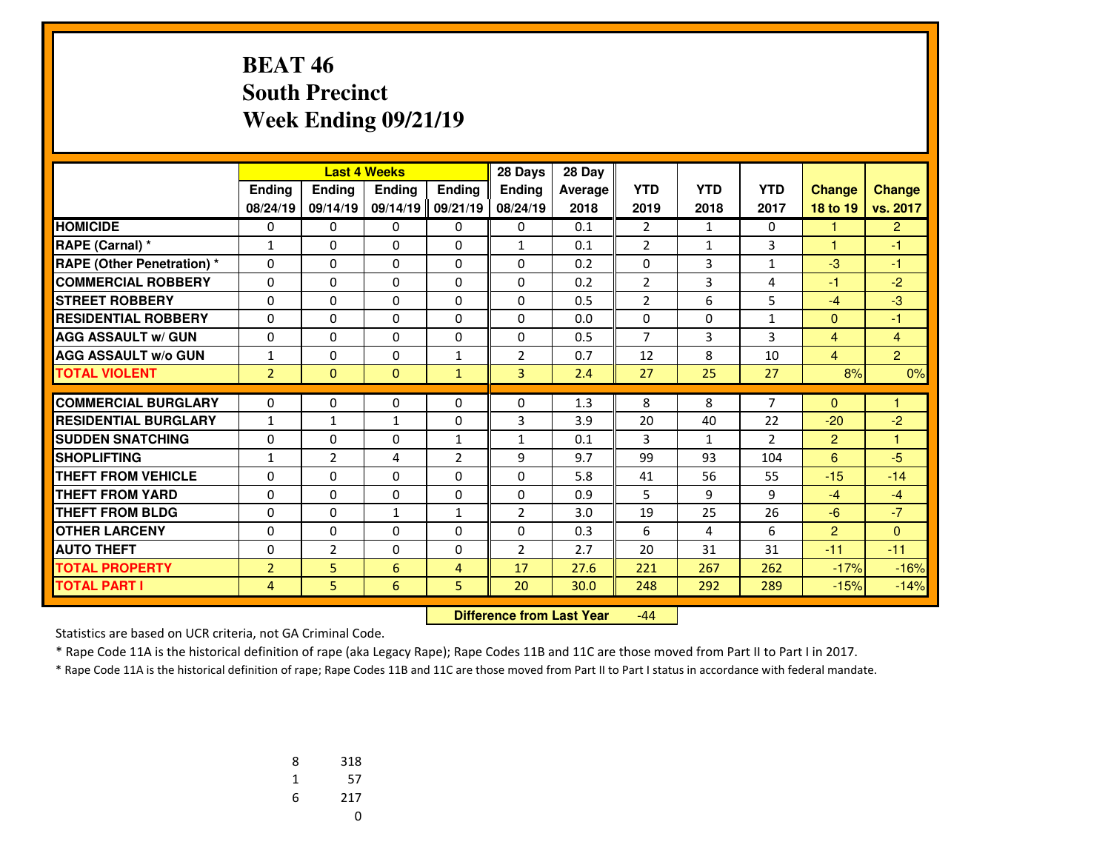# **BEAT 46 South PrecinctWeek Ending 09/21/19**

|                                   |                |                | <b>Last 4 Weeks</b> |                | 28 Days        | 28 Day  |                |              |                |                |                |
|-----------------------------------|----------------|----------------|---------------------|----------------|----------------|---------|----------------|--------------|----------------|----------------|----------------|
|                                   | <b>Ending</b>  | <b>Ending</b>  | <b>Endina</b>       | <b>Endina</b>  | <b>Endina</b>  | Average | <b>YTD</b>     | <b>YTD</b>   | <b>YTD</b>     | <b>Change</b>  | <b>Change</b>  |
|                                   | 08/24/19       | 09/14/19       | 09/14/19            | 09/21/19       | 08/24/19       | 2018    | 2019           | 2018         | 2017           | 18 to 19       | vs. 2017       |
| <b>HOMICIDE</b>                   | 0              | 0              | 0                   | 0              | 0              | 0.1     | $\overline{2}$ | $\mathbf{1}$ | 0              | 1              | $\overline{2}$ |
| RAPE (Carnal) *                   | $\mathbf{1}$   | $\Omega$       | $\Omega$            | $\Omega$       | 1              | 0.1     | $\overline{2}$ | $\mathbf{1}$ | 3              | $\mathbf{1}$   | $-1$           |
| <b>RAPE (Other Penetration) *</b> | $\Omega$       | $\Omega$       | $\Omega$            | $\Omega$       | $\Omega$       | 0.2     | 0              | 3            | 1              | $-3$           | $-1$           |
| <b>COMMERCIAL ROBBERY</b>         | 0              | $\Omega$       | $\Omega$            | $\Omega$       | $\Omega$       | 0.2     | $\overline{2}$ | 3            | 4              | $-1$           | $-2$           |
| <b>STREET ROBBERY</b>             | $\Omega$       | 0              | $\Omega$            | $\Omega$       | $\Omega$       | 0.5     | $\overline{2}$ | 6            | 5              | $-4$           | $-3$           |
| <b>RESIDENTIAL ROBBERY</b>        | 0              | 0              | 0                   | 0              | $\Omega$       | 0.0     | 0              | $\Omega$     | 1              | $\mathbf{0}$   | $-1$           |
| <b>AGG ASSAULT w/ GUN</b>         | 0              | $\Omega$       | 0                   | 0              | $\Omega$       | 0.5     | $\overline{7}$ | 3            | 3              | $\overline{4}$ | $\overline{4}$ |
| <b>AGG ASSAULT w/o GUN</b>        | $\mathbf{1}$   | 0              | 0                   | $\mathbf{1}$   | $\overline{2}$ | 0.7     | 12             | 8            | 10             | $\overline{4}$ | $\overline{2}$ |
| <b>TOTAL VIOLENT</b>              | $\overline{2}$ | $\Omega$       | $\Omega$            | $\mathbf{1}$   | $\overline{3}$ | 2.4     | 27             | 25           | 27             | 8%             | 0%             |
| <b>COMMERCIAL BURGLARY</b>        | 0              | 0              | 0                   | 0              | 0              | 1.3     | 8              | 8            | 7              | $\mathbf{0}$   | 1              |
| <b>RESIDENTIAL BURGLARY</b>       | 1              | $\mathbf{1}$   | 1                   | $\Omega$       | 3              | 3.9     | 20             | 40           | 22             | $-20$          | $-2$           |
| <b>ISUDDEN SNATCHING</b>          | 0              | 0              | $\Omega$            | $\mathbf{1}$   | $\mathbf{1}$   | 0.1     | 3              | $\mathbf{1}$ | $\overline{2}$ | $\overline{2}$ | 1              |
| <b>SHOPLIFTING</b>                | 1              | $\overline{2}$ | 4                   | $\overline{2}$ | 9              | 9.7     | 99             | 93           | 104            | 6              | $-5$           |
| <b>THEFT FROM VEHICLE</b>         | 0              | 0              | 0                   | $\Omega$       | $\Omega$       | 5.8     | 41             | 56           | 55             | $-15$          | $-14$          |
| <b>THEFT FROM YARD</b>            | 0              | $\Omega$       | 0                   | $\Omega$       | $\Omega$       | 0.9     | 5              | 9            | 9              | $-4$           | $-4$           |
| <b>THEFT FROM BLDG</b>            | 0              | 0              | 1                   | $\mathbf{1}$   | $\overline{2}$ | 3.0     | 19             | 25           | 26             | $-6$           | $-7$           |
| <b>OTHER LARCENY</b>              | 0              | $\Omega$       | 0                   | 0              | $\Omega$       | 0.3     | 6              | 4            | 6              | $\overline{2}$ | $\Omega$       |
| <b>AUTO THEFT</b>                 | 0              | $\overline{2}$ | $\Omega$            | 0              | $\overline{2}$ | 2.7     | 20             | 31           | 31             | $-11$          | $-11$          |
| <b>TOTAL PROPERTY</b>             | $\overline{2}$ | 5              | 6                   | 4              | 17             | 27.6    | 221            | 267          | 262            | $-17%$         | $-16%$         |
| <b>TOTAL PART I</b>               | 4              | 5.             | 6                   | 5              | 20             | 30.0    | 248            | 292          | 289            | $-15%$         | $-14%$         |
|                                   |                |                |                     |                |                |         |                |              |                |                |                |

 **Difference from Last Year**-44

Statistics are based on UCR criteria, not GA Criminal Code.

\* Rape Code 11A is the historical definition of rape (aka Legacy Rape); Rape Codes 11B and 11C are those moved from Part II to Part I in 2017.

| 8 | 318 |
|---|-----|
| 1 | 57  |
| 6 | 217 |
|   | U   |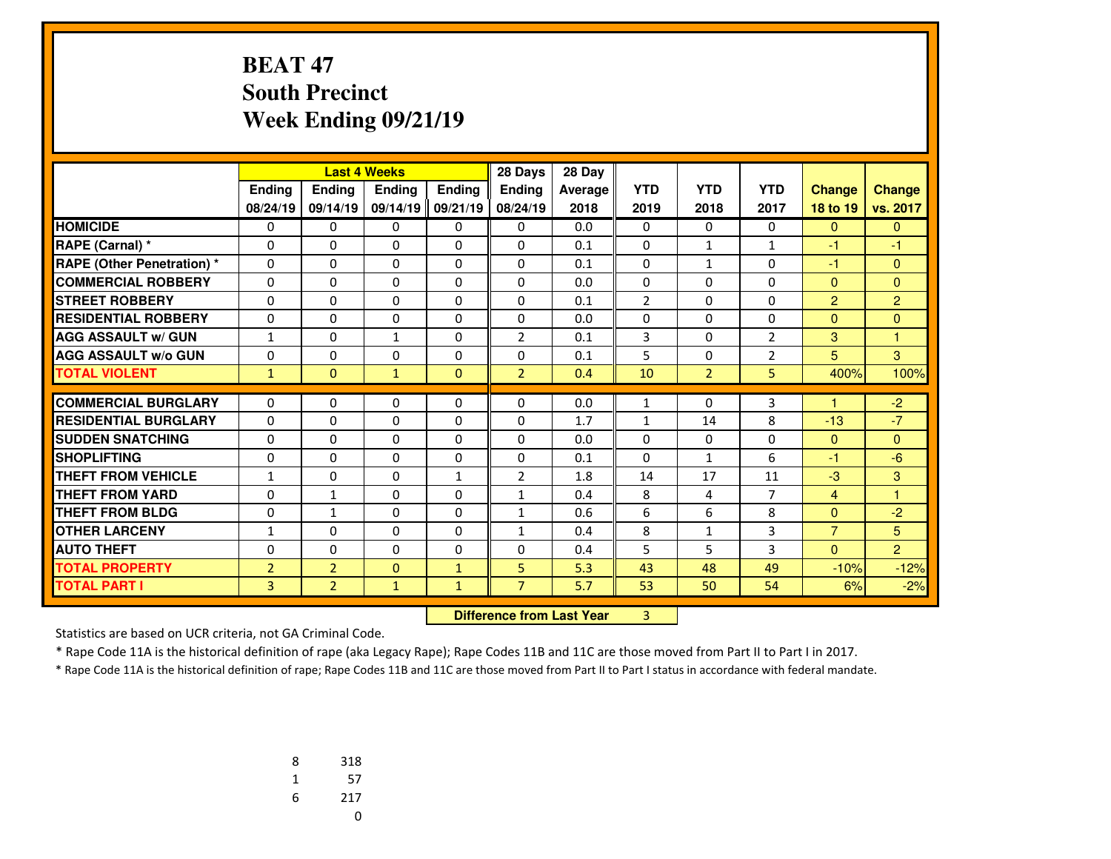#### **BEAT 47 South PrecinctWeek Ending 09/21/19**

|                                  |                |                | <b>Last 4 Weeks</b> |               | 28 Days                          | 28 Day         |                |                |                |                |                |
|----------------------------------|----------------|----------------|---------------------|---------------|----------------------------------|----------------|----------------|----------------|----------------|----------------|----------------|
|                                  | Ending         | <b>Ending</b>  | Ending              | <b>Ending</b> | Ending                           | <b>Average</b> | <b>YTD</b>     | <b>YTD</b>     | <b>YTD</b>     | <b>Change</b>  | <b>Change</b>  |
|                                  | 08/24/19       | 09/14/19       | 09/14/19 09/21/19   |               | 08/24/19                         | 2018           | 2019           | 2018           | 2017           | 18 to 19       | vs. 2017       |
| <b>HOMICIDE</b>                  | 0              | 0              | 0                   | 0             | $\Omega$                         | 0.0            | 0              | $\Omega$       | 0              | $\mathbf{0}$   | $\mathbf{0}$   |
| RAPE (Carnal) *                  | 0              | $\Omega$       | $\Omega$            | 0             | $\Omega$                         | 0.1            | 0              | $\mathbf{1}$   | $\mathbf{1}$   | $-1$           | -1             |
| <b>RAPE (Other Penetration)*</b> | $\mathbf{0}$   | $\Omega$       | $\Omega$            | 0             | $\Omega$                         | 0.1            | 0              | $\mathbf{1}$   | $\Omega$       | $-1$           | $\mathbf{0}$   |
| <b>COMMERCIAL ROBBERY</b>        | 0              | 0              | 0                   | 0             | $\Omega$                         | 0.0            | 0              | 0              | 0              | $\mathbf{0}$   | $\mathbf{0}$   |
| <b>STREET ROBBERY</b>            | 0              | 0              | $\Omega$            | 0             | $\Omega$                         | 0.1            | $\overline{2}$ | 0              | $\Omega$       | 2              | $\overline{2}$ |
| <b>RESIDENTIAL ROBBERY</b>       | $\Omega$       | $\Omega$       | 0                   | 0             | $\Omega$                         | 0.0            | 0              | 0              | 0              | $\mathbf{0}$   | $\mathbf{0}$   |
| <b>AGG ASSAULT w/ GUN</b>        | 1              | 0              | $\mathbf{1}$        | 0             | $\overline{2}$                   | 0.1            | 3              | 0              | $\overline{2}$ | 3              | 1              |
| <b>AGG ASSAULT w/o GUN</b>       | 0              | 0              | 0                   | 0             | 0                                | 0.1            | 5              | 0              | $\overline{2}$ | 5              | 3              |
| <b>TOTAL VIOLENT</b>             | $\mathbf{1}$   | $\Omega$       | $\mathbf{1}$        | $\Omega$      | $\overline{2}$                   | 0.4            | 10             | $\overline{2}$ | 5              | 400%           | 100%           |
| <b>COMMERCIAL BURGLARY</b>       | $\Omega$       | $\Omega$       | 0                   | 0             | $\Omega$                         | 0.0            | $\mathbf{1}$   | $\Omega$       | 3              |                | $-2$           |
| <b>RESIDENTIAL BURGLARY</b>      | $\Omega$       | $\Omega$       | $\Omega$            | $\Omega$      | $\Omega$                         | 1.7            | $\mathbf{1}$   | 14             | 8              | $-13$          | $-7$           |
| <b>SUDDEN SNATCHING</b>          | $\Omega$       | $\Omega$       | $\Omega$            | $\Omega$      | $\Omega$                         | 0.0            | $\Omega$       | $\Omega$       | $\Omega$       | $\mathbf{0}$   | $\mathbf{0}$   |
| <b>SHOPLIFTING</b>               | 0              | $\Omega$       | 0                   | $\Omega$      | $\Omega$                         | 0.1            | $\mathbf{0}$   | $\mathbf{1}$   | 6              | $-1$           | $-6$           |
| <b>THEFT FROM VEHICLE</b>        | $\mathbf{1}$   | $\Omega$       | $\Omega$            | $\mathbf{1}$  | $\overline{2}$                   | 1.8            | 14             | 17             | 11             | $-3$           | 3              |
| <b>THEFT FROM YARD</b>           | 0              | $\mathbf{1}$   | $\Omega$            | $\Omega$      | $\mathbf{1}$                     | 0.4            | 8              | 4              | $\overline{7}$ | $\overline{4}$ | 1              |
| <b>THEFT FROM BLDG</b>           | 0              | $\mathbf{1}$   | $\Omega$            | 0             | $\mathbf{1}$                     | 0.6            | 6              | 6              | 8              | $\mathbf{0}$   | $-2$           |
| <b>OTHER LARCENY</b>             | $\mathbf{1}$   | 0              | 0                   | 0             | $\mathbf{1}$                     | 0.4            | 8              | $\mathbf{1}$   | 3              | $\overline{7}$ | 5              |
| <b>AUTO THEFT</b>                | 0              | $\Omega$       | $\Omega$            | $\Omega$      | $\Omega$                         | 0.4            | 5              | 5              | 3              | $\Omega$       | $\overline{2}$ |
| <b>TOTAL PROPERTY</b>            | $\overline{2}$ | $\overline{2}$ | $\mathbf{0}$        | $\mathbf{1}$  | 5                                | 5.3            | 43             | 48             | 49             | $-10%$         | $-12%$         |
| <b>TOTAL PART I</b>              | 3              | $\overline{2}$ | $\mathbf{1}$        | $\mathbf{1}$  | $\overline{7}$                   | 5.7            | 53             | 50             | 54             | 6%             | $-2%$          |
|                                  |                |                |                     |               | <b>Difference from Last Year</b> |                | 3              |                |                |                |                |

 **Difference from Last Year**

Statistics are based on UCR criteria, not GA Criminal Code.

\* Rape Code 11A is the historical definition of rape (aka Legacy Rape); Rape Codes 11B and 11C are those moved from Part II to Part I in 2017.

| 8 | 318 |
|---|-----|
| 1 | 57  |
| 6 | 217 |
|   | U   |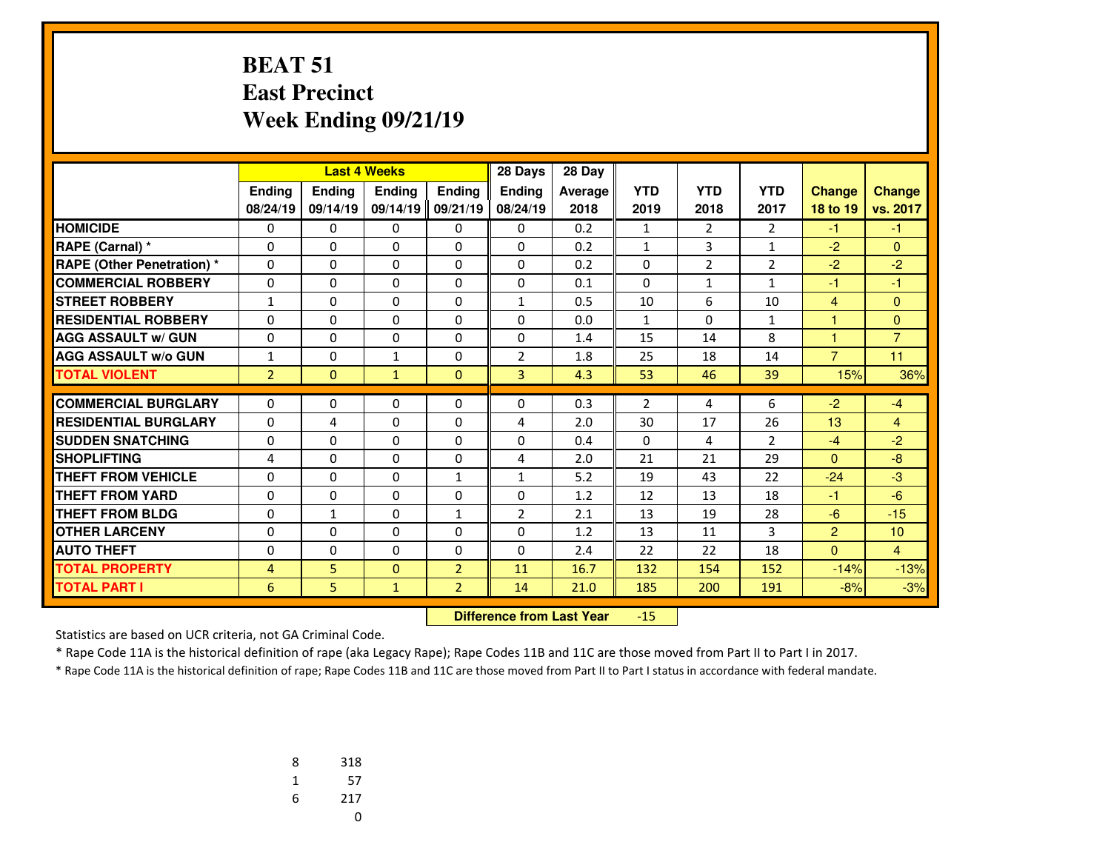#### **BEAT 51 East PrecinctWeek Ending 09/21/19**

|                                   | <b>Last 4 Weeks</b> |              |               | 28 Days        | 28 Day         |         |                |                |                |                |                |
|-----------------------------------|---------------------|--------------|---------------|----------------|----------------|---------|----------------|----------------|----------------|----------------|----------------|
|                                   | <b>Ending</b>       | Ending       | <b>Endina</b> | <b>Endina</b>  | <b>Endina</b>  | Average | <b>YTD</b>     | <b>YTD</b>     | <b>YTD</b>     | <b>Change</b>  | <b>Change</b>  |
|                                   | 08/24/19            | 09/14/19     | 09/14/19      | 09/21/19       | 08/24/19       | 2018    | 2019           | 2018           | 2017           | 18 to 19       | vs. 2017       |
| <b>HOMICIDE</b>                   | 0                   | 0            | 0             | 0              | 0              | 0.2     | $\mathbf{1}$   | 2              | $\overline{2}$ | -1             | $-1$           |
| RAPE (Carnal) *                   | 0                   | $\Omega$     | 0             | 0              | 0              | 0.2     | $\mathbf{1}$   | 3              | $\mathbf{1}$   | -2             | $\Omega$       |
| <b>RAPE (Other Penetration) *</b> | $\Omega$            | $\Omega$     | $\Omega$      | 0              | $\Omega$       | 0.2     | 0              | $\overline{2}$ | $\overline{2}$ | $-2$           | $-2$           |
| <b>COMMERCIAL ROBBERY</b>         | $\Omega$            | $\Omega$     | $\Omega$      | $\Omega$       | $\Omega$       | 0.1     | $\Omega$       | $\mathbf{1}$   | $\mathbf{1}$   | -1             | $-1$           |
| <b>STREET ROBBERY</b>             | $\mathbf{1}$        | $\Omega$     | 0             | $\Omega$       | $\mathbf{1}$   | 0.5     | 10             | 6              | 10             | $\overline{4}$ | $\Omega$       |
| <b>RESIDENTIAL ROBBERY</b>        | 0                   | $\Omega$     | 0             | 0              | $\Omega$       | 0.0     | $\mathbf{1}$   | $\Omega$       | 1              | $\overline{1}$ | $\mathbf{0}$   |
| <b>AGG ASSAULT w/ GUN</b>         | 0                   | $\mathbf{0}$ | 0             | 0              | $\Omega$       | 1.4     | 15             | 14             | 8              | 1              | $\overline{7}$ |
| <b>AGG ASSAULT w/o GUN</b>        | $\mathbf{1}$        | $\Omega$     | $\mathbf{1}$  | 0              | 2              | 1.8     | 25             | 18             | 14             | $\overline{7}$ | 11             |
| <b>TOTAL VIOLENT</b>              | $\overline{2}$      | $\mathbf{0}$ | $\mathbf{1}$  | $\mathbf{0}$   | 3              | 4.3     | 53             | 46             | 39             | 15%            | 36%            |
|                                   |                     |              |               |                |                |         |                |                |                |                |                |
| <b>COMMERCIAL BURGLARY</b>        | $\Omega$            | $\Omega$     | $\Omega$      | 0              | 0              | 0.3     | $\overline{2}$ | 4              | 6              | $-2$           | $-4$           |
| <b>RESIDENTIAL BURGLARY</b>       | 0                   | 4            | $\Omega$      | 0              | 4              | 2.0     | 30             | 17             | 26             | 13             | $\overline{4}$ |
| <b>SUDDEN SNATCHING</b>           | 0                   | $\Omega$     | $\Omega$      | 0              | $\Omega$       | 0.4     | $\mathbf 0$    | 4              | $\overline{2}$ | $-4$           | $-2$           |
| <b>SHOPLIFTING</b>                | 4                   | $\Omega$     | 0             | 0              | 4              | 2.0     | 21             | 21             | 29             | $\Omega$       | $-8$           |
| <b>THEFT FROM VEHICLE</b>         | $\Omega$            | $\Omega$     | $\Omega$      | $\mathbf{1}$   | $\mathbf{1}$   | 5.2     | 19             | 43             | 22             | $-24$          | $-3$           |
| <b>THEFT FROM YARD</b>            | 0                   | $\Omega$     | $\Omega$      | 0              | $\Omega$       | 1.2     | 12             | 13             | 18             | $-1$           | $-6$           |
| <b>THEFT FROM BLDG</b>            | $\Omega$            | $\mathbf{1}$ | $\Omega$      | $\mathbf{1}$   | $\overline{2}$ | 2.1     | 13             | 19             | 28             | $-6$           | $-15$          |
| <b>OTHER LARCENY</b>              | 0                   | $\Omega$     | $\Omega$      | $\Omega$       | $\Omega$       | 1.2     | 13             | 11             | 3              | $\overline{2}$ | 10             |
| <b>AUTO THEFT</b>                 | 0                   | $\Omega$     | 0             | 0              | $\Omega$       | 2.4     | 22             | 22             | 18             | $\Omega$       | $\overline{4}$ |
| <b>TOTAL PROPERTY</b>             | $\overline{4}$      | 5.           | $\Omega$      | $\overline{2}$ | 11             | 16.7    | 132            | 154            | 152            | $-14%$         | $-13%$         |
| <b>TOTAL PART I</b>               | 6                   | 5.           | $\mathbf{1}$  | $\overline{2}$ | 14             | 21.0    | 185            | 200            | 191            | $-8%$          | $-3%$          |

 **Difference from Last Year**-15

Statistics are based on UCR criteria, not GA Criminal Code.

\* Rape Code 11A is the historical definition of rape (aka Legacy Rape); Rape Codes 11B and 11C are those moved from Part II to Part I in 2017.

| 8 | 318 |
|---|-----|
| 1 | 57  |
| 6 | 217 |
|   | U   |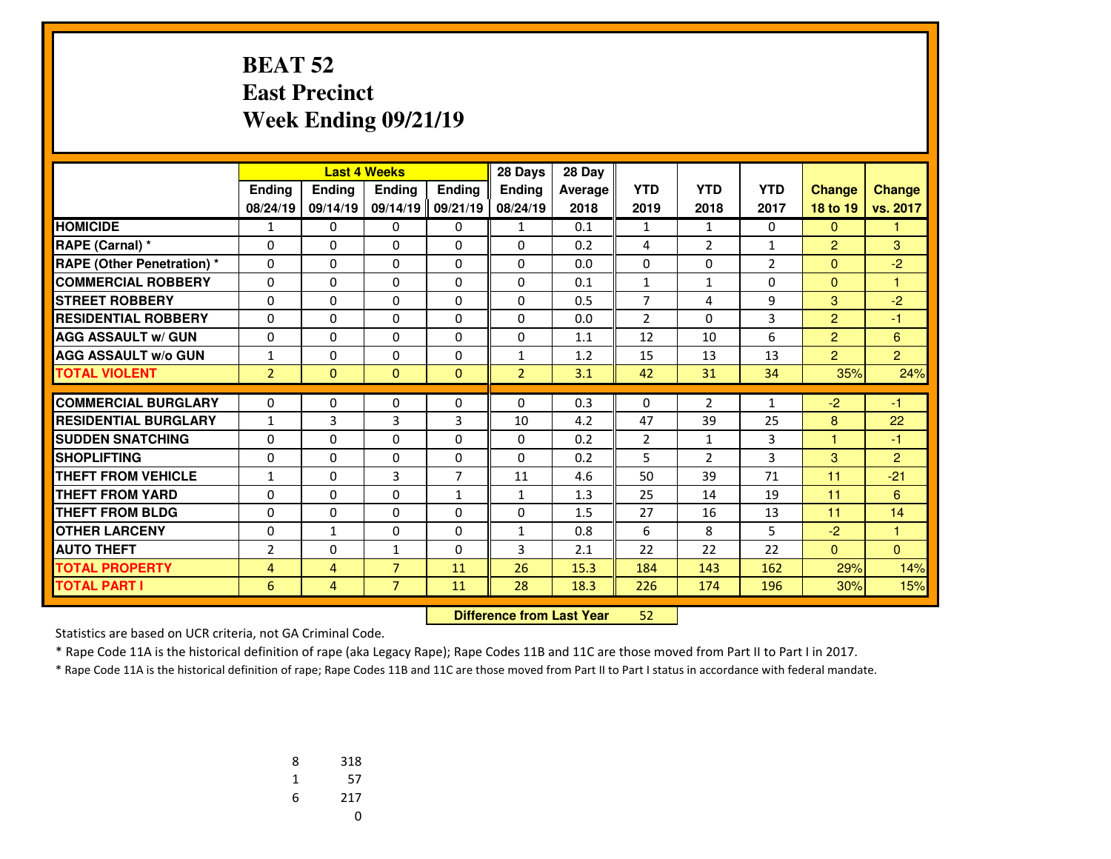# **BEAT 52 East PrecinctWeek Ending 09/21/19**

|                                   |                |                | <b>Last 4 Weeks</b><br>28 Days |                |                | 28 Day  |                |                |                |                |                |
|-----------------------------------|----------------|----------------|--------------------------------|----------------|----------------|---------|----------------|----------------|----------------|----------------|----------------|
|                                   | Ending         | <b>Ending</b>  | Ending                         | <b>Ending</b>  | <b>Ending</b>  | Average | <b>YTD</b>     | <b>YTD</b>     | <b>YTD</b>     | <b>Change</b>  | <b>Change</b>  |
|                                   | 08/24/19       | 09/14/19       | 09/14/19                       | 09/21/19       | 08/24/19       | 2018    | 2019           | 2018           | 2017           | 18 to 19       | vs. 2017       |
| <b>HOMICIDE</b>                   | $\mathbf{1}$   | 0              | 0                              | 0              | $\mathbf{1}$   | 0.1     | $\mathbf{1}$   | $\mathbf{1}$   | 0              | $\mathbf{0}$   | 1              |
| RAPE (Carnal) *                   | 0              | 0              | $\Omega$                       | $\Omega$       | $\Omega$       | 0.2     | 4              | $\overline{2}$ | $\mathbf{1}$   | $\overline{2}$ | 3              |
| <b>RAPE (Other Penetration) *</b> | $\Omega$       | 0              | $\Omega$                       | $\Omega$       | $\Omega$       | 0.0     | 0              | $\Omega$       | $\overline{2}$ | $\overline{0}$ | $-2$           |
| <b>COMMERCIAL ROBBERY</b>         | 0              | 0              | 0                              | 0              | $\Omega$       | 0.1     | $\mathbf{1}$   | $\mathbf{1}$   | $\Omega$       | $\mathbf{0}$   | 1              |
| <b>STREET ROBBERY</b>             | $\Omega$       | 0              | $\Omega$                       | $\Omega$       | $\Omega$       | 0.5     | $\overline{7}$ | 4              | 9              | 3              | $-2$           |
| <b>RESIDENTIAL ROBBERY</b>        | 0              | $\Omega$       | $\Omega$                       | $\Omega$       | $\Omega$       | 0.0     | $\overline{2}$ | $\Omega$       | 3              | $\overline{2}$ | $-1$           |
| <b>AGG ASSAULT w/ GUN</b>         | $\Omega$       | 0              | $\Omega$                       | $\Omega$       | $\Omega$       | 1.1     | 12             | 10             | 6              | $\overline{2}$ | 6              |
| <b>AGG ASSAULT w/o GUN</b>        | $\mathbf{1}$   | 0              | 0                              | 0              | $\mathbf{1}$   | 1.2     | 15             | 13             | 13             | $\overline{2}$ | $\overline{2}$ |
| <b>TOTAL VIOLENT</b>              | $\overline{2}$ | $\Omega$       | $\mathbf{0}$                   | $\mathbf{0}$   | $\overline{2}$ | 3.1     | 42             | 31             | 34             | 35%            | 24%            |
| <b>COMMERCIAL BURGLARY</b>        |                | 0              |                                |                |                | 0.3     |                | 2              |                | $-2$           | $-1$           |
|                                   | 0              |                | 0                              | 0              | 0              |         | 0              |                | $\mathbf{1}$   |                |                |
| <b>RESIDENTIAL BURGLARY</b>       | $\mathbf{1}$   | 3              | 3                              | 3              | 10             | 4.2     | 47             | 39             | 25             | 8              | 22             |
| <b>SUDDEN SNATCHING</b>           | 0              | $\Omega$       | $\Omega$                       | 0              | $\Omega$       | 0.2     | $\overline{2}$ | $\mathbf{1}$   | 3              | $\mathbf{1}$   | $-1$           |
| <b>SHOPLIFTING</b>                | $\Omega$       | 0              | $\Omega$                       | $\Omega$       | $\Omega$       | 0.2     | 5              | 2              | 3              | 3              | $\overline{2}$ |
| <b>THEFT FROM VEHICLE</b>         | $\mathbf{1}$   | 0              | 3                              | $\overline{7}$ | 11             | 4.6     | 50             | 39             | 71             | 11             | $-21$          |
| <b>THEFT FROM YARD</b>            | 0              | 0              | 0                              | $\mathbf{1}$   | $\mathbf{1}$   | 1.3     | 25             | 14             | 19             | 11             | 6              |
| <b>THEFT FROM BLDG</b>            | $\Omega$       | 0              | $\Omega$                       | $\Omega$       | $\Omega$       | 1.5     | 27             | 16             | 13             | 11             | 14             |
| <b>OTHER LARCENY</b>              | 0              | $\mathbf{1}$   | 0                              | 0              | $\mathbf{1}$   | 0.8     | 6              | 8              | 5              | $-2$           | $\mathbf{1}$   |
| <b>AUTO THEFT</b>                 | $\overline{2}$ | 0              | $\mathbf{1}$                   | $\Omega$       | 3              | 2.1     | 22             | 22             | 22             | $\mathbf{0}$   | $\Omega$       |
| <b>TOTAL PROPERTY</b>             | 4              | 4              | $\overline{7}$                 | 11             | 26             | 15.3    | 184            | 143            | 162            | 29%            | 14%            |
| <b>TOTAL PART I</b>               | 6              | $\overline{4}$ | $\overline{7}$                 | 11             | 28             | 18.3    | 226            | 174            | 196            | 30%            | 15%            |

 **Difference from Last Year**<sup>52</sup>

Statistics are based on UCR criteria, not GA Criminal Code.

\* Rape Code 11A is the historical definition of rape (aka Legacy Rape); Rape Codes 11B and 11C are those moved from Part II to Part I in 2017.

| 8 | 318 |
|---|-----|
| 1 | 57  |
| 6 | 217 |
|   | U   |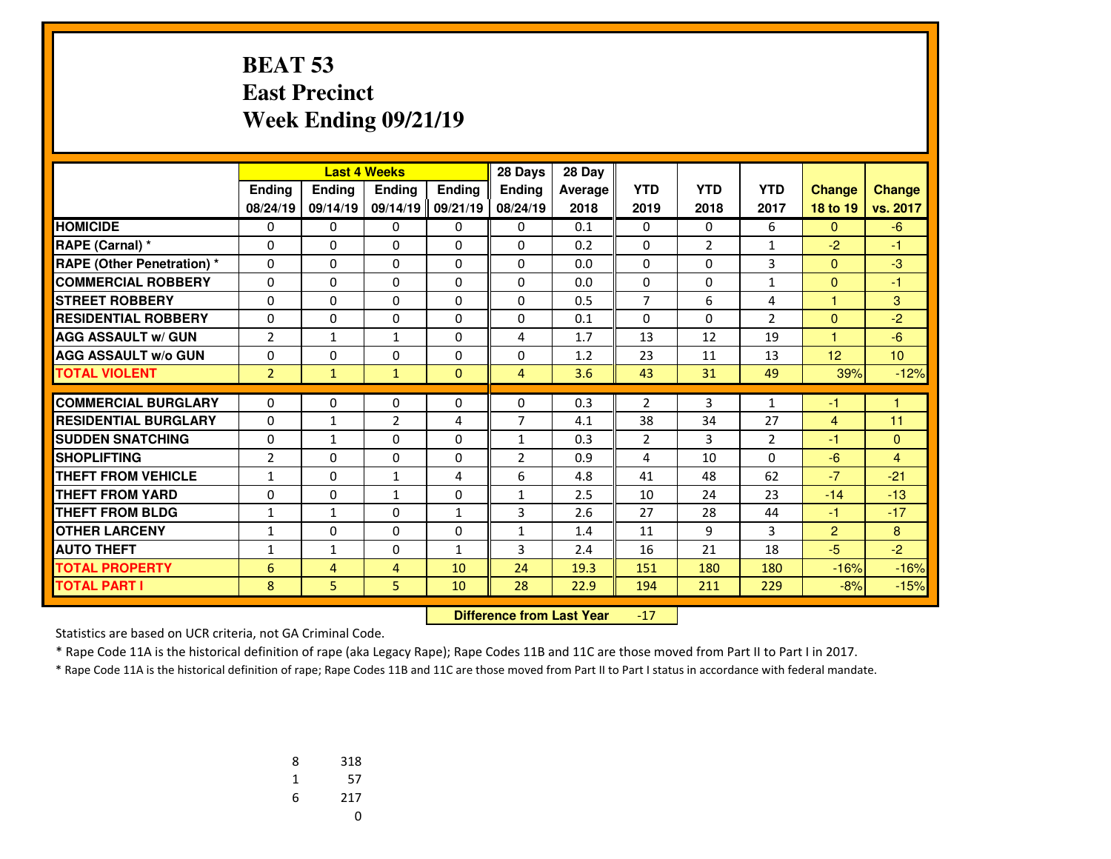# **BEAT 53 East PrecinctWeek Ending 09/21/19**

|                                   |                |                | 28 Days<br><b>Last 4 Weeks</b> |              |                | 28 Day  |                |                |                |                |                |
|-----------------------------------|----------------|----------------|--------------------------------|--------------|----------------|---------|----------------|----------------|----------------|----------------|----------------|
|                                   | Ending         | Ending         | <b>Endina</b>                  | Ending       | <b>Endina</b>  | Average | <b>YTD</b>     | <b>YTD</b>     | <b>YTD</b>     | <b>Change</b>  | <b>Change</b>  |
|                                   | 08/24/19       | 09/14/19       | 09/14/19                       | 09/21/19     | 08/24/19       | 2018    | 2019           | 2018           | 2017           | 18 to 19       | vs. 2017       |
| <b>HOMICIDE</b>                   | 0              | 0              | 0                              | 0            | $\Omega$       | 0.1     | 0              | 0              | 6              | $\Omega$       | $-6$           |
| RAPE (Carnal) *                   | $\Omega$       | $\Omega$       | 0                              | $\Omega$     | $\Omega$       | 0.2     | $\Omega$       | $\overline{2}$ | $\mathbf{1}$   | $-2$           | $-1$           |
| <b>RAPE (Other Penetration) *</b> | 0              | $\Omega$       | 0                              | 0            | $\Omega$       | 0.0     | 0              | $\Omega$       | 3              | $\mathbf{0}$   | $-3$           |
| <b>COMMERCIAL ROBBERY</b>         | $\Omega$       | 0              | 0                              | $\mathbf{0}$ | $\Omega$       | 0.0     | $\mathbf{0}$   | $\Omega$       | $\mathbf{1}$   | $\Omega$       | $-1$           |
| <b>STREET ROBBERY</b>             | 0              | $\Omega$       | 0                              | 0            | $\Omega$       | 0.5     | $\overline{7}$ | 6              | 4              | $\mathbf{1}$   | 3              |
| <b>RESIDENTIAL ROBBERY</b>        | $\Omega$       | 0              | 0                              | $\Omega$     | $\Omega$       | 0.1     | $\mathbf{0}$   | 0              | 2              | $\Omega$       | $-2$           |
| <b>AGG ASSAULT w/ GUN</b>         | $\overline{2}$ | $\mathbf{1}$   | $\mathbf{1}$                   | $\Omega$     | 4              | 1.7     | 13             | 12             | 19             | 1              | $-6$           |
| <b>AGG ASSAULT W/o GUN</b>        | 0              | $\Omega$       | 0                              | $\Omega$     | $\Omega$       | 1.2     | 23             | 11             | 13             | 12             | 10             |
| <b>TOTAL VIOLENT</b>              | $\overline{2}$ | $\mathbf{1}$   | $\mathbf{1}$                   | $\mathbf{0}$ | $\overline{4}$ | 3.6     | 43             | 31             | 49             | 39%            | $-12%$         |
|                                   |                |                |                                |              |                |         |                |                |                |                |                |
| <b>COMMERCIAL BURGLARY</b>        | 0              | 0              | 0                              | 0            | 0              | 0.3     | 2              | 3              | 1              | $-1$           | 1              |
| <b>RESIDENTIAL BURGLARY</b>       | 0              | $\mathbf{1}$   | $\overline{2}$                 | 4            | $\overline{7}$ | 4.1     | 38             | 34             | 27             | $\overline{4}$ | 11             |
| <b>SUDDEN SNATCHING</b>           | $\mathbf 0$    | $\mathbf{1}$   | 0                              | 0            | $\mathbf{1}$   | 0.3     | $\overline{2}$ | 3              | $\overline{2}$ | $-1$           | $\mathbf{0}$   |
| <b>SHOPLIFTING</b>                | $\overline{2}$ | $\Omega$       | 0                              | 0            | $\overline{2}$ | 0.9     | 4              | 10             | $\Omega$       | $-6$           | $\overline{4}$ |
| <b>THEFT FROM VEHICLE</b>         | $\mathbf{1}$   | $\Omega$       | $\mathbf{1}$                   | 4            | 6              | 4.8     | 41             | 48             | 62             | $-7$           | $-21$          |
| <b>THEFT FROM YARD</b>            | 0              | $\Omega$       | $\mathbf{1}$                   | 0            | 1              | 2.5     | 10             | 24             | 23             | $-14$          | $-13$          |
| <b>THEFT FROM BLDG</b>            | $\mathbf{1}$   | $\mathbf{1}$   | 0                              | 1            | 3              | 2.6     | 27             | 28             | 44             | $-1$           | $-17$          |
| <b>OTHER LARCENY</b>              | $\mathbf{1}$   | $\Omega$       | 0                              | 0            | $\mathbf{1}$   | 1.4     | 11             | 9              | 3              | $\overline{2}$ | 8              |
| <b>AUTO THEFT</b>                 | 1              | $\mathbf{1}$   | 0                              | 1            | 3              | 2.4     | 16             | 21             | 18             | $-5$           | $-2$           |
| <b>TOTAL PROPERTY</b>             | 6              | $\overline{4}$ | 4                              | 10           | 24             | 19.3    | 151            | 180            | 180            | $-16%$         | $-16%$         |
| <b>TOTAL PART I</b>               | 8              | 5.             | 5.                             | 10           | 28             | 22.9    | 194            | 211            | 229            | $-8%$          | $-15%$         |

 **Difference from Last Year** $-17$ 

Statistics are based on UCR criteria, not GA Criminal Code.

\* Rape Code 11A is the historical definition of rape (aka Legacy Rape); Rape Codes 11B and 11C are those moved from Part II to Part I in 2017.

| 8 | 318 |
|---|-----|
| 1 | 57  |
| 6 | 217 |
|   | U   |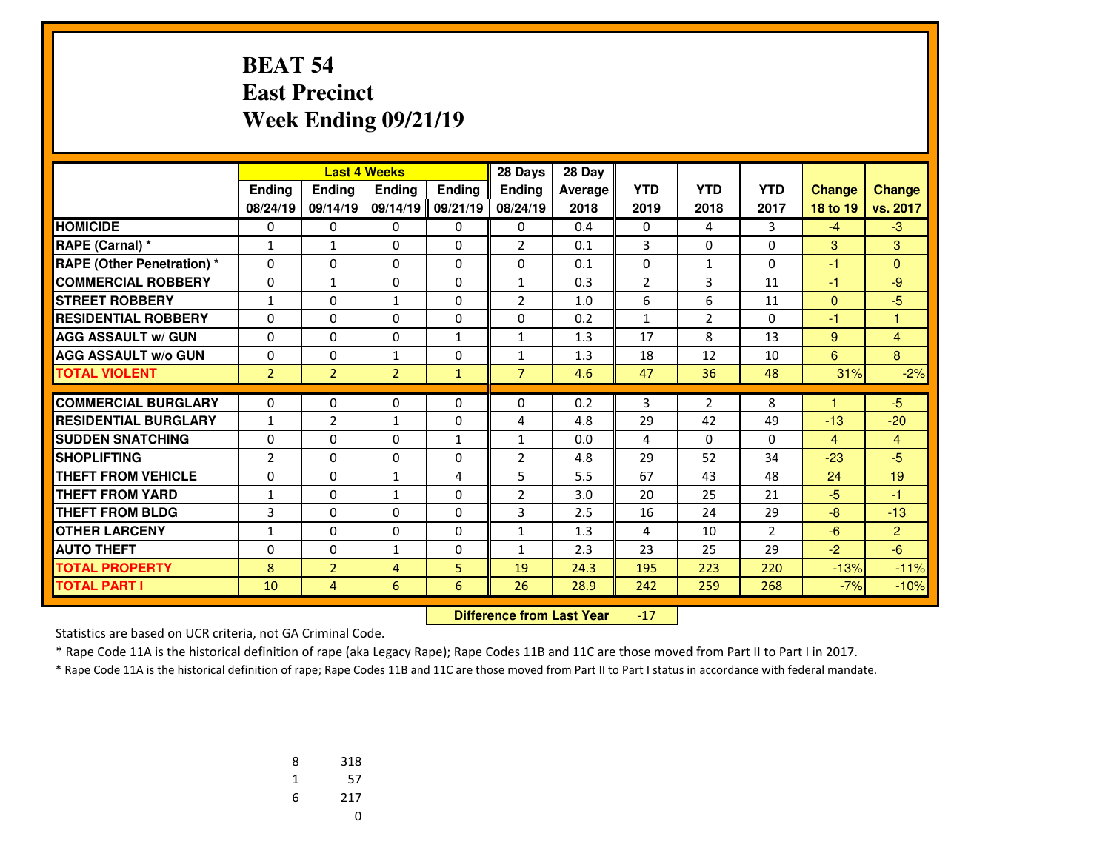# **BEAT 54 East PrecinctWeek Ending 09/21/19**

|                                   |                |                | <b>Last 4 Weeks</b> |               | 28 Days        | 28 Day  |                |                |                |                |                |
|-----------------------------------|----------------|----------------|---------------------|---------------|----------------|---------|----------------|----------------|----------------|----------------|----------------|
|                                   | Ending         | <b>Ending</b>  | <b>Endina</b>       | <b>Ending</b> | <b>Endina</b>  | Average | <b>YTD</b>     | <b>YTD</b>     | <b>YTD</b>     | <b>Change</b>  | <b>Change</b>  |
|                                   | 08/24/19       | 09/14/19       | 09/14/19            | 09/21/19      | 08/24/19       | 2018    | 2019           | 2018           | 2017           | 18 to 19       | vs. 2017       |
| <b>HOMICIDE</b>                   | 0              | 0              | 0                   | 0             | 0              | 0.4     | 0              | 4              | 3              | $-4$           | $-3$           |
| RAPE (Carnal) *                   | $\mathbf{1}$   | $\mathbf{1}$   | $\Omega$            | 0             | $\overline{2}$ | 0.1     | 3              | $\Omega$       | $\Omega$       | 3              | 3              |
| <b>RAPE (Other Penetration) *</b> | 0              | 0              | $\Omega$            | $\Omega$      | $\Omega$       | 0.1     | 0              | $\mathbf{1}$   | $\Omega$       | $-1$           | $\Omega$       |
| <b>COMMERCIAL ROBBERY</b>         | $\Omega$       | $\mathbf{1}$   | $\Omega$            | $\Omega$      | $\mathbf{1}$   | 0.3     | $\overline{2}$ | 3              | 11             | $-1$           | $-9$           |
| <b>STREET ROBBERY</b>             | $\mathbf{1}$   | 0              | 1                   | $\Omega$      | $\overline{2}$ | 1.0     | 6              | 6              | 11             | $\mathbf{0}$   | $-5$           |
| <b>RESIDENTIAL ROBBERY</b>        | 0              | 0              | $\Omega$            | $\Omega$      | $\Omega$       | 0.2     | $\mathbf{1}$   | $\overline{2}$ | $\Omega$       | $-1$           | 1              |
| <b>AGG ASSAULT w/ GUN</b>         | 0              | $\Omega$       | $\Omega$            | $\mathbf{1}$  | $\mathbf{1}$   | 1.3     | 17             | 8              | 13             | 9              | $\overline{4}$ |
| <b>AGG ASSAULT w/o GUN</b>        | 0              | 0              | $\mathbf{1}$        | $\Omega$      | $\mathbf{1}$   | 1.3     | 18             | 12             | 10             | 6              | 8              |
| <b>TOTAL VIOLENT</b>              | $\overline{2}$ | $\overline{2}$ | $\overline{2}$      | $\mathbf{1}$  | $\overline{7}$ | 4.6     | 47             | 36             | 48             | 31%            | $-2%$          |
| <b>COMMERCIAL BURGLARY</b>        |                |                |                     |               |                |         |                |                |                |                |                |
| <b>RESIDENTIAL BURGLARY</b>       | 0              | 0              | 0                   | 0             | 0              | 0.2     | 3              | $\overline{2}$ | 8              |                | $-5$           |
|                                   | $\mathbf{1}$   | $\overline{2}$ | $\mathbf{1}$        | 0             | 4              | 4.8     | 29             | 42             | 49             | $-13$          | $-20$          |
| <b>SUDDEN SNATCHING</b>           | $\Omega$       | $\Omega$       | $\Omega$            | $\mathbf{1}$  | 1              | 0.0     | 4              | $\Omega$       | $\Omega$       | $\overline{4}$ | $\overline{4}$ |
| <b>SHOPLIFTING</b>                | $\overline{2}$ | 0              | $\Omega$            | $\Omega$      | $\overline{2}$ | 4.8     | 29             | 52             | 34             | $-23$          | $-5$           |
| <b>THEFT FROM VEHICLE</b>         | $\Omega$       | 0              | 1                   | 4             | 5              | 5.5     | 67             | 43             | 48             | 24             | 19             |
| <b>THEFT FROM YARD</b>            | $\mathbf{1}$   | 0              | $\mathbf{1}$        | $\Omega$      | 2              | 3.0     | 20             | 25             | 21             | $-5$           | $-1$           |
| <b>THEFT FROM BLDG</b>            | 3              | $\Omega$       | $\Omega$            | $\Omega$      | 3              | 2.5     | 16             | 24             | 29             | $-8$           | $-13$          |
| <b>OTHER LARCENY</b>              | $\mathbf{1}$   | 0              | 0                   | $\Omega$      | $\mathbf{1}$   | 1.3     | 4              | 10             | $\overline{2}$ | $-6$           | 2              |
| <b>AUTO THEFT</b>                 | 0              | $\Omega$       | $\mathbf{1}$        | 0             | $\mathbf{1}$   | 2.3     | 23             | 25             | 29             | $-2$           | $-6$           |
| <b>TOTAL PROPERTY</b>             | 8              | $\overline{2}$ | $\overline{4}$      | 5             | 19             | 24.3    | 195            | 223            | 220            | $-13%$         | $-11%$         |
| <b>TOTAL PART I</b>               | 10             | 4              | 6                   | 6             | 26             | 28.9    | 242            | 259            | 268            | $-7%$          | $-10%$         |

 **Difference from Last Year** $-17$ 

Statistics are based on UCR criteria, not GA Criminal Code.

\* Rape Code 11A is the historical definition of rape (aka Legacy Rape); Rape Codes 11B and 11C are those moved from Part II to Part I in 2017.

| 8 | 318 |
|---|-----|
| 1 | 57  |
| 6 | 217 |
|   | U   |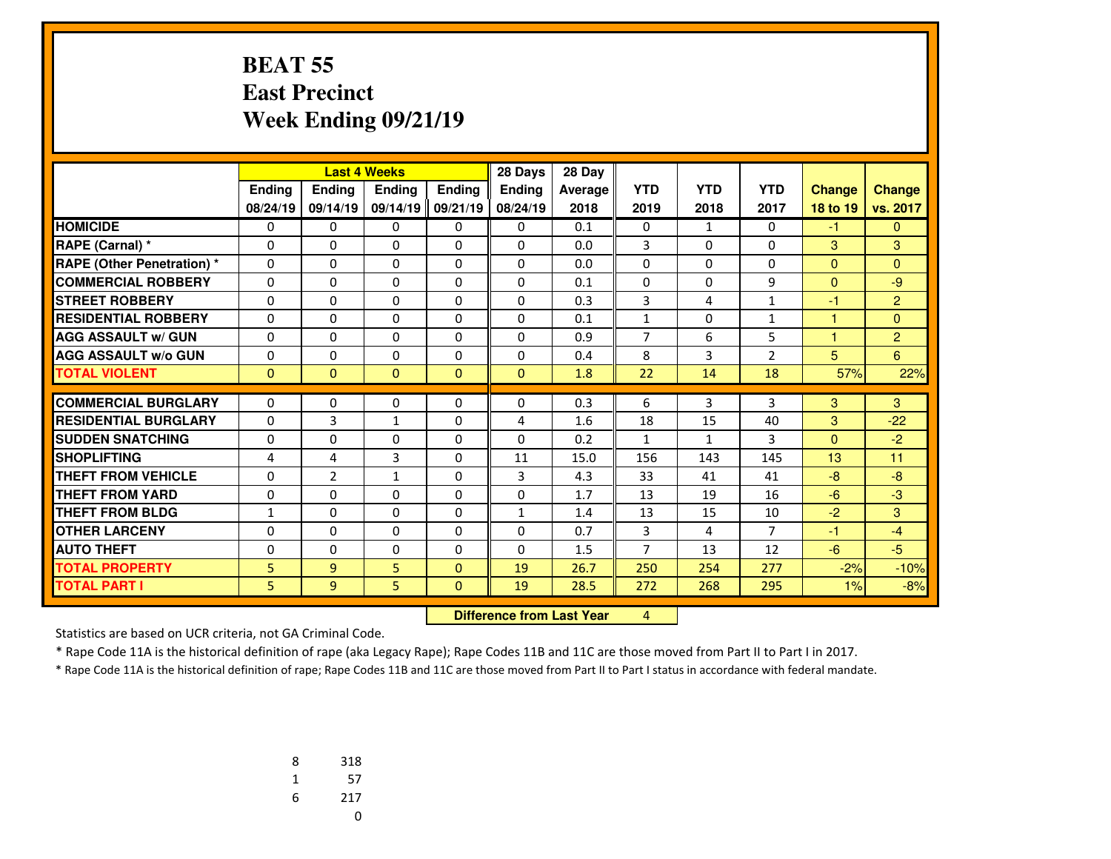#### **BEAT 55 East PrecinctWeek Ending 09/21/19**

|                                   | <b>Last 4 Weeks</b> |                |                   | 28 Days       | 28 Day                           |         |                |              |                |                   |                |
|-----------------------------------|---------------------|----------------|-------------------|---------------|----------------------------------|---------|----------------|--------------|----------------|-------------------|----------------|
|                                   | <b>Endina</b>       | <b>Ending</b>  | <b>Endina</b>     | <b>Ending</b> | <b>Ending</b>                    | Average | <b>YTD</b>     | <b>YTD</b>   | <b>YTD</b>     | <b>Change</b>     | <b>Change</b>  |
|                                   | 08/24/19            | 09/14/19       | 09/14/19          | 09/21/19      | 08/24/19                         | 2018    | 2019           | 2018         | 2017           | 18 to 19          | vs. 2017       |
| <b>HOMICIDE</b>                   | 0                   | 0              | 0                 | $\mathbf{0}$  | 0                                | 0.1     | $\mathbf{0}$   | $\mathbf{1}$ | 0              | $-1$              | $\mathbf{0}$   |
| RAPE (Carnal) *                   | 0                   | $\Omega$       | 0                 | $\mathbf{0}$  | $\Omega$                         | 0.0     | 3              | $\Omega$     | $\Omega$       | 3                 | 3              |
| <b>RAPE (Other Penetration) *</b> | 0                   | $\Omega$       | 0                 | 0             | $\Omega$                         | 0.0     | 0              | $\Omega$     | $\Omega$       | $\Omega$          | $\Omega$       |
| <b>COMMERCIAL ROBBERY</b>         | 0                   | $\Omega$       | 0                 | 0             | $\Omega$                         | 0.1     | 0              | 0            | 9              | $\mathbf{0}$      | $-9$           |
| <b>STREET ROBBERY</b>             | 0                   | 0              | 0                 | 0             | $\Omega$                         | 0.3     | 3              | 4            | $\mathbf{1}$   | $-1$              | $\overline{2}$ |
| <b>RESIDENTIAL ROBBERY</b>        | $\Omega$            | $\Omega$       | 0                 | 0             | $\Omega$                         | 0.1     | $\mathbf{1}$   | 0            | $\mathbf{1}$   | 1                 | $\mathbf{0}$   |
| <b>AGG ASSAULT w/ GUN</b>         | $\Omega$            | $\Omega$       | 0                 | $\Omega$      | $\Omega$                         | 0.9     | $\overline{7}$ | 6            | 5              | 4                 | $\overline{2}$ |
| <b>AGG ASSAULT W/o GUN</b>        | 0                   | $\Omega$       | 0                 | 0             | $\Omega$                         | 0.4     | 8              | 3            | $\overline{2}$ | 5                 | 6              |
| <b>TOTAL VIOLENT</b>              | $\mathbf{0}$        | $\overline{0}$ | $\overline{0}$    | $\mathbf{0}$  | $\Omega$                         | 1.8     | 22             | 14           | 18             | 57%               | 22%            |
| <b>COMMERCIAL BURGLARY</b>        | $\mathbf{0}$        | $\Omega$       | 0                 | 0             | $\Omega$                         | 0.3     | 6              | 3            | 3              | 3                 | 3              |
|                                   |                     |                |                   |               |                                  |         |                |              |                |                   |                |
| <b>RESIDENTIAL BURGLARY</b>       | $\mathbf{0}$        | 3<br>$\Omega$  | $\mathbf{1}$<br>0 | 0             | 4<br>$\Omega$                    | 1.6     | 18             | 15           | 40<br>3        | 3<br>$\mathbf{0}$ | $-22$          |
| <b>SUDDEN SNATCHING</b>           | 0                   |                |                   | 0             |                                  | 0.2     | $\mathbf{1}$   | $\mathbf{1}$ |                |                   | $-2$           |
| <b>SHOPLIFTING</b>                | 4                   | 4              | 3                 | $\mathbf{0}$  | 11                               | 15.0    | 156            | 143          | 145            | 13                | 11             |
| <b>THEFT FROM VEHICLE</b>         | $\Omega$            | $\overline{2}$ | $\mathbf{1}$      | $\Omega$      | 3                                | 4.3     | 33             | 41           | 41             | $-8$              | $-8$           |
| <b>THEFT FROM YARD</b>            | 0                   | 0              | 0                 | $\mathbf{0}$  | $\mathbf{0}$                     | 1.7     | 13             | 19           | 16             | $-6$              | $-3$           |
| <b>THEFT FROM BLDG</b>            | 1                   | $\Omega$       | 0                 | $\Omega$      | $\mathbf{1}$                     | 1.4     | 13             | 15           | 10             | $-2$              | 3              |
| <b>OTHER LARCENY</b>              | 0                   | $\Omega$       | 0                 | 0             | $\Omega$                         | 0.7     | 3              | 4            | $\overline{7}$ | $-1$              | $-4$           |
| <b>AUTO THEFT</b>                 | 0                   | 0              | 0                 | 0             | $\mathbf{0}$                     | 1.5     | 7              | 13           | 12             | $-6$              | $-5$           |
| <b>TOTAL PROPERTY</b>             | 5                   | 9              | 5                 | $\mathbf{0}$  | 19                               | 26.7    | 250            | 254          | 277            | $-2%$             | $-10%$         |
| <b>TOTAL PART I</b>               | 5                   | 9              | 5                 | $\mathbf{0}$  | 19                               | 28.5    | 272            | 268          | 295            | 1%                | $-8%$          |
|                                   |                     |                |                   |               | <b>Difference from Last Year</b> |         | $\overline{4}$ |              |                |                   |                |

 **Difference from Last Year**

Statistics are based on UCR criteria, not GA Criminal Code.

\* Rape Code 11A is the historical definition of rape (aka Legacy Rape); Rape Codes 11B and 11C are those moved from Part II to Part I in 2017.

| 8 | 318 |
|---|-----|
| 1 | 57  |
| 6 | 217 |
|   | U   |